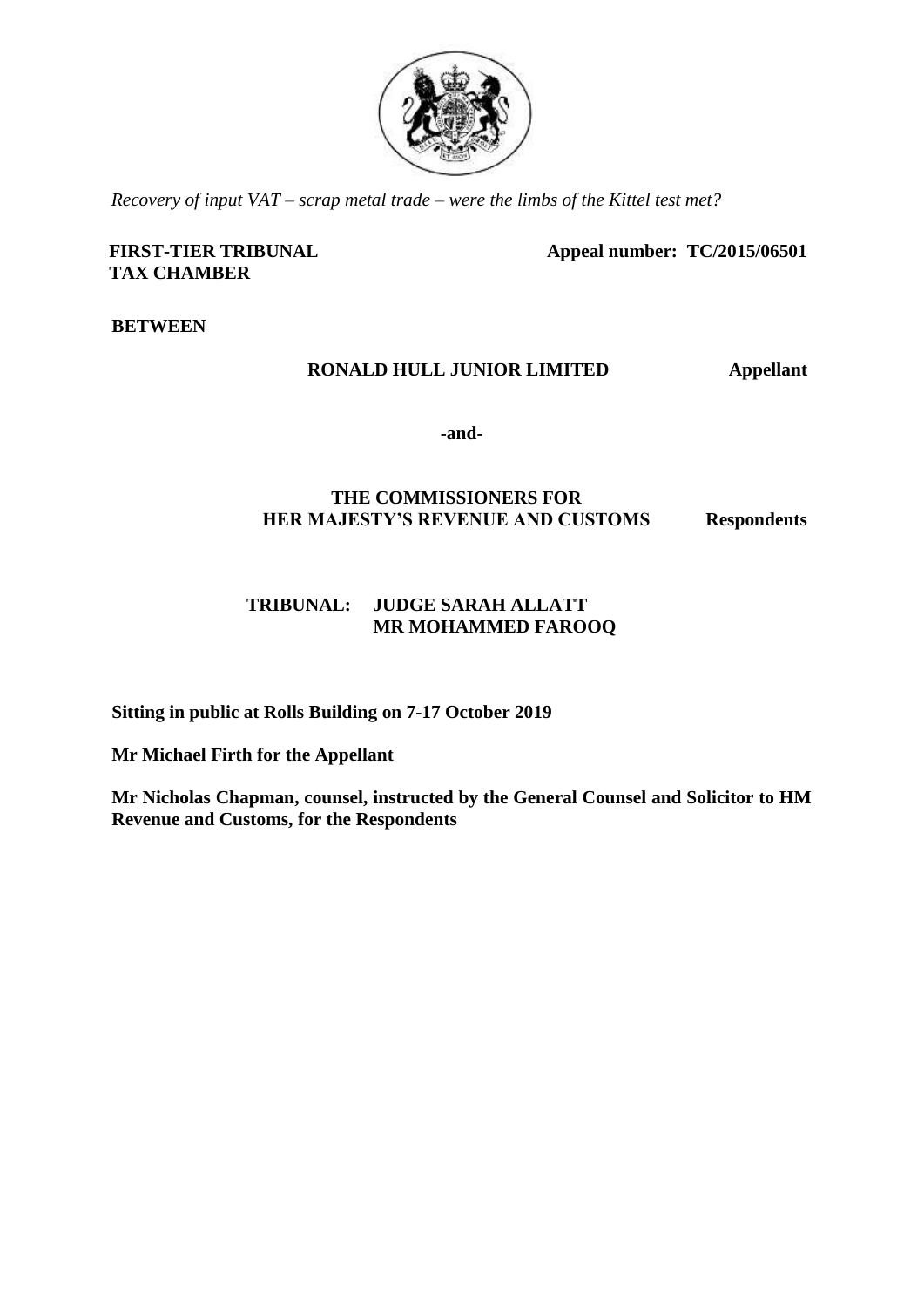

*Recovery of input VAT – scrap metal trade – were the limbs of the Kittel test met?*

### **FIRST-TIER TRIBUNAL TAX CHAMBER**

**Appeal number: TC/2015/06501**

**BETWEEN**

# **RONALD HULL JUNIOR LIMITED Appellant**

**-and-**

# **THE COMMISSIONERS FOR HER MAJESTY'S REVENUE AND CUSTOMS Respondents**

# **TRIBUNAL: JUDGE SARAH ALLATT MR MOHAMMED FAROOQ**

**Sitting in public at Rolls Building on 7-17 October 2019**

**Mr Michael Firth for the Appellant**

**Mr Nicholas Chapman, counsel, instructed by the General Counsel and Solicitor to HM Revenue and Customs, for the Respondents**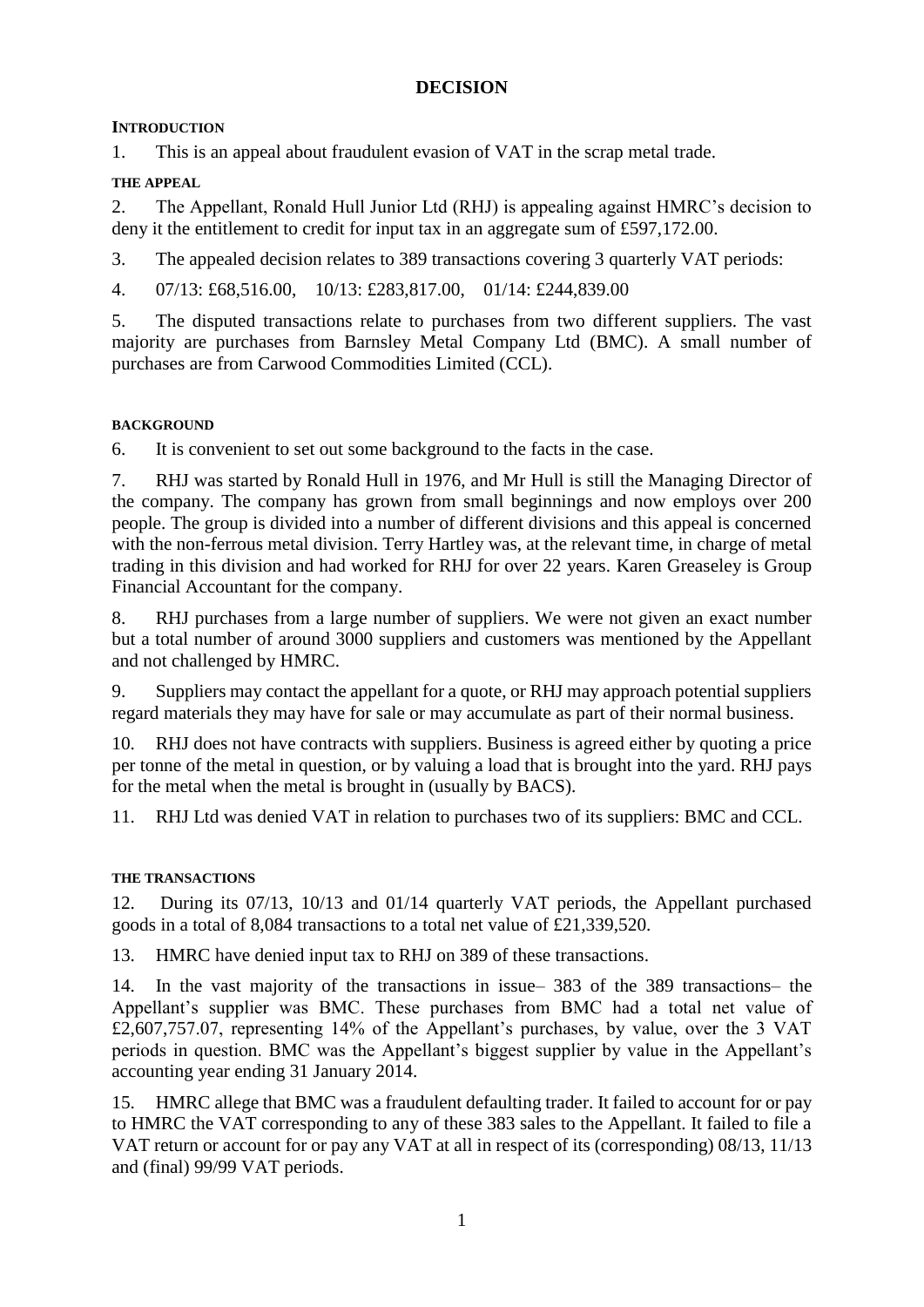# **DECISION**

# **INTRODUCTION**

1. This is an appeal about fraudulent evasion of VAT in the scrap metal trade.

# **THE APPEAL**

2. The Appellant, Ronald Hull Junior Ltd (RHJ) is appealing against HMRC's decision to deny it the entitlement to credit for input tax in an aggregate sum of £597,172.00.

3. The appealed decision relates to 389 transactions covering 3 quarterly VAT periods:

4. 07/13: £68,516.00, 10/13: £283,817.00, 01/14: £244,839.00

5. The disputed transactions relate to purchases from two different suppliers. The vast majority are purchases from Barnsley Metal Company Ltd (BMC). A small number of purchases are from Carwood Commodities Limited (CCL).

# **BACKGROUND**

6. It is convenient to set out some background to the facts in the case.

7. RHJ was started by Ronald Hull in 1976, and Mr Hull is still the Managing Director of the company. The company has grown from small beginnings and now employs over 200 people. The group is divided into a number of different divisions and this appeal is concerned with the non-ferrous metal division. Terry Hartley was, at the relevant time, in charge of metal trading in this division and had worked for RHJ for over 22 years. Karen Greaseley is Group Financial Accountant for the company.

8. RHJ purchases from a large number of suppliers. We were not given an exact number but a total number of around 3000 suppliers and customers was mentioned by the Appellant and not challenged by HMRC.

9. Suppliers may contact the appellant for a quote, or RHJ may approach potential suppliers regard materials they may have for sale or may accumulate as part of their normal business.

10. RHJ does not have contracts with suppliers. Business is agreed either by quoting a price per tonne of the metal in question, or by valuing a load that is brought into the yard. RHJ pays for the metal when the metal is brought in (usually by BACS).

11. RHJ Ltd was denied VAT in relation to purchases two of its suppliers: BMC and CCL.

# **THE TRANSACTIONS**

12. During its 07/13, 10/13 and 01/14 quarterly VAT periods, the Appellant purchased goods in a total of 8,084 transactions to a total net value of £21,339,520.

13. HMRC have denied input tax to RHJ on 389 of these transactions.

14. In the vast majority of the transactions in issue– 383 of the 389 transactions– the Appellant's supplier was BMC. These purchases from BMC had a total net value of £2,607,757.07, representing 14% of the Appellant's purchases, by value, over the 3 VAT periods in question. BMC was the Appellant's biggest supplier by value in the Appellant's accounting year ending 31 January 2014.

15. HMRC allege that BMC was a fraudulent defaulting trader. It failed to account for or pay to HMRC the VAT corresponding to any of these 383 sales to the Appellant. It failed to file a VAT return or account for or pay any VAT at all in respect of its (corresponding) 08/13, 11/13 and (final) 99/99 VAT periods.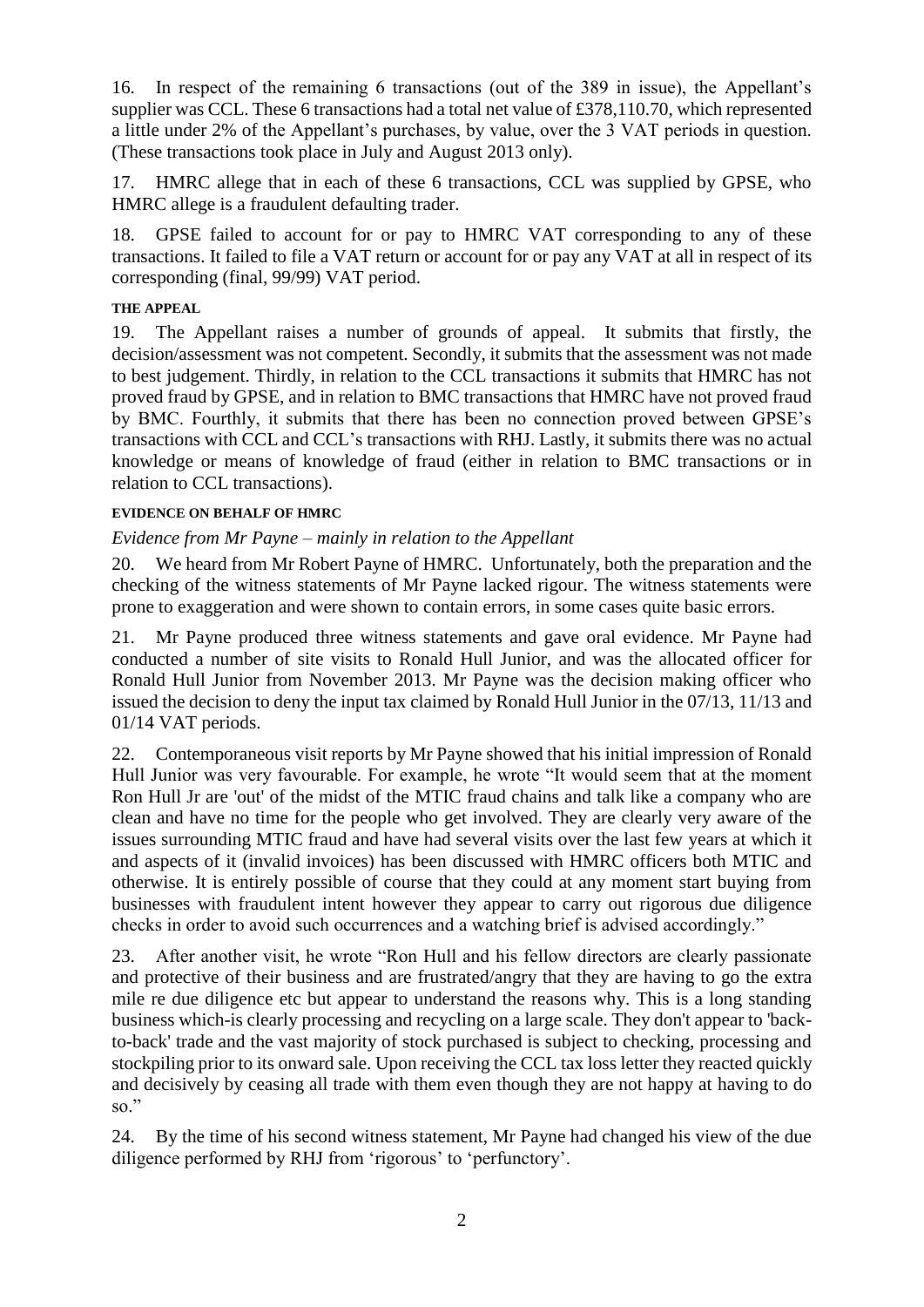16. In respect of the remaining 6 transactions (out of the 389 in issue), the Appellant's supplier was CCL. These 6 transactions had a total net value of £378,110.70, which represented a little under 2% of the Appellant's purchases, by value, over the 3 VAT periods in question. (These transactions took place in July and August 2013 only).

17. HMRC allege that in each of these 6 transactions, CCL was supplied by GPSE, who HMRC allege is a fraudulent defaulting trader.

18. GPSE failed to account for or pay to HMRC VAT corresponding to any of these transactions. It failed to file a VAT return or account for or pay any VAT at all in respect of its corresponding (final, 99/99) VAT period.

### **THE APPEAL**

19. The Appellant raises a number of grounds of appeal. It submits that firstly, the decision/assessment was not competent. Secondly, it submits that the assessment was not made to best judgement. Thirdly, in relation to the CCL transactions it submits that HMRC has not proved fraud by GPSE, and in relation to BMC transactions that HMRC have not proved fraud by BMC. Fourthly, it submits that there has been no connection proved between GPSE's transactions with CCL and CCL's transactions with RHJ. Lastly, it submits there was no actual knowledge or means of knowledge of fraud (either in relation to BMC transactions or in relation to CCL transactions).

### **EVIDENCE ON BEHALF OF HMRC**

### *Evidence from Mr Payne – mainly in relation to the Appellant*

20. We heard from Mr Robert Payne of HMRC. Unfortunately, both the preparation and the checking of the witness statements of Mr Payne lacked rigour. The witness statements were prone to exaggeration and were shown to contain errors, in some cases quite basic errors.

21. Mr Payne produced three witness statements and gave oral evidence. Mr Payne had conducted a number of site visits to Ronald Hull Junior, and was the allocated officer for Ronald Hull Junior from November 2013. Mr Payne was the decision making officer who issued the decision to deny the input tax claimed by Ronald Hull Junior in the 07/13, 11/13 and 01/14 VAT periods.

22. Contemporaneous visit reports by Mr Payne showed that his initial impression of Ronald Hull Junior was very favourable. For example, he wrote "It would seem that at the moment Ron Hull Jr are 'out' of the midst of the MTIC fraud chains and talk like a company who are clean and have no time for the people who get involved. They are clearly very aware of the issues surrounding MTIC fraud and have had several visits over the last few years at which it and aspects of it (invalid invoices) has been discussed with HMRC officers both MTIC and otherwise. It is entirely possible of course that they could at any moment start buying from businesses with fraudulent intent however they appear to carry out rigorous due diligence checks in order to avoid such occurrences and a watching brief is advised accordingly."

23. After another visit, he wrote "Ron Hull and his fellow directors are clearly passionate and protective of their business and are frustrated/angry that they are having to go the extra mile re due diligence etc but appear to understand the reasons why. This is a long standing business which-is clearly processing and recycling on a large scale. They don't appear to 'backto-back' trade and the vast majority of stock purchased is subject to checking, processing and stockpiling prior to its onward sale. Upon receiving the CCL tax loss letter they reacted quickly and decisively by ceasing all trade with them even though they are not happy at having to do so."

24. By the time of his second witness statement, Mr Payne had changed his view of the due diligence performed by RHJ from 'rigorous' to 'perfunctory'.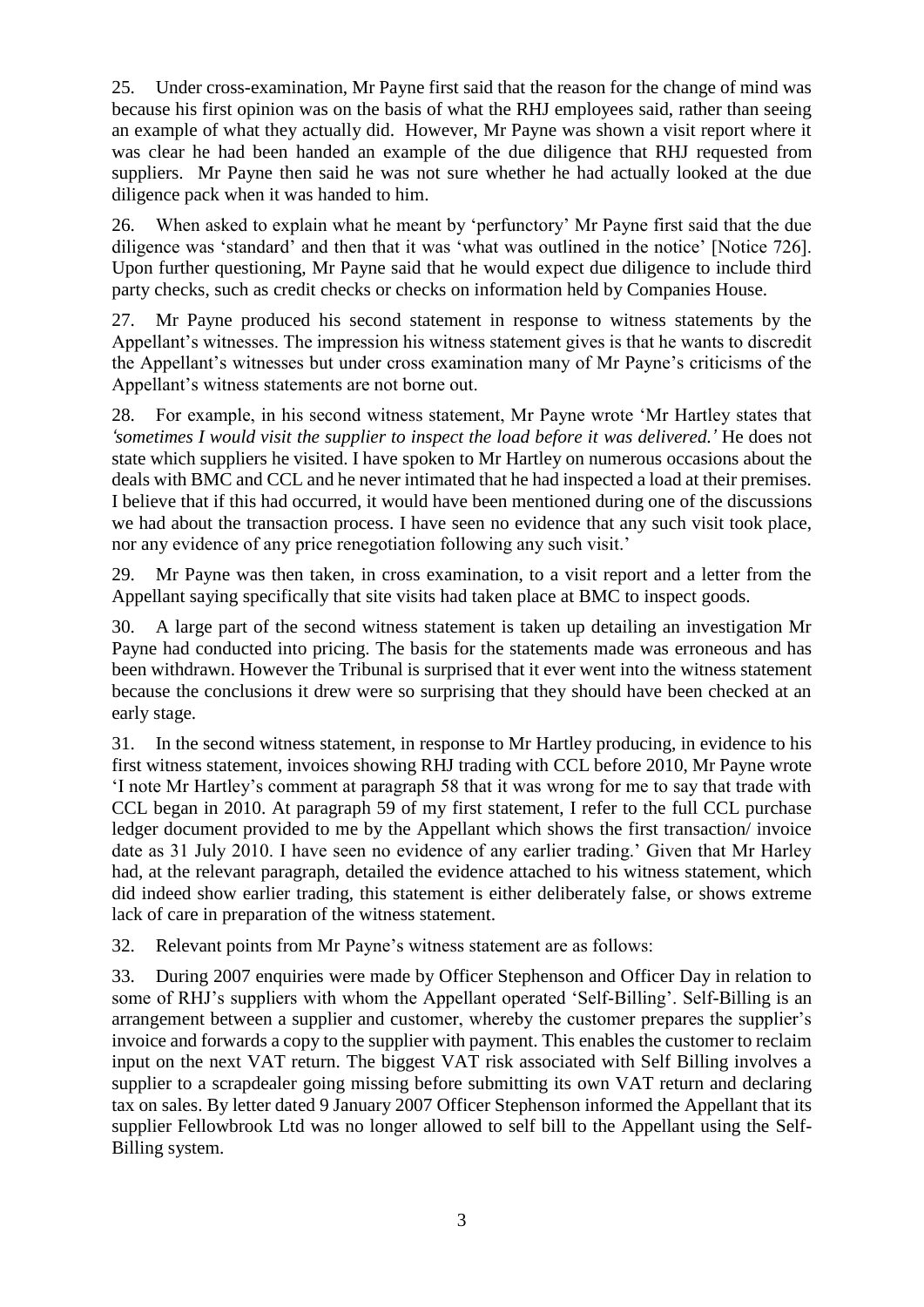25. Under cross-examination, Mr Payne first said that the reason for the change of mind was because his first opinion was on the basis of what the RHJ employees said, rather than seeing an example of what they actually did. However, Mr Payne was shown a visit report where it was clear he had been handed an example of the due diligence that RHJ requested from suppliers. Mr Payne then said he was not sure whether he had actually looked at the due diligence pack when it was handed to him.

26. When asked to explain what he meant by 'perfunctory' Mr Payne first said that the due diligence was 'standard' and then that it was 'what was outlined in the notice' [Notice 726]. Upon further questioning, Mr Payne said that he would expect due diligence to include third party checks, such as credit checks or checks on information held by Companies House.

27. Mr Payne produced his second statement in response to witness statements by the Appellant's witnesses. The impression his witness statement gives is that he wants to discredit the Appellant's witnesses but under cross examination many of Mr Payne's criticisms of the Appellant's witness statements are not borne out.

28. For example, in his second witness statement, Mr Payne wrote 'Mr Hartley states that *'sometimes I would visit the supplier to inspect the load before it was delivered.'* He does not state which suppliers he visited. I have spoken to Mr Hartley on numerous occasions about the deals with BMC and CCL and he never intimated that he had inspected a load at their premises. I believe that if this had occurred, it would have been mentioned during one of the discussions we had about the transaction process. I have seen no evidence that any such visit took place, nor any evidence of any price renegotiation following any such visit.'

29. Mr Payne was then taken, in cross examination, to a visit report and a letter from the Appellant saying specifically that site visits had taken place at BMC to inspect goods.

30. A large part of the second witness statement is taken up detailing an investigation Mr Payne had conducted into pricing. The basis for the statements made was erroneous and has been withdrawn. However the Tribunal is surprised that it ever went into the witness statement because the conclusions it drew were so surprising that they should have been checked at an early stage.

31. In the second witness statement, in response to Mr Hartley producing, in evidence to his first witness statement, invoices showing RHJ trading with CCL before 2010, Mr Payne wrote 'I note Mr Hartley's comment at paragraph 58 that it was wrong for me to say that trade with CCL began in 2010. At paragraph 59 of my first statement, I refer to the full CCL purchase ledger document provided to me by the Appellant which shows the first transaction/ invoice date as 31 July 2010. I have seen no evidence of any earlier trading.' Given that Mr Harley had, at the relevant paragraph, detailed the evidence attached to his witness statement, which did indeed show earlier trading, this statement is either deliberately false, or shows extreme lack of care in preparation of the witness statement.

32. Relevant points from Mr Payne's witness statement are as follows:

33. During 2007 enquiries were made by Officer Stephenson and Officer Day in relation to some of RHJ's suppliers with whom the Appellant operated 'Self-Billing'. Self-Billing is an arrangement between a supplier and customer, whereby the customer prepares the supplier's invoice and forwards a copy to the supplier with payment. This enables the customer to reclaim input on the next VAT return. The biggest VAT risk associated with Self Billing involves a supplier to a scrapdealer going missing before submitting its own VAT return and declaring tax on sales. By letter dated 9 January 2007 Officer Stephenson informed the Appellant that its supplier Fellowbrook Ltd was no longer allowed to self bill to the Appellant using the Self-Billing system.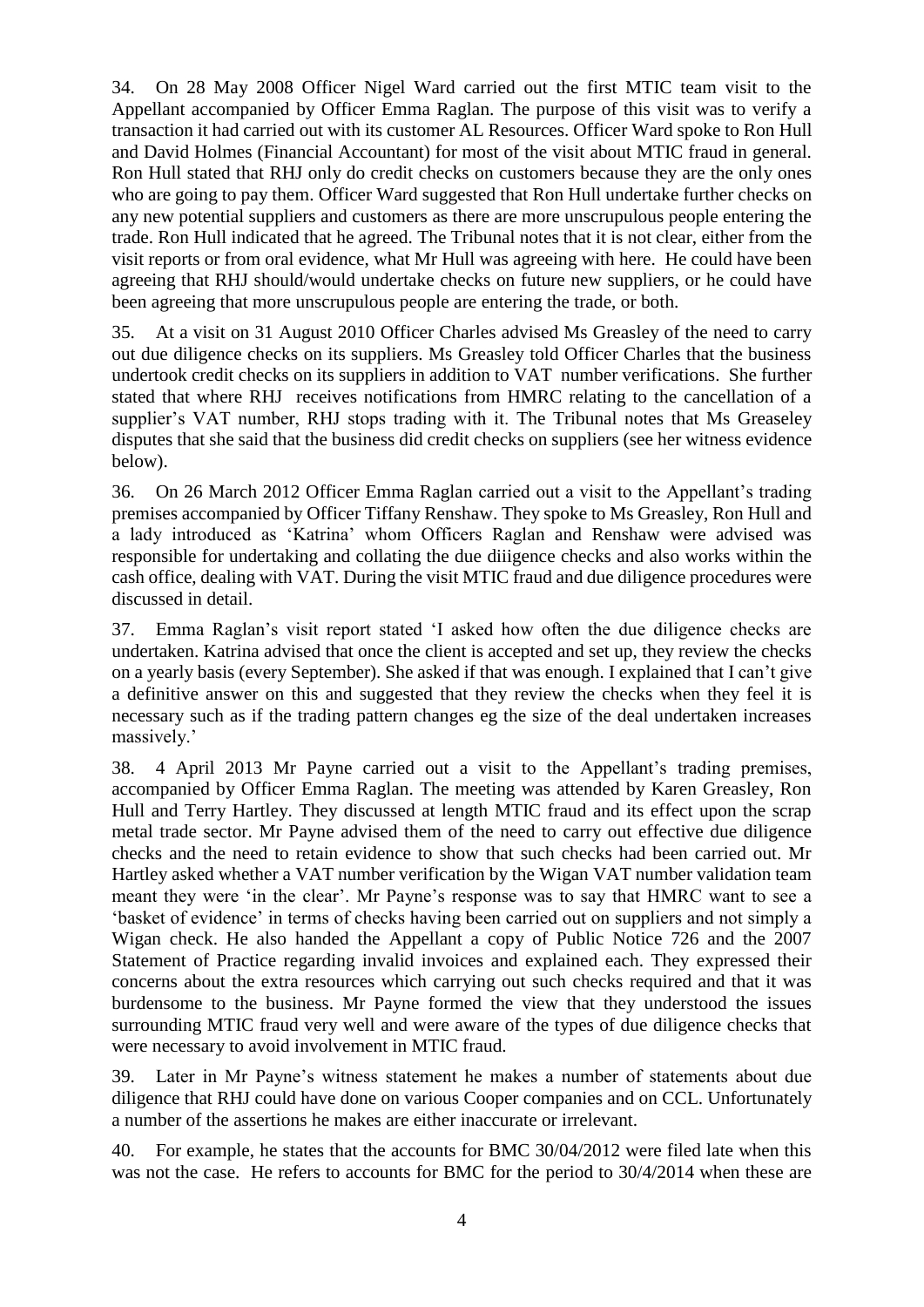34. On 28 May 2008 Officer Nigel Ward carried out the first MTIC team visit to the Appellant accompanied by Officer Emma Raglan. The purpose of this visit was to verify a transaction it had carried out with its customer AL Resources. Officer Ward spoke to Ron Hull and David Holmes (Financial Accountant) for most of the visit about MTIC fraud in general. Ron Hull stated that RHJ only do credit checks on customers because they are the only ones who are going to pay them. Officer Ward suggested that Ron Hull undertake further checks on any new potential suppliers and customers as there are more unscrupulous people entering the trade. Ron Hull indicated that he agreed. The Tribunal notes that it is not clear, either from the visit reports or from oral evidence, what Mr Hull was agreeing with here. He could have been agreeing that RHJ should/would undertake checks on future new suppliers, or he could have been agreeing that more unscrupulous people are entering the trade, or both.

35. At a visit on 31 August 2010 Officer Charles advised Ms Greasley of the need to carry out due diligence checks on its suppliers. Ms Greasley told Officer Charles that the business undertook credit checks on its suppliers in addition to VAT number verifications. She further stated that where RHJ receives notifications from HMRC relating to the cancellation of a supplier's VAT number, RHJ stops trading with it. The Tribunal notes that Ms Greaseley disputes that she said that the business did credit checks on suppliers (see her witness evidence below).

36. On 26 March 2012 Officer Emma Raglan carried out a visit to the Appellant's trading premises accompanied by Officer Tiffany Renshaw. They spoke to Ms Greasley, Ron Hull and a lady introduced as 'Katrina' whom Officers Raglan and Renshaw were advised was responsible for undertaking and collating the due diiigence checks and also works within the cash office, dealing with VAT. During the visit MTIC fraud and due diligence procedures were discussed in detail.

37. Emma Raglan's visit report stated 'I asked how often the due diligence checks are undertaken. Katrina advised that once the client is accepted and set up, they review the checks on a yearly basis (every September). She asked if that was enough. I explained that I can't give a definitive answer on this and suggested that they review the checks when they feel it is necessary such as if the trading pattern changes eg the size of the deal undertaken increases massively.'

38. 4 April 2013 Mr Payne carried out a visit to the Appellant's trading premises, accompanied by Officer Emma Raglan. The meeting was attended by Karen Greasley, Ron Hull and Terry Hartley. They discussed at length MTIC fraud and its effect upon the scrap metal trade sector. Mr Payne advised them of the need to carry out effective due diligence checks and the need to retain evidence to show that such checks had been carried out. Mr Hartley asked whether a VAT number verification by the Wigan VAT number validation team meant they were 'in the clear'. Mr Payne's response was to say that HMRC want to see a 'basket of evidence' in terms of checks having been carried out on suppliers and not simply a Wigan check. He also handed the Appellant a copy of Public Notice 726 and the 2007 Statement of Practice regarding invalid invoices and explained each. They expressed their concerns about the extra resources which carrying out such checks required and that it was burdensome to the business. Mr Payne formed the view that they understood the issues surrounding MTIC fraud very well and were aware of the types of due diligence checks that were necessary to avoid involvement in MTIC fraud.

39. Later in Mr Payne's witness statement he makes a number of statements about due diligence that RHJ could have done on various Cooper companies and on CCL. Unfortunately a number of the assertions he makes are either inaccurate or irrelevant.

40. For example, he states that the accounts for BMC 30/04/2012 were filed late when this was not the case. He refers to accounts for BMC for the period to 30/4/2014 when these are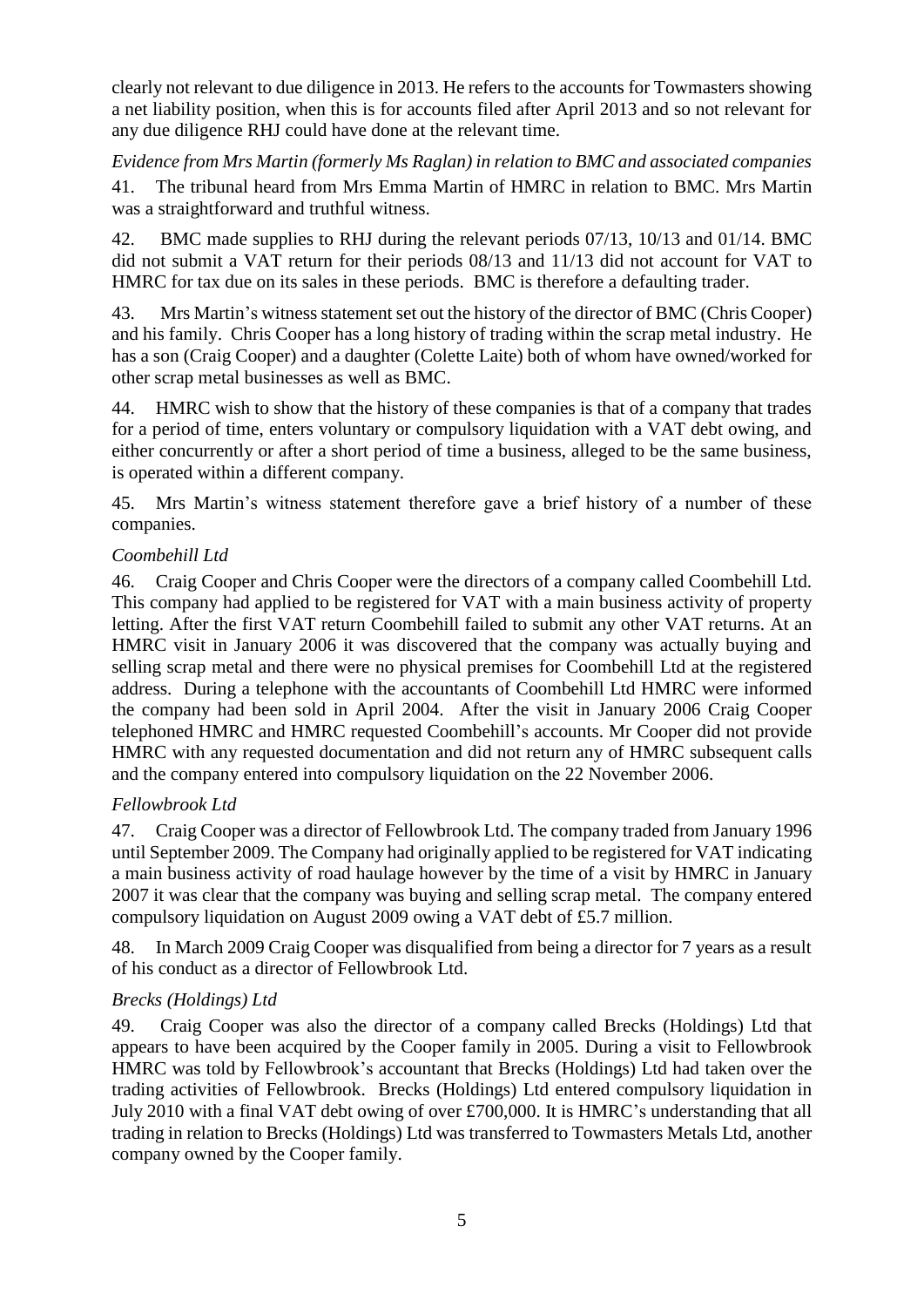clearly not relevant to due diligence in 2013. He refers to the accounts for Towmasters showing a net liability position, when this is for accounts filed after April 2013 and so not relevant for any due diligence RHJ could have done at the relevant time.

*Evidence from Mrs Martin (formerly Ms Raglan) in relation to BMC and associated companies* 41. The tribunal heard from Mrs Emma Martin of HMRC in relation to BMC. Mrs Martin was a straightforward and truthful witness.

42. BMC made supplies to RHJ during the relevant periods 07/13, 10/13 and 01/14. BMC did not submit a VAT return for their periods 08/13 and 11/13 did not account for VAT to HMRC for tax due on its sales in these periods. BMC is therefore a defaulting trader.

43. Mrs Martin's witness statement set out the history of the director of BMC (Chris Cooper) and his family. Chris Cooper has a long history of trading within the scrap metal industry. He has a son (Craig Cooper) and a daughter (Colette Laite) both of whom have owned/worked for other scrap metal businesses as well as BMC.

44. HMRC wish to show that the history of these companies is that of a company that trades for a period of time, enters voluntary or compulsory liquidation with a VAT debt owing, and either concurrently or after a short period of time a business, alleged to be the same business, is operated within a different company.

45. Mrs Martin's witness statement therefore gave a brief history of a number of these companies.

# *Coombehill Ltd*

46. Craig Cooper and Chris Cooper were the directors of a company called Coombehill Ltd. This company had applied to be registered for VAT with a main business activity of property letting. After the first VAT return Coombehill failed to submit any other VAT returns. At an HMRC visit in January 2006 it was discovered that the company was actually buying and selling scrap metal and there were no physical premises for Coombehill Ltd at the registered address. During a telephone with the accountants of Coombehill Ltd HMRC were informed the company had been sold in April 2004. After the visit in January 2006 Craig Cooper telephoned HMRC and HMRC requested Coombehill's accounts. Mr Cooper did not provide HMRC with any requested documentation and did not return any of HMRC subsequent calls and the company entered into compulsory liquidation on the 22 November 2006.

# *Fellowbrook Ltd*

47. Craig Cooper was a director of Fellowbrook Ltd. The company traded from January 1996 until September 2009. The Company had originally applied to be registered for VAT indicating a main business activity of road haulage however by the time of a visit by HMRC in January 2007 it was clear that the company was buying and selling scrap metal. The company entered compulsory liquidation on August 2009 owing a VAT debt of £5.7 million.

48. In March 2009 Craig Cooper was disqualified from being a director for 7 years as a result of his conduct as a director of Fellowbrook Ltd.

# *Brecks (Holdings) Ltd*

49. Craig Cooper was also the director of a company called Brecks (Holdings) Ltd that appears to have been acquired by the Cooper family in 2005. During a visit to Fellowbrook HMRC was told by Fellowbrook's accountant that Brecks (Holdings) Ltd had taken over the trading activities of Fellowbrook. Brecks (Holdings) Ltd entered compulsory liquidation in July 2010 with a final VAT debt owing of over £700,000. It is HMRC's understanding that all trading in relation to Brecks (Holdings) Ltd was transferred to Towmasters Metals Ltd, another company owned by the Cooper family.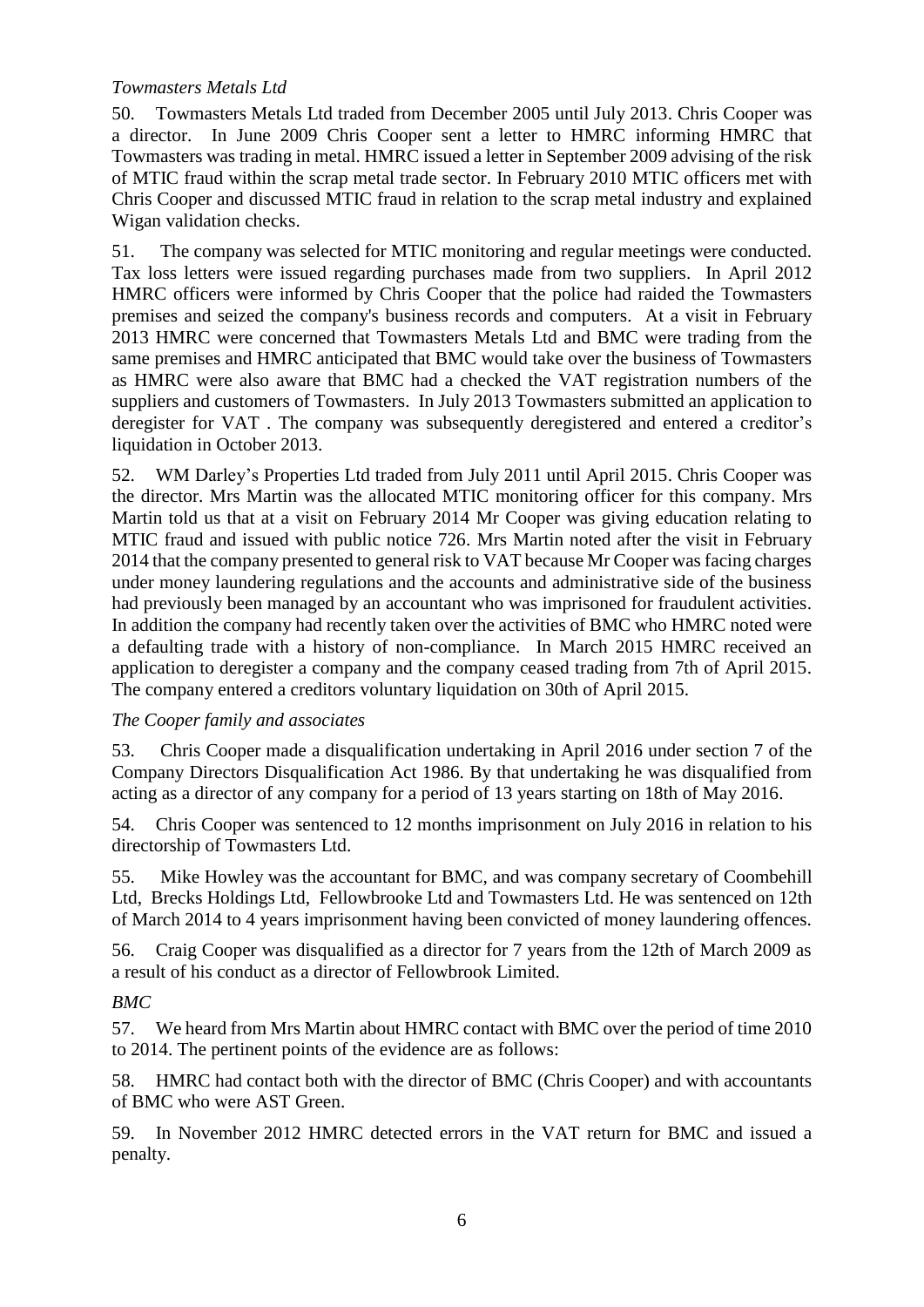### *Towmasters Metals Ltd*

50. Towmasters Metals Ltd traded from December 2005 until July 2013. Chris Cooper was a director. In June 2009 Chris Cooper sent a letter to HMRC informing HMRC that Towmasters was trading in metal. HMRC issued a letter in September 2009 advising of the risk of MTIC fraud within the scrap metal trade sector. In February 2010 MTIC officers met with Chris Cooper and discussed MTIC fraud in relation to the scrap metal industry and explained Wigan validation checks.

51. The company was selected for MTIC monitoring and regular meetings were conducted. Tax loss letters were issued regarding purchases made from two suppliers. In April 2012 HMRC officers were informed by Chris Cooper that the police had raided the Towmasters premises and seized the company's business records and computers. At a visit in February 2013 HMRC were concerned that Towmasters Metals Ltd and BMC were trading from the same premises and HMRC anticipated that BMC would take over the business of Towmasters as HMRC were also aware that BMC had a checked the VAT registration numbers of the suppliers and customers of Towmasters. In July 2013 Towmasters submitted an application to deregister for VAT . The company was subsequently deregistered and entered a creditor's liquidation in October 2013.

52. WM Darley's Properties Ltd traded from July 2011 until April 2015. Chris Cooper was the director. Mrs Martin was the allocated MTIC monitoring officer for this company. Mrs Martin told us that at a visit on February 2014 Mr Cooper was giving education relating to MTIC fraud and issued with public notice 726. Mrs Martin noted after the visit in February 2014 that the company presented to general risk to VAT because Mr Cooper was facing charges under money laundering regulations and the accounts and administrative side of the business had previously been managed by an accountant who was imprisoned for fraudulent activities. In addition the company had recently taken over the activities of BMC who HMRC noted were a defaulting trade with a history of non-compliance. In March 2015 HMRC received an application to deregister a company and the company ceased trading from 7th of April 2015. The company entered a creditors voluntary liquidation on 30th of April 2015.

# *The Cooper family and associates*

53. Chris Cooper made a disqualification undertaking in April 2016 under section 7 of the Company Directors Disqualification Act 1986. By that undertaking he was disqualified from acting as a director of any company for a period of 13 years starting on 18th of May 2016.

54. Chris Cooper was sentenced to 12 months imprisonment on July 2016 in relation to his directorship of Towmasters Ltd.

55. Mike Howley was the accountant for BMC, and was company secretary of Coombehill Ltd, Brecks Holdings Ltd, Fellowbrooke Ltd and Towmasters Ltd. He was sentenced on 12th of March 2014 to 4 years imprisonment having been convicted of money laundering offences.

56. Craig Cooper was disqualified as a director for 7 years from the 12th of March 2009 as a result of his conduct as a director of Fellowbrook Limited.

# *BMC*

57. We heard from Mrs Martin about HMRC contact with BMC over the period of time 2010 to 2014. The pertinent points of the evidence are as follows:

58. HMRC had contact both with the director of BMC (Chris Cooper) and with accountants of BMC who were AST Green.

59. In November 2012 HMRC detected errors in the VAT return for BMC and issued a penalty.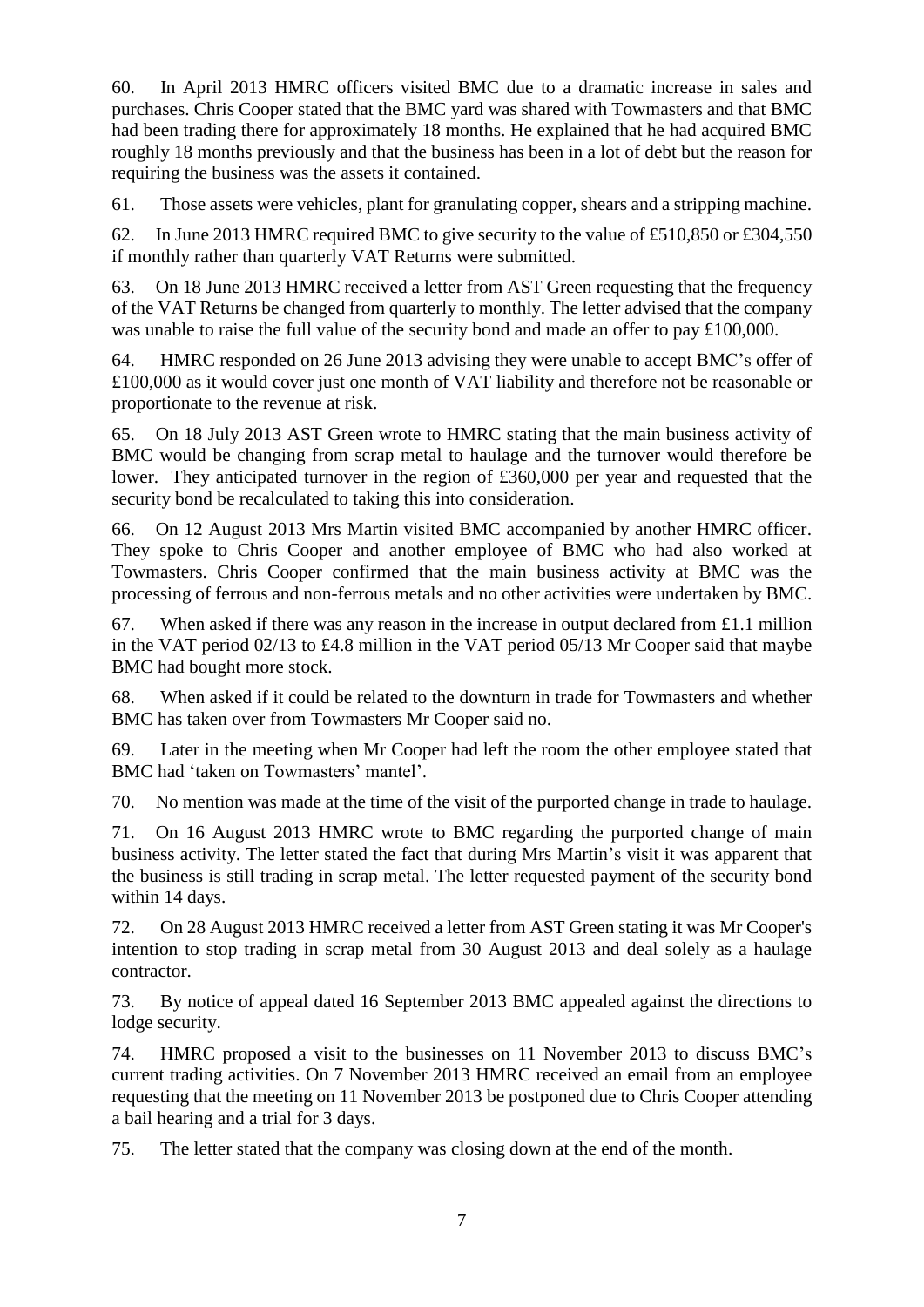60. In April 2013 HMRC officers visited BMC due to a dramatic increase in sales and purchases. Chris Cooper stated that the BMC yard was shared with Towmasters and that BMC had been trading there for approximately 18 months. He explained that he had acquired BMC roughly 18 months previously and that the business has been in a lot of debt but the reason for requiring the business was the assets it contained.

61. Those assets were vehicles, plant for granulating copper, shears and a stripping machine.

62. In June 2013 HMRC required BMC to give security to the value of £510,850 or £304,550 if monthly rather than quarterly VAT Returns were submitted.

63. On 18 June 2013 HMRC received a letter from AST Green requesting that the frequency of the VAT Returns be changed from quarterly to monthly. The letter advised that the company was unable to raise the full value of the security bond and made an offer to pay £100,000.

64. HMRC responded on 26 June 2013 advising they were unable to accept BMC's offer of £100,000 as it would cover just one month of VAT liability and therefore not be reasonable or proportionate to the revenue at risk.

65. On 18 July 2013 AST Green wrote to HMRC stating that the main business activity of BMC would be changing from scrap metal to haulage and the turnover would therefore be lower. They anticipated turnover in the region of £360,000 per year and requested that the security bond be recalculated to taking this into consideration.

66. On 12 August 2013 Mrs Martin visited BMC accompanied by another HMRC officer. They spoke to Chris Cooper and another employee of BMC who had also worked at Towmasters. Chris Cooper confirmed that the main business activity at BMC was the processing of ferrous and non-ferrous metals and no other activities were undertaken by BMC.

67. When asked if there was any reason in the increase in output declared from £1.1 million in the VAT period 02/13 to £4.8 million in the VAT period 05/13 Mr Cooper said that maybe BMC had bought more stock.

68. When asked if it could be related to the downturn in trade for Towmasters and whether BMC has taken over from Towmasters Mr Cooper said no.

69. Later in the meeting when Mr Cooper had left the room the other employee stated that BMC had 'taken on Towmasters' mantel'.

70. No mention was made at the time of the visit of the purported change in trade to haulage.

71. On 16 August 2013 HMRC wrote to BMC regarding the purported change of main business activity. The letter stated the fact that during Mrs Martin's visit it was apparent that the business is still trading in scrap metal. The letter requested payment of the security bond within 14 days.

72. On 28 August 2013 HMRC received a letter from AST Green stating it was Mr Cooper's intention to stop trading in scrap metal from 30 August 2013 and deal solely as a haulage contractor.

73. By notice of appeal dated 16 September 2013 BMC appealed against the directions to lodge security.

74. HMRC proposed a visit to the businesses on 11 November 2013 to discuss BMC's current trading activities. On 7 November 2013 HMRC received an email from an employee requesting that the meeting on 11 November 2013 be postponed due to Chris Cooper attending a bail hearing and a trial for 3 days.

75. The letter stated that the company was closing down at the end of the month.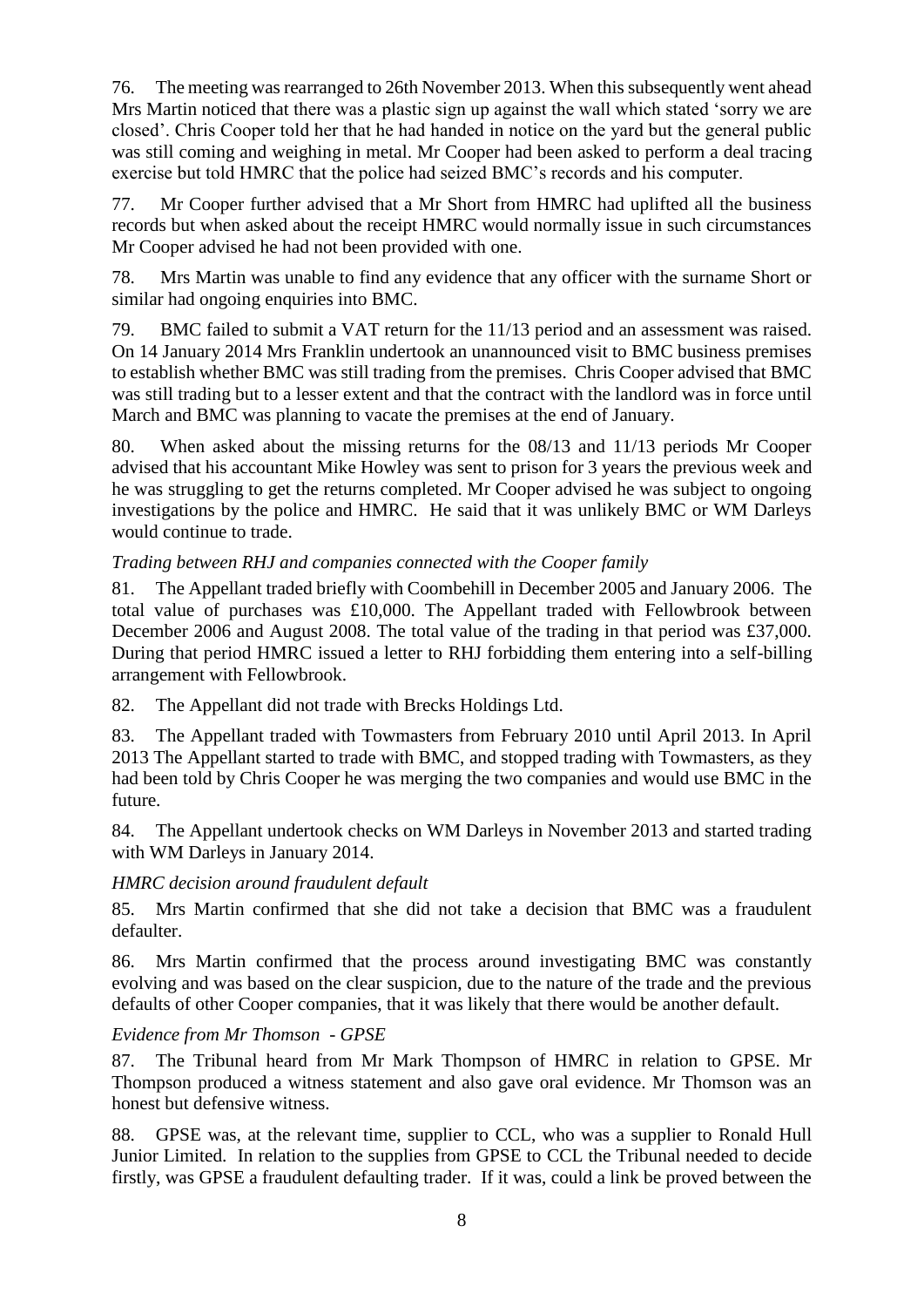76. The meeting was rearranged to 26th November 2013. When this subsequently went ahead Mrs Martin noticed that there was a plastic sign up against the wall which stated 'sorry we are closed'. Chris Cooper told her that he had handed in notice on the yard but the general public was still coming and weighing in metal. Mr Cooper had been asked to perform a deal tracing exercise but told HMRC that the police had seized BMC's records and his computer.

77. Mr Cooper further advised that a Mr Short from HMRC had uplifted all the business records but when asked about the receipt HMRC would normally issue in such circumstances Mr Cooper advised he had not been provided with one.

78. Mrs Martin was unable to find any evidence that any officer with the surname Short or similar had ongoing enquiries into BMC.

79. BMC failed to submit a VAT return for the 11/13 period and an assessment was raised. On 14 January 2014 Mrs Franklin undertook an unannounced visit to BMC business premises to establish whether BMC was still trading from the premises. Chris Cooper advised that BMC was still trading but to a lesser extent and that the contract with the landlord was in force until March and BMC was planning to vacate the premises at the end of January.

80. When asked about the missing returns for the 08/13 and 11/13 periods Mr Cooper advised that his accountant Mike Howley was sent to prison for 3 years the previous week and he was struggling to get the returns completed. Mr Cooper advised he was subject to ongoing investigations by the police and HMRC. He said that it was unlikely BMC or WM Darleys would continue to trade.

# *Trading between RHJ and companies connected with the Cooper family*

81. The Appellant traded briefly with Coombehill in December 2005 and January 2006. The total value of purchases was £10,000. The Appellant traded with Fellowbrook between December 2006 and August 2008. The total value of the trading in that period was £37,000. During that period HMRC issued a letter to RHJ forbidding them entering into a self-billing arrangement with Fellowbrook.

82. The Appellant did not trade with Brecks Holdings Ltd.

83. The Appellant traded with Towmasters from February 2010 until April 2013. In April 2013 The Appellant started to trade with BMC, and stopped trading with Towmasters, as they had been told by Chris Cooper he was merging the two companies and would use BMC in the future.

84. The Appellant undertook checks on WM Darleys in November 2013 and started trading with WM Darleys in January 2014.

# *HMRC decision around fraudulent default*

85. Mrs Martin confirmed that she did not take a decision that BMC was a fraudulent defaulter.

86. Mrs Martin confirmed that the process around investigating BMC was constantly evolving and was based on the clear suspicion, due to the nature of the trade and the previous defaults of other Cooper companies, that it was likely that there would be another default.

# *Evidence from Mr Thomson - GPSE*

87. The Tribunal heard from Mr Mark Thompson of HMRC in relation to GPSE. Mr Thompson produced a witness statement and also gave oral evidence. Mr Thomson was an honest but defensive witness.

88. GPSE was, at the relevant time, supplier to CCL, who was a supplier to Ronald Hull Junior Limited. In relation to the supplies from GPSE to CCL the Tribunal needed to decide firstly, was GPSE a fraudulent defaulting trader. If it was, could a link be proved between the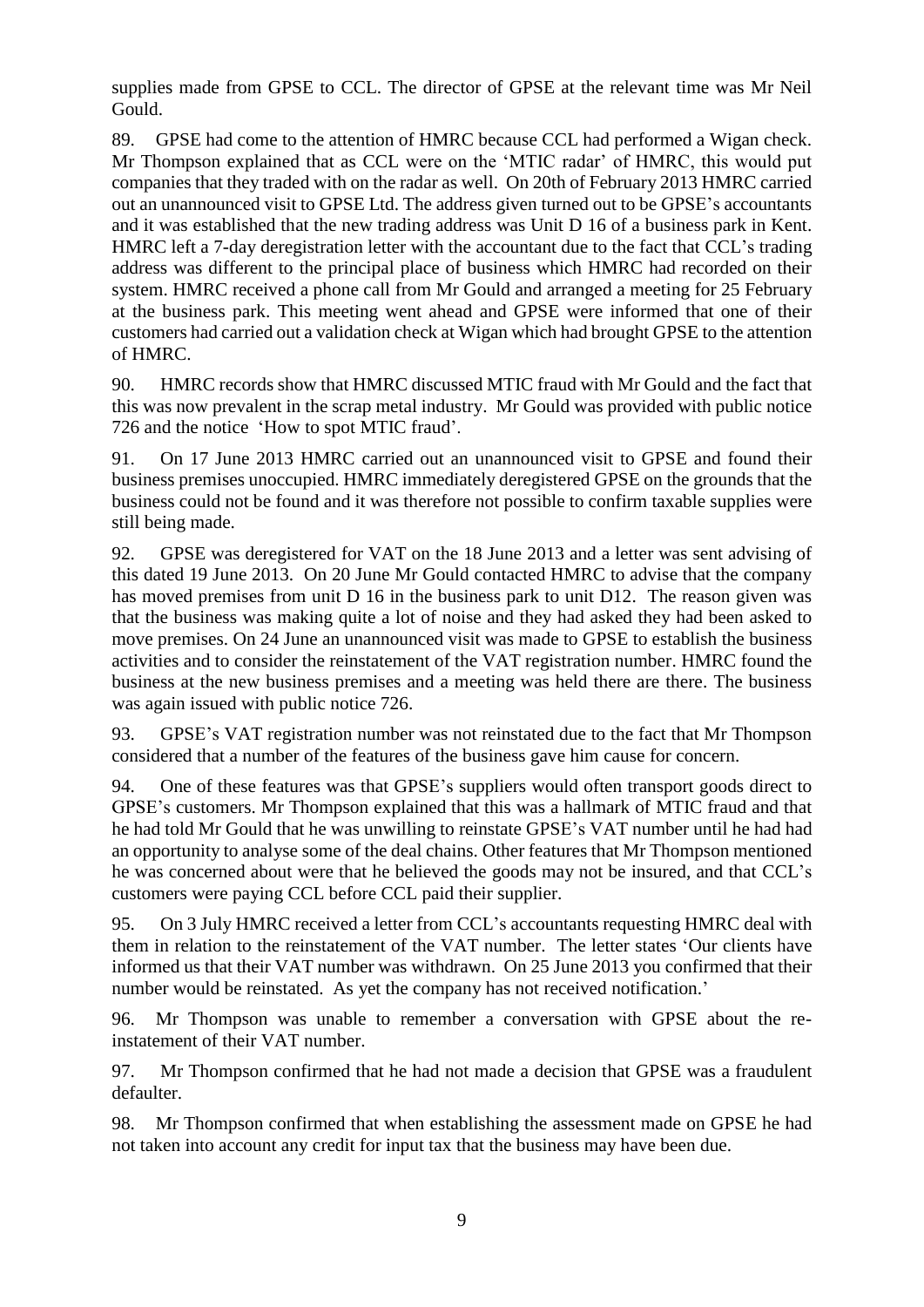supplies made from GPSE to CCL. The director of GPSE at the relevant time was Mr Neil Gould.

89. GPSE had come to the attention of HMRC because CCL had performed a Wigan check. Mr Thompson explained that as CCL were on the 'MTIC radar' of HMRC, this would put companies that they traded with on the radar as well. On 20th of February 2013 HMRC carried out an unannounced visit to GPSE Ltd. The address given turned out to be GPSE's accountants and it was established that the new trading address was Unit D 16 of a business park in Kent. HMRC left a 7-day deregistration letter with the accountant due to the fact that CCL's trading address was different to the principal place of business which HMRC had recorded on their system. HMRC received a phone call from Mr Gould and arranged a meeting for 25 February at the business park. This meeting went ahead and GPSE were informed that one of their customers had carried out a validation check at Wigan which had brought GPSE to the attention of HMRC.

90. HMRC records show that HMRC discussed MTIC fraud with Mr Gould and the fact that this was now prevalent in the scrap metal industry. Mr Gould was provided with public notice 726 and the notice 'How to spot MTIC fraud'.

91. On 17 June 2013 HMRC carried out an unannounced visit to GPSE and found their business premises unoccupied. HMRC immediately deregistered GPSE on the grounds that the business could not be found and it was therefore not possible to confirm taxable supplies were still being made.

92. GPSE was deregistered for VAT on the 18 June 2013 and a letter was sent advising of this dated 19 June 2013. On 20 June Mr Gould contacted HMRC to advise that the company has moved premises from unit D 16 in the business park to unit D12. The reason given was that the business was making quite a lot of noise and they had asked they had been asked to move premises. On 24 June an unannounced visit was made to GPSE to establish the business activities and to consider the reinstatement of the VAT registration number. HMRC found the business at the new business premises and a meeting was held there are there. The business was again issued with public notice 726.

93. GPSE's VAT registration number was not reinstated due to the fact that Mr Thompson considered that a number of the features of the business gave him cause for concern.

94. One of these features was that GPSE's suppliers would often transport goods direct to GPSE's customers. Mr Thompson explained that this was a hallmark of MTIC fraud and that he had told Mr Gould that he was unwilling to reinstate GPSE's VAT number until he had had an opportunity to analyse some of the deal chains. Other features that Mr Thompson mentioned he was concerned about were that he believed the goods may not be insured, and that CCL's customers were paying CCL before CCL paid their supplier.

95. On 3 July HMRC received a letter from CCL's accountants requesting HMRC deal with them in relation to the reinstatement of the VAT number. The letter states 'Our clients have informed us that their VAT number was withdrawn. On 25 June 2013 you confirmed that their number would be reinstated. As yet the company has not received notification.'

96. Mr Thompson was unable to remember a conversation with GPSE about the reinstatement of their VAT number.

97. Mr Thompson confirmed that he had not made a decision that GPSE was a fraudulent defaulter.

98. Mr Thompson confirmed that when establishing the assessment made on GPSE he had not taken into account any credit for input tax that the business may have been due.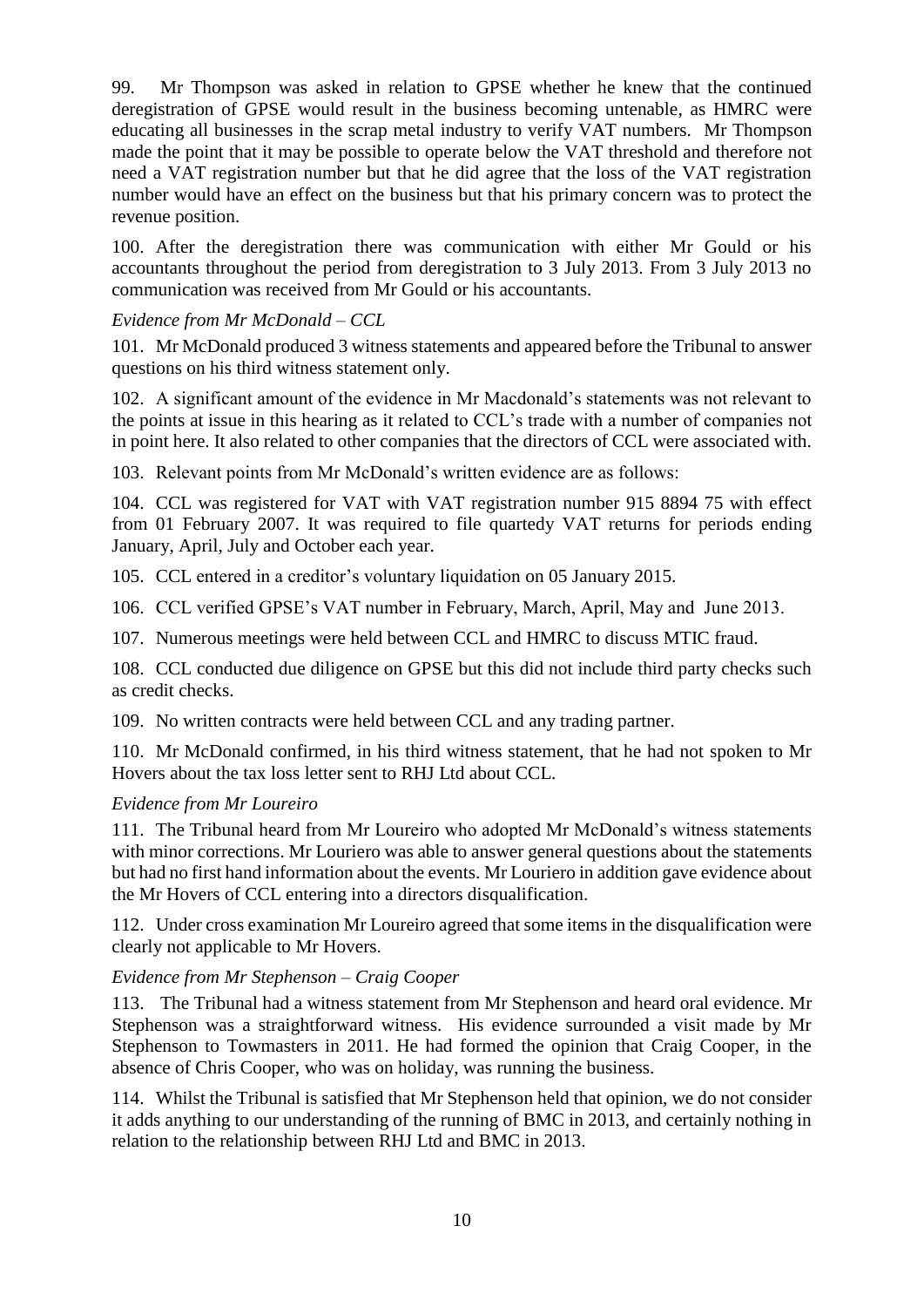99. Mr Thompson was asked in relation to GPSE whether he knew that the continued deregistration of GPSE would result in the business becoming untenable, as HMRC were educating all businesses in the scrap metal industry to verify VAT numbers. Mr Thompson made the point that it may be possible to operate below the VAT threshold and therefore not need a VAT registration number but that he did agree that the loss of the VAT registration number would have an effect on the business but that his primary concern was to protect the revenue position.

100. After the deregistration there was communication with either Mr Gould or his accountants throughout the period from deregistration to 3 July 2013. From 3 July 2013 no communication was received from Mr Gould or his accountants.

# *Evidence from Mr McDonald – CCL*

101. Mr McDonald produced 3 witness statements and appeared before the Tribunal to answer questions on his third witness statement only.

102. A significant amount of the evidence in Mr Macdonald's statements was not relevant to the points at issue in this hearing as it related to CCL's trade with a number of companies not in point here. It also related to other companies that the directors of CCL were associated with.

103. Relevant points from Mr McDonald's written evidence are as follows:

104. CCL was registered for VAT with VAT registration number 915 8894 75 with effect from 01 February 2007. It was required to file quartedy VAT returns for periods ending January, April, July and October each year.

105. CCL entered in a creditor's voluntary liquidation on 05 January 2015.

106. CCL verified GPSE's VAT number in February, March, April, May and June 2013.

107. Numerous meetings were held between CCL and HMRC to discuss MTIC fraud.

108. CCL conducted due diligence on GPSE but this did not include third party checks such as credit checks.

109. No written contracts were held between CCL and any trading partner.

110. Mr McDonald confirmed, in his third witness statement, that he had not spoken to Mr Hovers about the tax loss letter sent to RHJ Ltd about CCL.

# *Evidence from Mr Loureiro*

111. The Tribunal heard from Mr Loureiro who adopted Mr McDonald's witness statements with minor corrections. Mr Louriero was able to answer general questions about the statements but had no first hand information about the events. Mr Louriero in addition gave evidence about the Mr Hovers of CCL entering into a directors disqualification.

112. Under cross examination Mr Loureiro agreed that some items in the disqualification were clearly not applicable to Mr Hovers.

# *Evidence from Mr Stephenson – Craig Cooper*

113. The Tribunal had a witness statement from Mr Stephenson and heard oral evidence. Mr Stephenson was a straightforward witness. His evidence surrounded a visit made by Mr Stephenson to Towmasters in 2011. He had formed the opinion that Craig Cooper, in the absence of Chris Cooper, who was on holiday, was running the business.

114. Whilst the Tribunal is satisfied that Mr Stephenson held that opinion, we do not consider it adds anything to our understanding of the running of BMC in 2013, and certainly nothing in relation to the relationship between RHJ Ltd and BMC in 2013.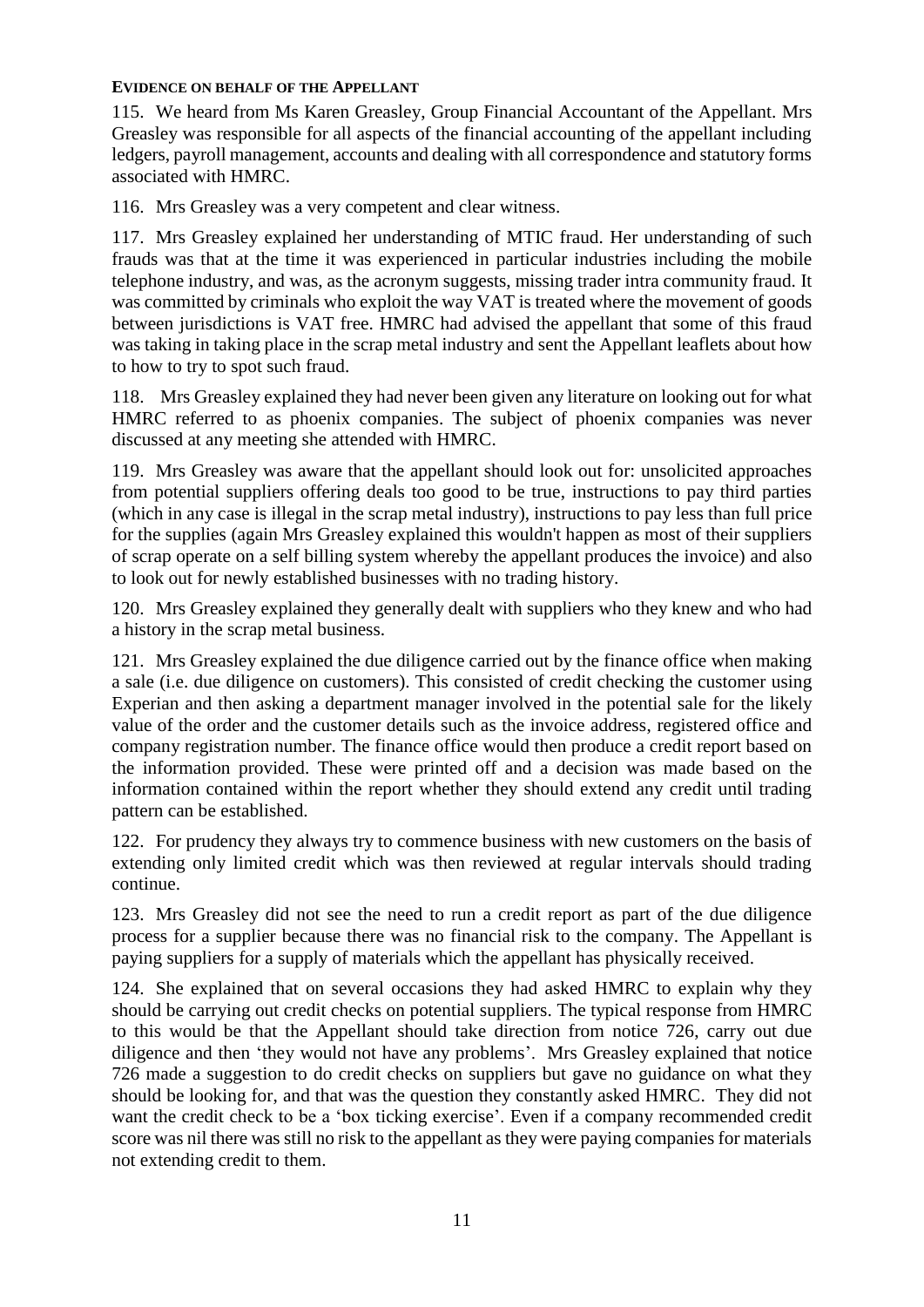### **EVIDENCE ON BEHALF OF THE APPELLANT**

115. We heard from Ms Karen Greasley, Group Financial Accountant of the Appellant. Mrs Greasley was responsible for all aspects of the financial accounting of the appellant including ledgers, payroll management, accounts and dealing with all correspondence and statutory forms associated with HMRC.

116. Mrs Greasley was a very competent and clear witness.

117. Mrs Greasley explained her understanding of MTIC fraud. Her understanding of such frauds was that at the time it was experienced in particular industries including the mobile telephone industry, and was, as the acronym suggests, missing trader intra community fraud. It was committed by criminals who exploit the way VAT is treated where the movement of goods between jurisdictions is VAT free. HMRC had advised the appellant that some of this fraud was taking in taking place in the scrap metal industry and sent the Appellant leaflets about how to how to try to spot such fraud.

118. Mrs Greasley explained they had never been given any literature on looking out for what HMRC referred to as phoenix companies. The subject of phoenix companies was never discussed at any meeting she attended with HMRC.

119. Mrs Greasley was aware that the appellant should look out for: unsolicited approaches from potential suppliers offering deals too good to be true, instructions to pay third parties (which in any case is illegal in the scrap metal industry), instructions to pay less than full price for the supplies (again Mrs Greasley explained this wouldn't happen as most of their suppliers of scrap operate on a self billing system whereby the appellant produces the invoice) and also to look out for newly established businesses with no trading history.

120. Mrs Greasley explained they generally dealt with suppliers who they knew and who had a history in the scrap metal business.

121. Mrs Greasley explained the due diligence carried out by the finance office when making a sale (i.e. due diligence on customers). This consisted of credit checking the customer using Experian and then asking a department manager involved in the potential sale for the likely value of the order and the customer details such as the invoice address, registered office and company registration number. The finance office would then produce a credit report based on the information provided. These were printed off and a decision was made based on the information contained within the report whether they should extend any credit until trading pattern can be established.

122. For prudency they always try to commence business with new customers on the basis of extending only limited credit which was then reviewed at regular intervals should trading continue.

123. Mrs Greasley did not see the need to run a credit report as part of the due diligence process for a supplier because there was no financial risk to the company. The Appellant is paying suppliers for a supply of materials which the appellant has physically received.

124. She explained that on several occasions they had asked HMRC to explain why they should be carrying out credit checks on potential suppliers. The typical response from HMRC to this would be that the Appellant should take direction from notice 726, carry out due diligence and then 'they would not have any problems'. Mrs Greasley explained that notice 726 made a suggestion to do credit checks on suppliers but gave no guidance on what they should be looking for, and that was the question they constantly asked HMRC. They did not want the credit check to be a 'box ticking exercise'. Even if a company recommended credit score was nil there was still no risk to the appellant as they were paying companies for materials not extending credit to them.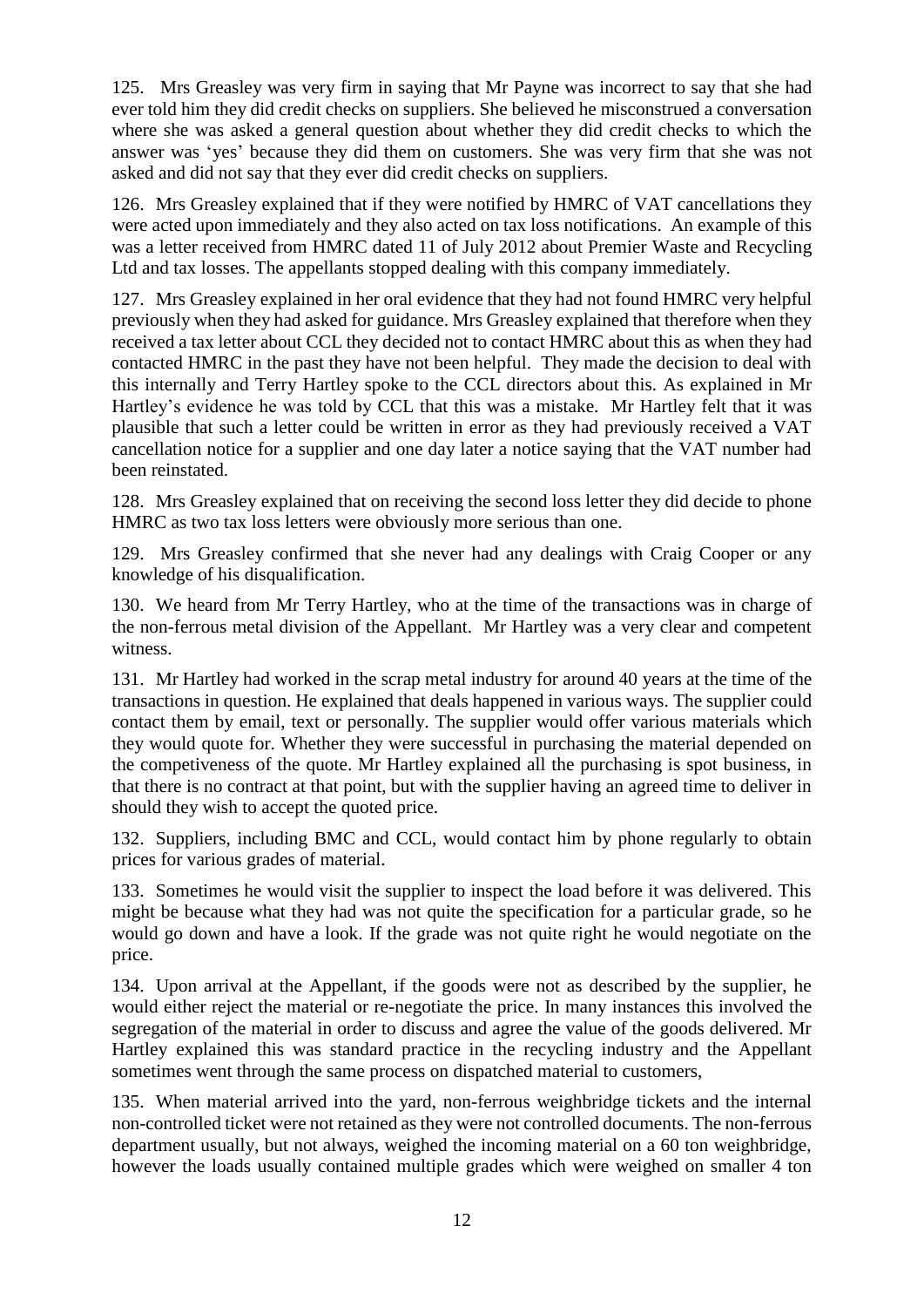125. Mrs Greasley was very firm in saying that Mr Payne was incorrect to say that she had ever told him they did credit checks on suppliers. She believed he misconstrued a conversation where she was asked a general question about whether they did credit checks to which the answer was 'yes' because they did them on customers. She was very firm that she was not asked and did not say that they ever did credit checks on suppliers.

126. Mrs Greasley explained that if they were notified by HMRC of VAT cancellations they were acted upon immediately and they also acted on tax loss notifications. An example of this was a letter received from HMRC dated 11 of July 2012 about Premier Waste and Recycling Ltd and tax losses. The appellants stopped dealing with this company immediately.

127. Mrs Greasley explained in her oral evidence that they had not found HMRC very helpful previously when they had asked for guidance. Mrs Greasley explained that therefore when they received a tax letter about CCL they decided not to contact HMRC about this as when they had contacted HMRC in the past they have not been helpful. They made the decision to deal with this internally and Terry Hartley spoke to the CCL directors about this. As explained in Mr Hartley's evidence he was told by CCL that this was a mistake. Mr Hartley felt that it was plausible that such a letter could be written in error as they had previously received a VAT cancellation notice for a supplier and one day later a notice saying that the VAT number had been reinstated.

128. Mrs Greasley explained that on receiving the second loss letter they did decide to phone HMRC as two tax loss letters were obviously more serious than one.

129. Mrs Greasley confirmed that she never had any dealings with Craig Cooper or any knowledge of his disqualification.

130. We heard from Mr Terry Hartley, who at the time of the transactions was in charge of the non-ferrous metal division of the Appellant. Mr Hartley was a very clear and competent witness.

131. Mr Hartley had worked in the scrap metal industry for around 40 years at the time of the transactions in question. He explained that deals happened in various ways. The supplier could contact them by email, text or personally. The supplier would offer various materials which they would quote for. Whether they were successful in purchasing the material depended on the competiveness of the quote. Mr Hartley explained all the purchasing is spot business, in that there is no contract at that point, but with the supplier having an agreed time to deliver in should they wish to accept the quoted price.

132. Suppliers, including BMC and CCL, would contact him by phone regularly to obtain prices for various grades of material.

133. Sometimes he would visit the supplier to inspect the load before it was delivered. This might be because what they had was not quite the specification for a particular grade, so he would go down and have a look. If the grade was not quite right he would negotiate on the price.

134. Upon arrival at the Appellant, if the goods were not as described by the supplier, he would either reject the material or re-negotiate the price. In many instances this involved the segregation of the material in order to discuss and agree the value of the goods delivered. Mr Hartley explained this was standard practice in the recycling industry and the Appellant sometimes went through the same process on dispatched material to customers,

135. When material arrived into the yard, non-ferrous weighbridge tickets and the internal non-controlled ticket were not retained as they were not controlled documents. The non-ferrous department usually, but not always, weighed the incoming material on a 60 ton weighbridge, however the loads usually contained multiple grades which were weighed on smaller 4 ton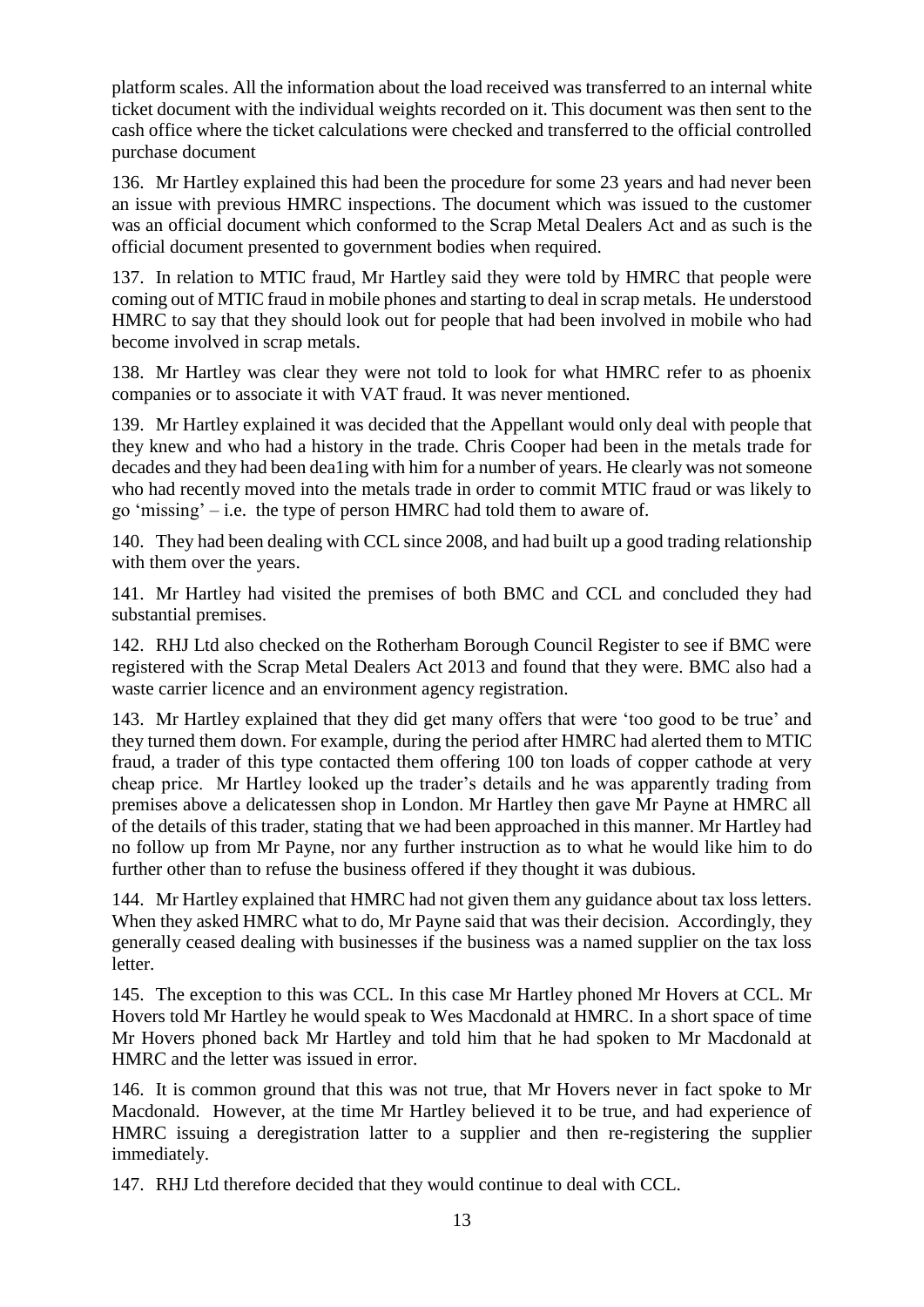platform scales. All the information about the load received was transferred to an internal white ticket document with the individual weights recorded on it. This document was then sent to the cash office where the ticket calculations were checked and transferred to the official controlled purchase document

136. Mr Hartley explained this had been the procedure for some 23 years and had never been an issue with previous HMRC inspections. The document which was issued to the customer was an official document which conformed to the Scrap Metal Dealers Act and as such is the official document presented to government bodies when required.

137. In relation to MTIC fraud, Mr Hartley said they were told by HMRC that people were coming out of MTIC fraud in mobile phones and starting to deal in scrap metals. He understood HMRC to say that they should look out for people that had been involved in mobile who had become involved in scrap metals.

138. Mr Hartley was clear they were not told to look for what HMRC refer to as phoenix companies or to associate it with VAT fraud. It was never mentioned.

139. Mr Hartley explained it was decided that the Appellant would only deal with people that they knew and who had a history in the trade. Chris Cooper had been in the metals trade for decades and they had been dea1ing with him for a number of years. He clearly was not someone who had recently moved into the metals trade in order to commit MTIC fraud or was likely to go 'missing' – i.e. the type of person HMRC had told them to aware of.

140. They had been dealing with CCL since 2008, and had built up a good trading relationship with them over the years.

141. Mr Hartley had visited the premises of both BMC and CCL and concluded they had substantial premises.

142. RHJ Ltd also checked on the Rotherham Borough Council Register to see if BMC were registered with the Scrap Metal Dealers Act 2013 and found that they were. BMC also had a waste carrier licence and an environment agency registration.

143. Mr Hartley explained that they did get many offers that were 'too good to be true' and they turned them down. For example, during the period after HMRC had alerted them to MTIC fraud, a trader of this type contacted them offering 100 ton loads of copper cathode at very cheap price. Mr Hartley looked up the trader's details and he was apparently trading from premises above a delicatessen shop in London. Mr Hartley then gave Mr Payne at HMRC all of the details of this trader, stating that we had been approached in this manner. Mr Hartley had no follow up from Mr Payne, nor any further instruction as to what he would like him to do further other than to refuse the business offered if they thought it was dubious.

144. Mr Hartley explained that HMRC had not given them any guidance about tax loss letters. When they asked HMRC what to do, Mr Payne said that was their decision. Accordingly, they generally ceased dealing with businesses if the business was a named supplier on the tax loss letter.

145. The exception to this was CCL. In this case Mr Hartley phoned Mr Hovers at CCL. Mr Hovers told Mr Hartley he would speak to Wes Macdonald at HMRC. In a short space of time Mr Hovers phoned back Mr Hartley and told him that he had spoken to Mr Macdonald at HMRC and the letter was issued in error.

146. It is common ground that this was not true, that Mr Hovers never in fact spoke to Mr Macdonald. However, at the time Mr Hartley believed it to be true, and had experience of HMRC issuing a deregistration latter to a supplier and then re-registering the supplier immediately.

147. RHJ Ltd therefore decided that they would continue to deal with CCL.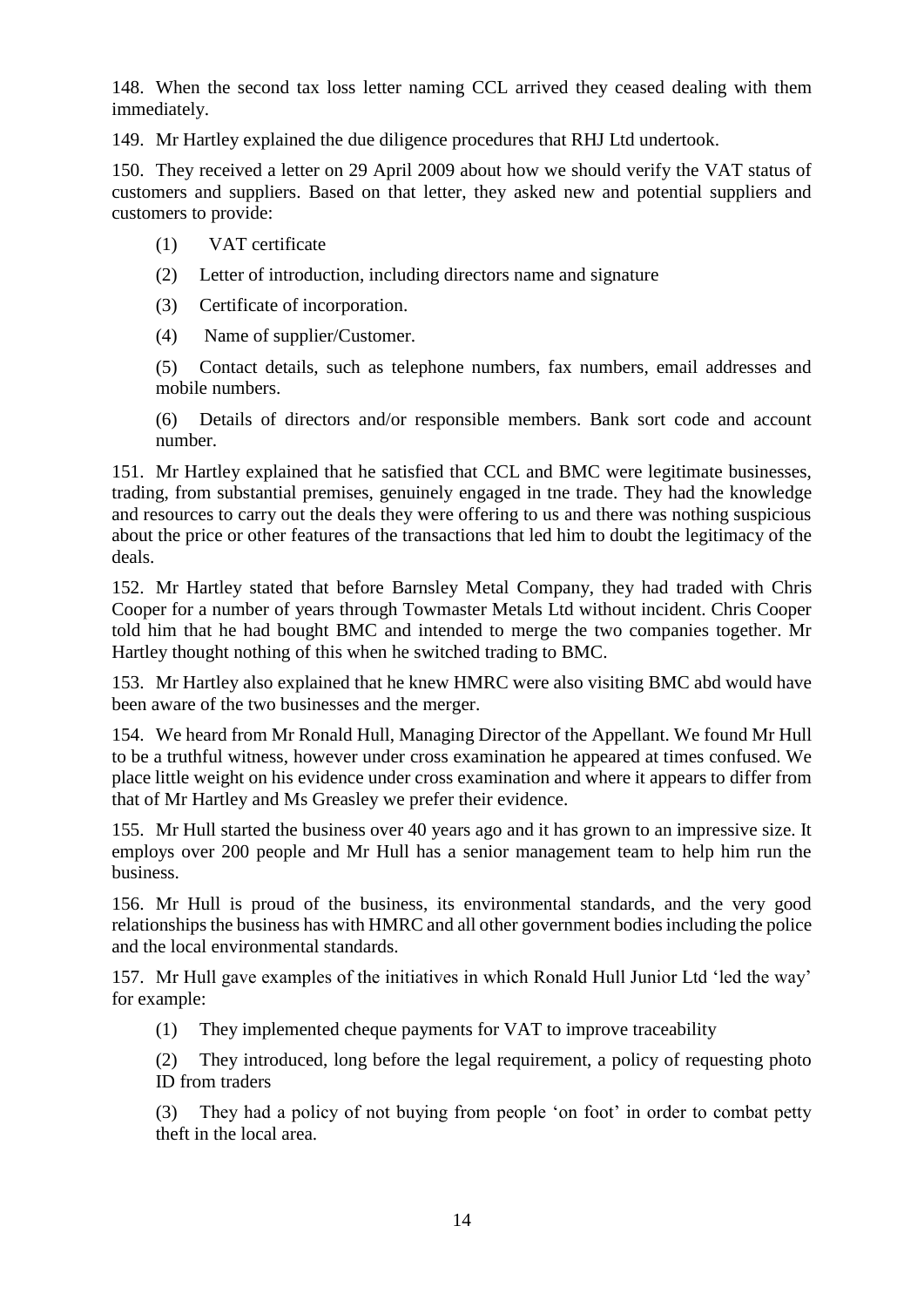148. When the second tax loss letter naming CCL arrived they ceased dealing with them immediately.

149. Mr Hartley explained the due diligence procedures that RHJ Ltd undertook.

150. They received a letter on 29 April 2009 about how we should verify the VAT status of customers and suppliers. Based on that letter, they asked new and potential suppliers and customers to provide:

- (1) VAT certificate
- (2) Letter of introduction, including directors name and signature
- (3) Certificate of incorporation.
- (4) Name of supplier/Customer.

(5) Contact details, such as telephone numbers, fax numbers, email addresses and mobile numbers.

(6) Details of directors and/or responsible members. Bank sort code and account number.

151. Mr Hartley explained that he satisfied that CCL and BMC were legitimate businesses, trading, from substantial premises, genuinely engaged in tne trade. They had the knowledge and resources to carry out the deals they were offering to us and there was nothing suspicious about the price or other features of the transactions that led him to doubt the legitimacy of the deals.

152. Mr Hartley stated that before Barnsley Metal Company, they had traded with Chris Cooper for a number of years through Towmaster Metals Ltd without incident. Chris Cooper told him that he had bought BMC and intended to merge the two companies together. Mr Hartley thought nothing of this when he switched trading to BMC.

153. Mr Hartley also explained that he knew HMRC were also visiting BMC abd would have been aware of the two businesses and the merger.

154. We heard from Mr Ronald Hull, Managing Director of the Appellant. We found Mr Hull to be a truthful witness, however under cross examination he appeared at times confused. We place little weight on his evidence under cross examination and where it appears to differ from that of Mr Hartley and Ms Greasley we prefer their evidence.

155. Mr Hull started the business over 40 years ago and it has grown to an impressive size. It employs over 200 people and Mr Hull has a senior management team to help him run the business.

156. Mr Hull is proud of the business, its environmental standards, and the very good relationships the business has with HMRC and all other government bodies including the police and the local environmental standards.

157. Mr Hull gave examples of the initiatives in which Ronald Hull Junior Ltd 'led the way' for example:

(1) They implemented cheque payments for VAT to improve traceability

(2) They introduced, long before the legal requirement, a policy of requesting photo ID from traders

(3) They had a policy of not buying from people 'on foot' in order to combat petty theft in the local area.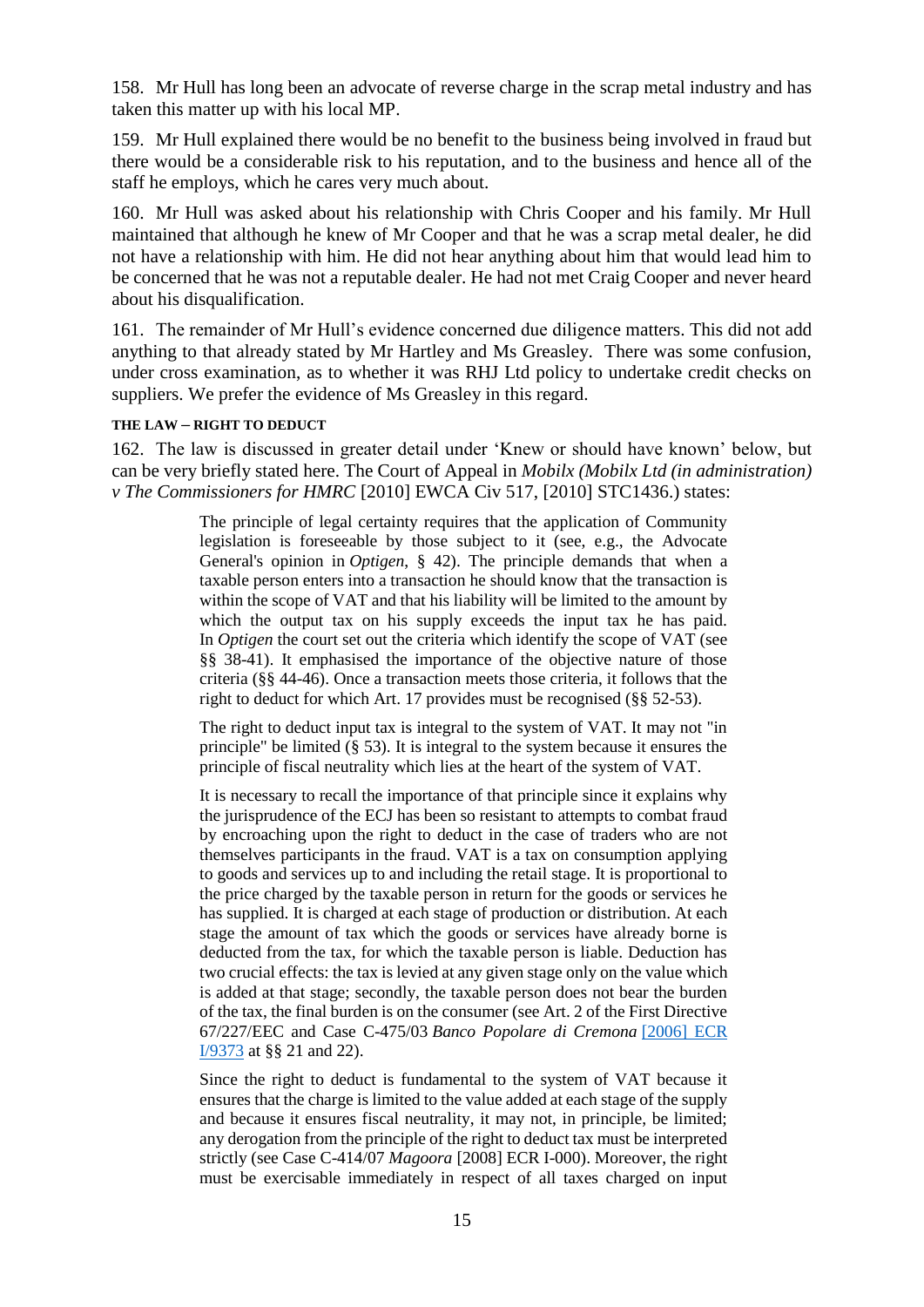158. Mr Hull has long been an advocate of reverse charge in the scrap metal industry and has taken this matter up with his local MP.

159. Mr Hull explained there would be no benefit to the business being involved in fraud but there would be a considerable risk to his reputation, and to the business and hence all of the staff he employs, which he cares very much about.

160. Mr Hull was asked about his relationship with Chris Cooper and his family. Mr Hull maintained that although he knew of Mr Cooper and that he was a scrap metal dealer, he did not have a relationship with him. He did not hear anything about him that would lead him to be concerned that he was not a reputable dealer. He had not met Craig Cooper and never heard about his disqualification.

161. The remainder of Mr Hull's evidence concerned due diligence matters. This did not add anything to that already stated by Mr Hartley and Ms Greasley. There was some confusion, under cross examination, as to whether it was RHJ Ltd policy to undertake credit checks on suppliers. We prefer the evidence of Ms Greasley in this regard.

#### **THE LAW – RIGHT TO DEDUCT**

162. The law is discussed in greater detail under 'Knew or should have known' below, but can be very briefly stated here. The Court of Appeal in *Mobilx (Mobilx Ltd (in administration) v The Commissioners for HMRC* [2010] EWCA Civ 517, [2010] STC1436.) states:

> The principle of legal certainty requires that the application of Community legislation is foreseeable by those subject to it (see, e.g., the Advocate General's opinion in *Optigen*, § 42). The principle demands that when a taxable person enters into a transaction he should know that the transaction is within the scope of VAT and that his liability will be limited to the amount by which the output tax on his supply exceeds the input tax he has paid. In *Optigen* the court set out the criteria which identify the scope of VAT (see §§ 38-41). It emphasised the importance of the objective nature of those criteria (§§ 44-46). Once a transaction meets those criteria, it follows that the right to deduct for which Art. 17 provides must be recognised (§§ 52-53).

> The right to deduct input tax is integral to the system of VAT. It may not "in principle" be limited (§ 53). It is integral to the system because it ensures the principle of fiscal neutrality which lies at the heart of the system of VAT.

> It is necessary to recall the importance of that principle since it explains why the jurisprudence of the ECJ has been so resistant to attempts to combat fraud by encroaching upon the right to deduct in the case of traders who are not themselves participants in the fraud. VAT is a tax on consumption applying to goods and services up to and including the retail stage. It is proportional to the price charged by the taxable person in return for the goods or services he has supplied. It is charged at each stage of production or distribution. At each stage the amount of tax which the goods or services have already borne is deducted from the tax, for which the taxable person is liable. Deduction has two crucial effects: the tax is levied at any given stage only on the value which is added at that stage; secondly, the taxable person does not bear the burden of the tax, the final burden is on the consumer (see Art. 2 of the First Directive 67/227/EEC and Case C-475/03 *Banco Popolare di Cremona* [\[2006\] ECR](https://www.bailii.org/cgi-bin/redirect.cgi?path=/eu/cases/EUECJ/2006/C47503.html)  [I/9373](https://www.bailii.org/cgi-bin/redirect.cgi?path=/eu/cases/EUECJ/2006/C47503.html) at §§ 21 and 22).

> Since the right to deduct is fundamental to the system of VAT because it ensures that the charge is limited to the value added at each stage of the supply and because it ensures fiscal neutrality, it may not, in principle, be limited; any derogation from the principle of the right to deduct tax must be interpreted strictly (see Case C-414/07 *Magoora* [2008] ECR I-000). Moreover, the right must be exercisable immediately in respect of all taxes charged on input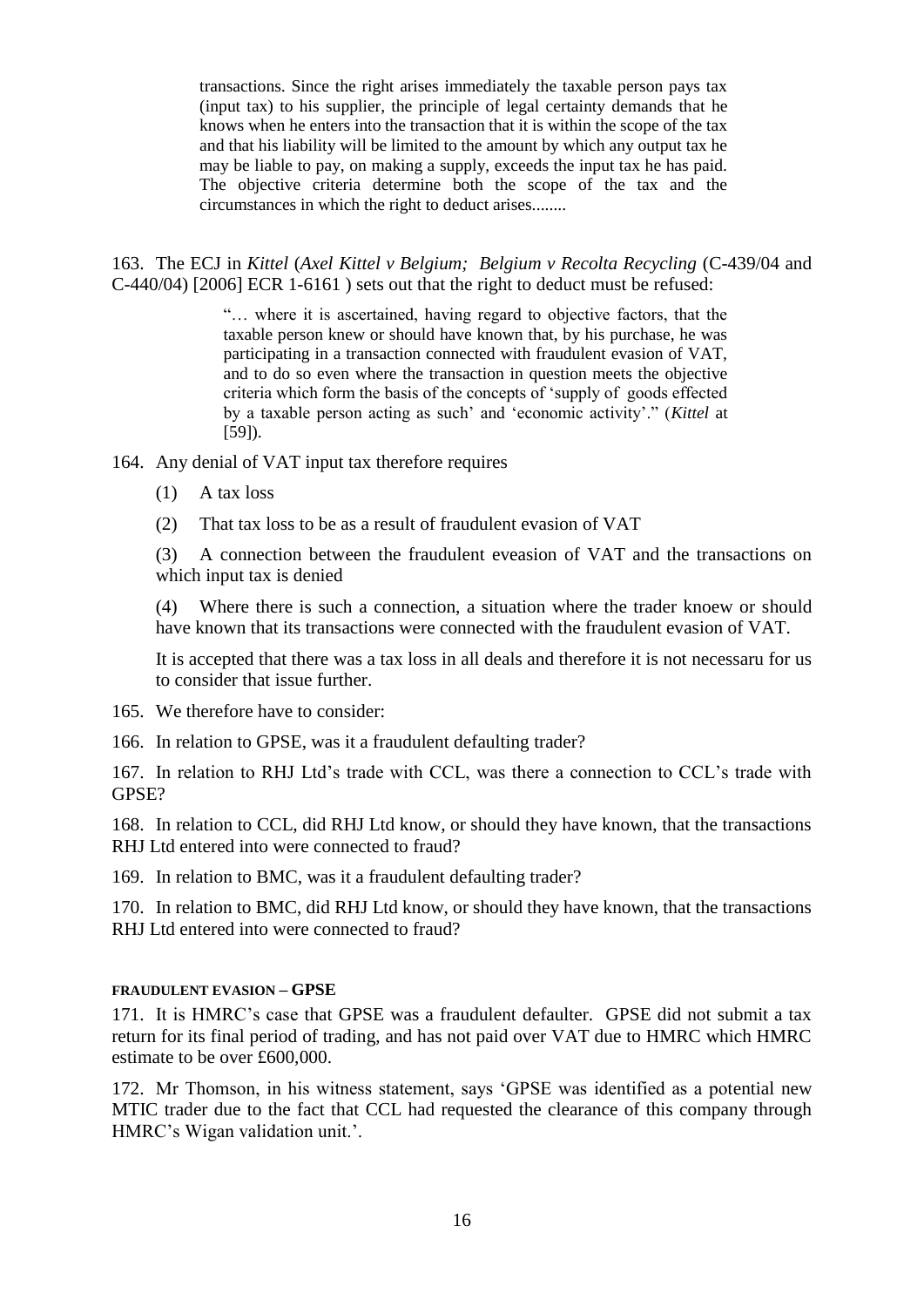transactions. Since the right arises immediately the taxable person pays tax (input tax) to his supplier, the principle of legal certainty demands that he knows when he enters into the transaction that it is within the scope of the tax and that his liability will be limited to the amount by which any output tax he may be liable to pay, on making a supply, exceeds the input tax he has paid. The objective criteria determine both the scope of the tax and the circumstances in which the right to deduct arises........

163. The ECJ in *Kittel* (*Axel Kittel v Belgium; Belgium v Recolta Recycling* (C-439/04 and C-440/04) [2006] ECR 1-6161 ) sets out that the right to deduct must be refused:

> "… where it is ascertained, having regard to objective factors, that the taxable person knew or should have known that, by his purchase, he was participating in a transaction connected with fraudulent evasion of VAT, and to do so even where the transaction in question meets the objective criteria which form the basis of the concepts of 'supply of goods effected by a taxable person acting as such' and 'economic activity'." (*Kittel* at [59]).

164. Any denial of VAT input tax therefore requires

- (1) A tax loss
- (2) That tax loss to be as a result of fraudulent evasion of VAT

(3) A connection between the fraudulent eveasion of VAT and the transactions on which input tax is denied

(4) Where there is such a connection, a situation where the trader knoew or should have known that its transactions were connected with the fraudulent evasion of VAT.

It is accepted that there was a tax loss in all deals and therefore it is not necessaru for us to consider that issue further.

- 165. We therefore have to consider:
- 166. In relation to GPSE, was it a fraudulent defaulting trader?

167. In relation to RHJ Ltd's trade with CCL, was there a connection to CCL's trade with GPSE?

168. In relation to CCL, did RHJ Ltd know, or should they have known, that the transactions RHJ Ltd entered into were connected to fraud?

169. In relation to BMC, was it a fraudulent defaulting trader?

170. In relation to BMC, did RHJ Ltd know, or should they have known, that the transactions RHI Ltd entered into were connected to fraud?

#### **FRAUDULENT EVASION – GPSE**

171. It is HMRC's case that GPSE was a fraudulent defaulter. GPSE did not submit a tax return for its final period of trading, and has not paid over VAT due to HMRC which HMRC estimate to be over £600,000.

172. Mr Thomson, in his witness statement, says 'GPSE was identified as a potential new MTIC trader due to the fact that CCL had requested the clearance of this company through HMRC's Wigan validation unit.'.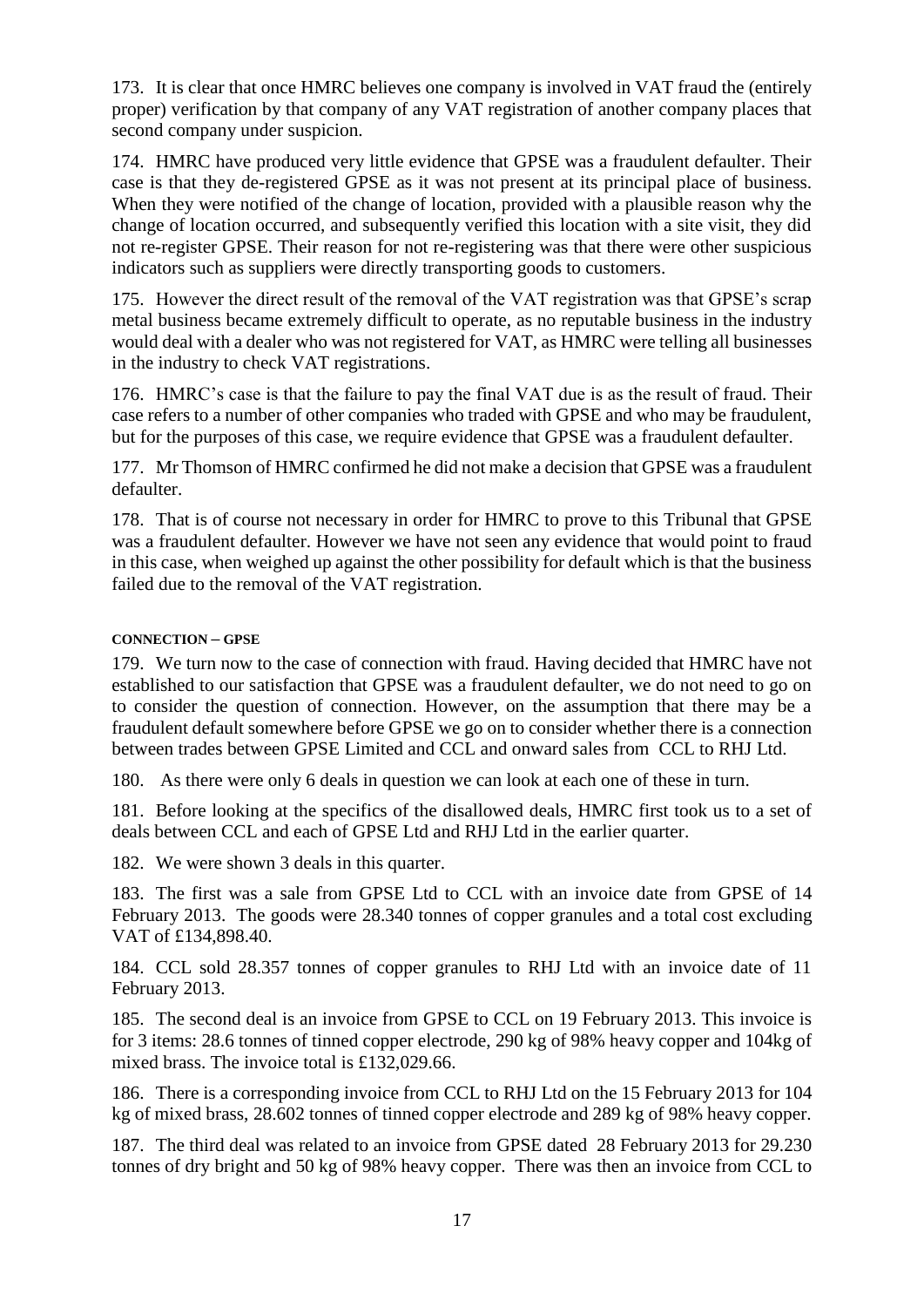173. It is clear that once HMRC believes one company is involved in VAT fraud the (entirely proper) verification by that company of any VAT registration of another company places that second company under suspicion.

174. HMRC have produced very little evidence that GPSE was a fraudulent defaulter. Their case is that they de-registered GPSE as it was not present at its principal place of business. When they were notified of the change of location, provided with a plausible reason why the change of location occurred, and subsequently verified this location with a site visit, they did not re-register GPSE. Their reason for not re-registering was that there were other suspicious indicators such as suppliers were directly transporting goods to customers.

175. However the direct result of the removal of the VAT registration was that GPSE's scrap metal business became extremely difficult to operate, as no reputable business in the industry would deal with a dealer who was not registered for VAT, as HMRC were telling all businesses in the industry to check VAT registrations.

176. HMRC's case is that the failure to pay the final VAT due is as the result of fraud. Their case refers to a number of other companies who traded with GPSE and who may be fraudulent, but for the purposes of this case, we require evidence that GPSE was a fraudulent defaulter.

177. Mr Thomson of HMRC confirmed he did not make a decision that GPSE was a fraudulent defaulter.

178. That is of course not necessary in order for HMRC to prove to this Tribunal that GPSE was a fraudulent defaulter. However we have not seen any evidence that would point to fraud in this case, when weighed up against the other possibility for default which is that the business failed due to the removal of the VAT registration.

### **CONNECTION – GPSE**

179. We turn now to the case of connection with fraud. Having decided that HMRC have not established to our satisfaction that GPSE was a fraudulent defaulter, we do not need to go on to consider the question of connection. However, on the assumption that there may be a fraudulent default somewhere before GPSE we go on to consider whether there is a connection between trades between GPSE Limited and CCL and onward sales from CCL to RHJ Ltd.

180. As there were only 6 deals in question we can look at each one of these in turn.

181. Before looking at the specifics of the disallowed deals, HMRC first took us to a set of deals between CCL and each of GPSE Ltd and RHJ Ltd in the earlier quarter.

182. We were shown 3 deals in this quarter.

183. The first was a sale from GPSE Ltd to CCL with an invoice date from GPSE of 14 February 2013. The goods were 28.340 tonnes of copper granules and a total cost excluding VAT of £134,898.40.

184. CCL sold 28.357 tonnes of copper granules to RHJ Ltd with an invoice date of 11 February 2013.

185. The second deal is an invoice from GPSE to CCL on 19 February 2013. This invoice is for 3 items: 28.6 tonnes of tinned copper electrode, 290 kg of 98% heavy copper and 104kg of mixed brass. The invoice total is £132,029.66.

186. There is a corresponding invoice from CCL to RHJ Ltd on the 15 February 2013 for 104 kg of mixed brass, 28.602 tonnes of tinned copper electrode and 289 kg of 98% heavy copper.

187. The third deal was related to an invoice from GPSE dated 28 February 2013 for 29.230 tonnes of dry bright and 50 kg of 98% heavy copper. There was then an invoice from CCL to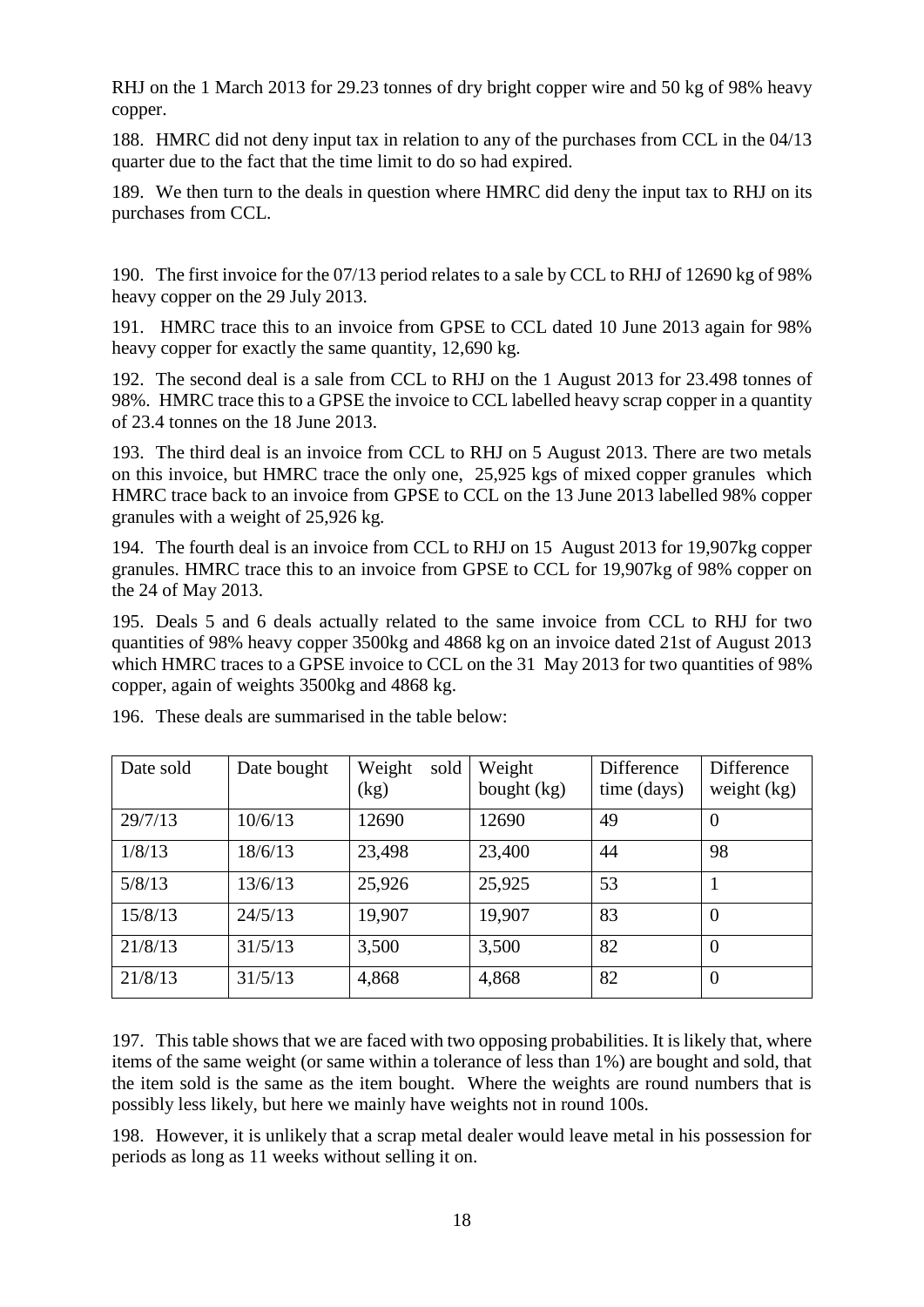RHJ on the 1 March 2013 for 29.23 tonnes of dry bright copper wire and 50 kg of 98% heavy copper.

188. HMRC did not deny input tax in relation to any of the purchases from CCL in the 04/13 quarter due to the fact that the time limit to do so had expired.

189. We then turn to the deals in question where HMRC did deny the input tax to RHJ on its purchases from CCL.

190. The first invoice for the 07/13 period relates to a sale by CCL to RHJ of 12690 kg of 98% heavy copper on the 29 July 2013.

191. HMRC trace this to an invoice from GPSE to CCL dated 10 June 2013 again for 98% heavy copper for exactly the same quantity, 12,690 kg.

192. The second deal is a sale from CCL to RHJ on the 1 August 2013 for 23.498 tonnes of 98%. HMRC trace this to a GPSE the invoice to CCL labelled heavy scrap copper in a quantity of 23.4 tonnes on the 18 June 2013.

193. The third deal is an invoice from CCL to RHJ on 5 August 2013. There are two metals on this invoice, but HMRC trace the only one, 25,925 kgs of mixed copper granules which HMRC trace back to an invoice from GPSE to CCL on the 13 June 2013 labelled 98% copper granules with a weight of 25,926 kg.

194. The fourth deal is an invoice from CCL to RHJ on 15 August 2013 for 19,907kg copper granules. HMRC trace this to an invoice from GPSE to CCL for 19,907kg of 98% copper on the 24 of May 2013.

195. Deals 5 and 6 deals actually related to the same invoice from CCL to RHJ for two quantities of 98% heavy copper 3500kg and 4868 kg on an invoice dated 21st of August 2013 which HMRC traces to a GPSE invoice to CCL on the 31 May 2013 for two quantities of 98% copper, again of weights 3500kg and 4868 kg.

| Date sold | Date bought | Weight<br>sold<br>$\left(\text{kg}\right)$ | Weight<br>bought (kg) | <b>Difference</b><br>time (days) | Difference<br>weight $(kg)$ |
|-----------|-------------|--------------------------------------------|-----------------------|----------------------------------|-----------------------------|
| 29/7/13   | 10/6/13     | 12690                                      | 12690                 | 49                               | $\overline{0}$              |
| 1/8/13    | 18/6/13     | 23,498                                     | 23,400                | 44                               | 98                          |
| 5/8/13    | 13/6/13     | 25,926                                     | 25,925                | 53                               |                             |
| 15/8/13   | 24/5/13     | 19,907                                     | 19,907                | 83                               | $\theta$                    |
| 21/8/13   | 31/5/13     | 3,500                                      | 3,500                 | 82                               | $\overline{0}$              |
| 21/8/13   | 31/5/13     | 4,868                                      | 4,868                 | 82                               | $\theta$                    |

196. These deals are summarised in the table below:

197. This table shows that we are faced with two opposing probabilities. It is likely that, where items of the same weight (or same within a tolerance of less than 1%) are bought and sold, that the item sold is the same as the item bought. Where the weights are round numbers that is possibly less likely, but here we mainly have weights not in round 100s.

198. However, it is unlikely that a scrap metal dealer would leave metal in his possession for periods as long as 11 weeks without selling it on.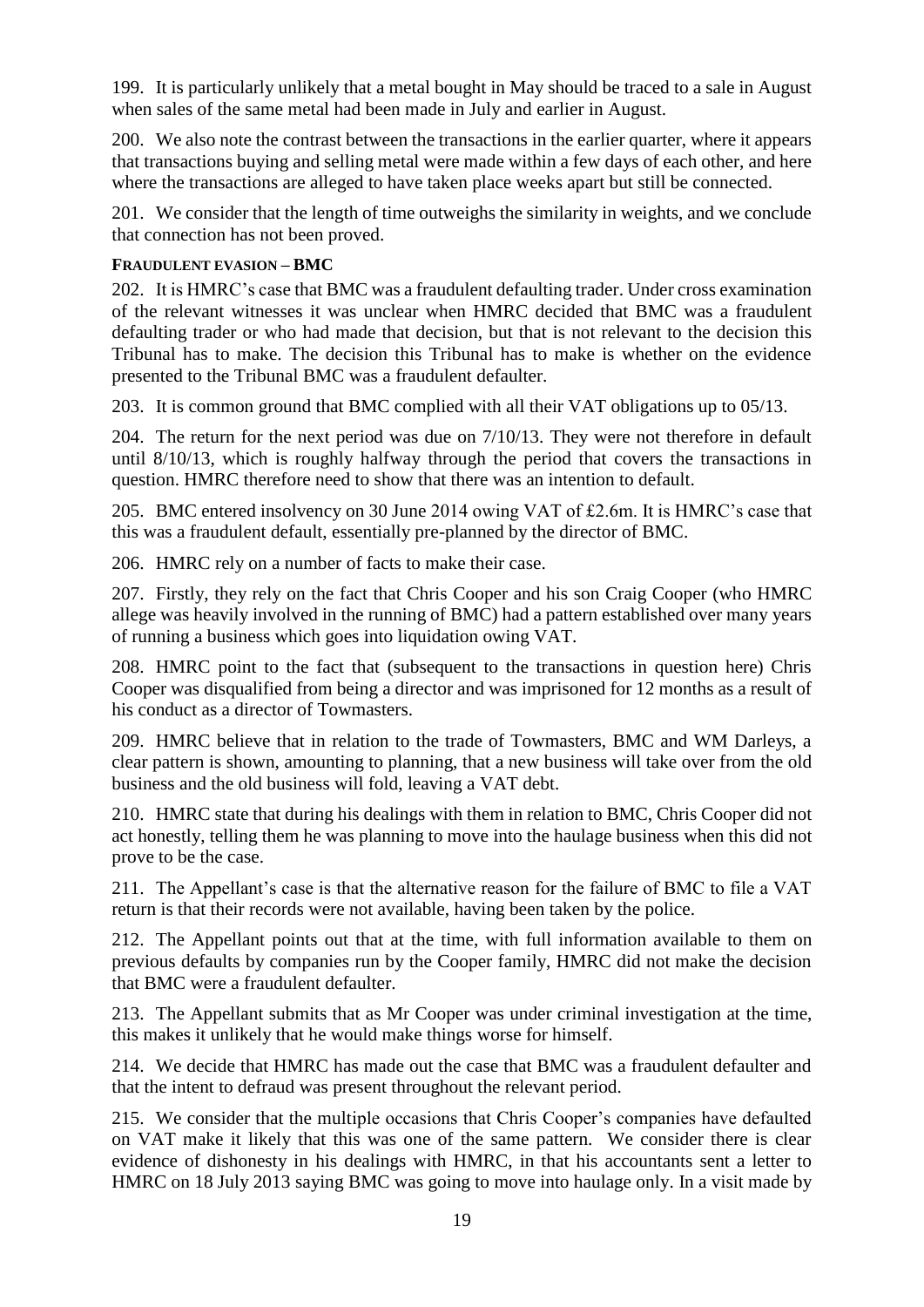199. It is particularly unlikely that a metal bought in May should be traced to a sale in August when sales of the same metal had been made in July and earlier in August.

200. We also note the contrast between the transactions in the earlier quarter, where it appears that transactions buying and selling metal were made within a few days of each other, and here where the transactions are alleged to have taken place weeks apart but still be connected.

201. We consider that the length of time outweighs the similarity in weights, and we conclude that connection has not been proved.

### **FRAUDULENT EVASION – BMC**

202. It is HMRC's case that BMC was a fraudulent defaulting trader. Under cross examination of the relevant witnesses it was unclear when HMRC decided that BMC was a fraudulent defaulting trader or who had made that decision, but that is not relevant to the decision this Tribunal has to make. The decision this Tribunal has to make is whether on the evidence presented to the Tribunal BMC was a fraudulent defaulter.

203. It is common ground that BMC complied with all their VAT obligations up to 05/13.

204. The return for the next period was due on 7/10/13. They were not therefore in default until 8/10/13, which is roughly halfway through the period that covers the transactions in question. HMRC therefore need to show that there was an intention to default.

205. BMC entered insolvency on 30 June 2014 owing VAT of £2.6m. It is HMRC's case that this was a fraudulent default, essentially pre-planned by the director of BMC.

206. HMRC rely on a number of facts to make their case.

207. Firstly, they rely on the fact that Chris Cooper and his son Craig Cooper (who HMRC allege was heavily involved in the running of BMC) had a pattern established over many years of running a business which goes into liquidation owing VAT.

208. HMRC point to the fact that (subsequent to the transactions in question here) Chris Cooper was disqualified from being a director and was imprisoned for 12 months as a result of his conduct as a director of Towmasters.

209. HMRC believe that in relation to the trade of Towmasters, BMC and WM Darleys, a clear pattern is shown, amounting to planning, that a new business will take over from the old business and the old business will fold, leaving a VAT debt.

210. HMRC state that during his dealings with them in relation to BMC, Chris Cooper did not act honestly, telling them he was planning to move into the haulage business when this did not prove to be the case.

211. The Appellant's case is that the alternative reason for the failure of BMC to file a VAT return is that their records were not available, having been taken by the police.

212. The Appellant points out that at the time, with full information available to them on previous defaults by companies run by the Cooper family, HMRC did not make the decision that BMC were a fraudulent defaulter.

213. The Appellant submits that as Mr Cooper was under criminal investigation at the time, this makes it unlikely that he would make things worse for himself.

214. We decide that HMRC has made out the case that BMC was a fraudulent defaulter and that the intent to defraud was present throughout the relevant period.

215. We consider that the multiple occasions that Chris Cooper's companies have defaulted on VAT make it likely that this was one of the same pattern. We consider there is clear evidence of dishonesty in his dealings with HMRC, in that his accountants sent a letter to HMRC on 18 July 2013 saying BMC was going to move into haulage only. In a visit made by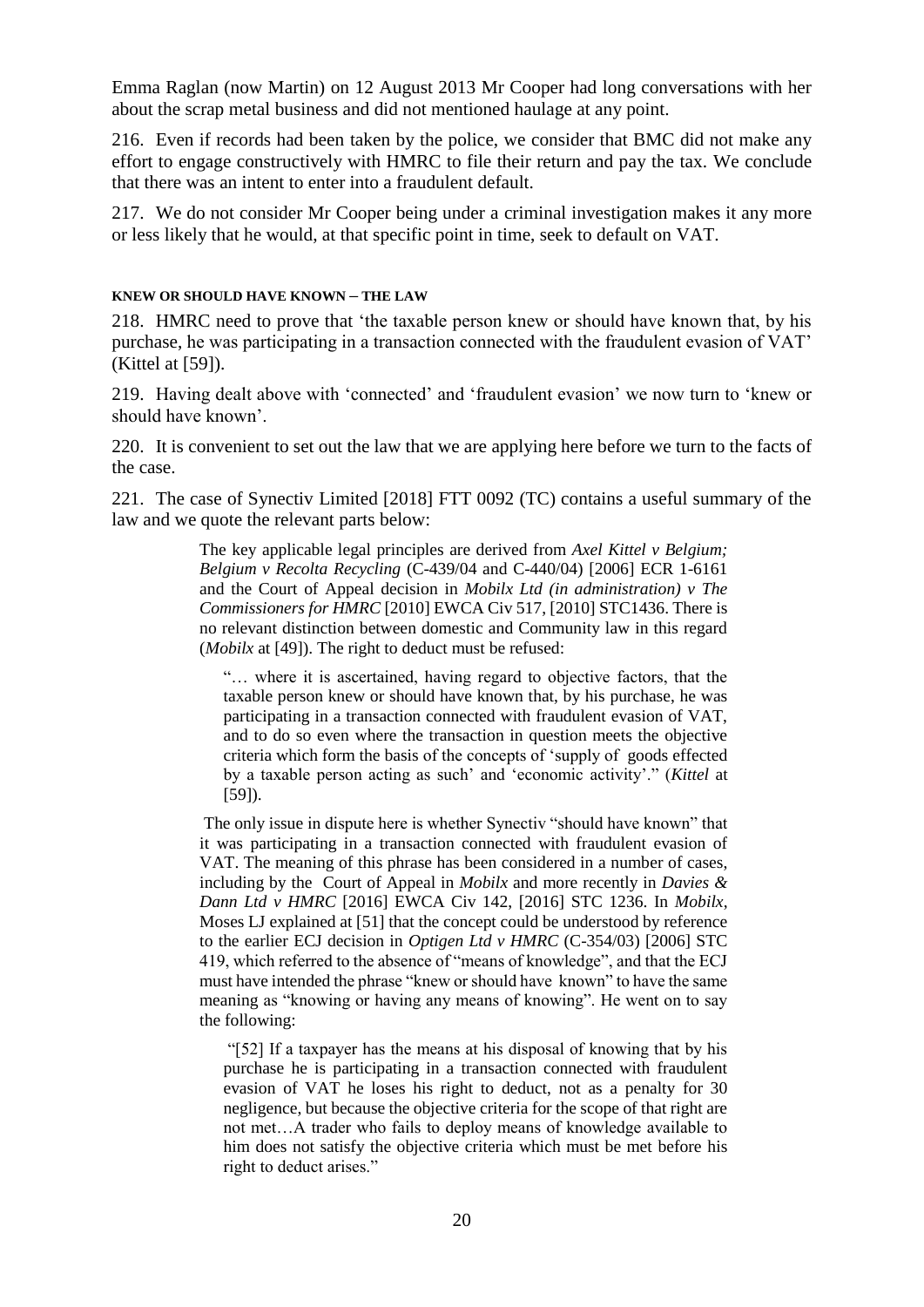Emma Raglan (now Martin) on 12 August 2013 Mr Cooper had long conversations with her about the scrap metal business and did not mentioned haulage at any point.

216. Even if records had been taken by the police, we consider that BMC did not make any effort to engage constructively with HMRC to file their return and pay the tax. We conclude that there was an intent to enter into a fraudulent default.

217. We do not consider Mr Cooper being under a criminal investigation makes it any more or less likely that he would, at that specific point in time, seek to default on VAT.

#### **KNEW OR SHOULD HAVE KNOWN – THE LAW**

218. HMRC need to prove that 'the taxable person knew or should have known that, by his purchase, he was participating in a transaction connected with the fraudulent evasion of VAT' (Kittel at [59]).

219. Having dealt above with 'connected' and 'fraudulent evasion' we now turn to 'knew or should have known'.

220. It is convenient to set out the law that we are applying here before we turn to the facts of the case.

221. The case of Synectiv Limited [2018] FTT 0092 (TC) contains a useful summary of the law and we quote the relevant parts below:

> The key applicable legal principles are derived from *Axel Kittel v Belgium; Belgium v Recolta Recycling* (C-439/04 and C-440/04) [2006] ECR 1-6161 and the Court of Appeal decision in *Mobilx Ltd (in administration) v The Commissioners for HMRC* [2010] EWCA Civ 517, [2010] STC1436. There is no relevant distinction between domestic and Community law in this regard (*Mobilx* at [49]). The right to deduct must be refused:

"… where it is ascertained, having regard to objective factors, that the taxable person knew or should have known that, by his purchase, he was participating in a transaction connected with fraudulent evasion of VAT, and to do so even where the transaction in question meets the objective criteria which form the basis of the concepts of 'supply of goods effected by a taxable person acting as such' and 'economic activity'." (*Kittel* at [59]).

The only issue in dispute here is whether Synectiv "should have known" that it was participating in a transaction connected with fraudulent evasion of VAT. The meaning of this phrase has been considered in a number of cases, including by the Court of Appeal in *Mobilx* and more recently in *Davies & Dann Ltd v HMRC* [2016] EWCA Civ 142, [2016] STC 1236. In *Mobilx*, Moses LJ explained at [51] that the concept could be understood by reference to the earlier ECJ decision in *Optigen Ltd v HMRC* (C-354/03) [2006] STC 419, which referred to the absence of "means of knowledge", and that the ECJ must have intended the phrase "knew or should have known" to have the same meaning as "knowing or having any means of knowing". He went on to say the following:

"[52] If a taxpayer has the means at his disposal of knowing that by his purchase he is participating in a transaction connected with fraudulent evasion of VAT he loses his right to deduct, not as a penalty for 30 negligence, but because the objective criteria for the scope of that right are not met…A trader who fails to deploy means of knowledge available to him does not satisfy the objective criteria which must be met before his right to deduct arises."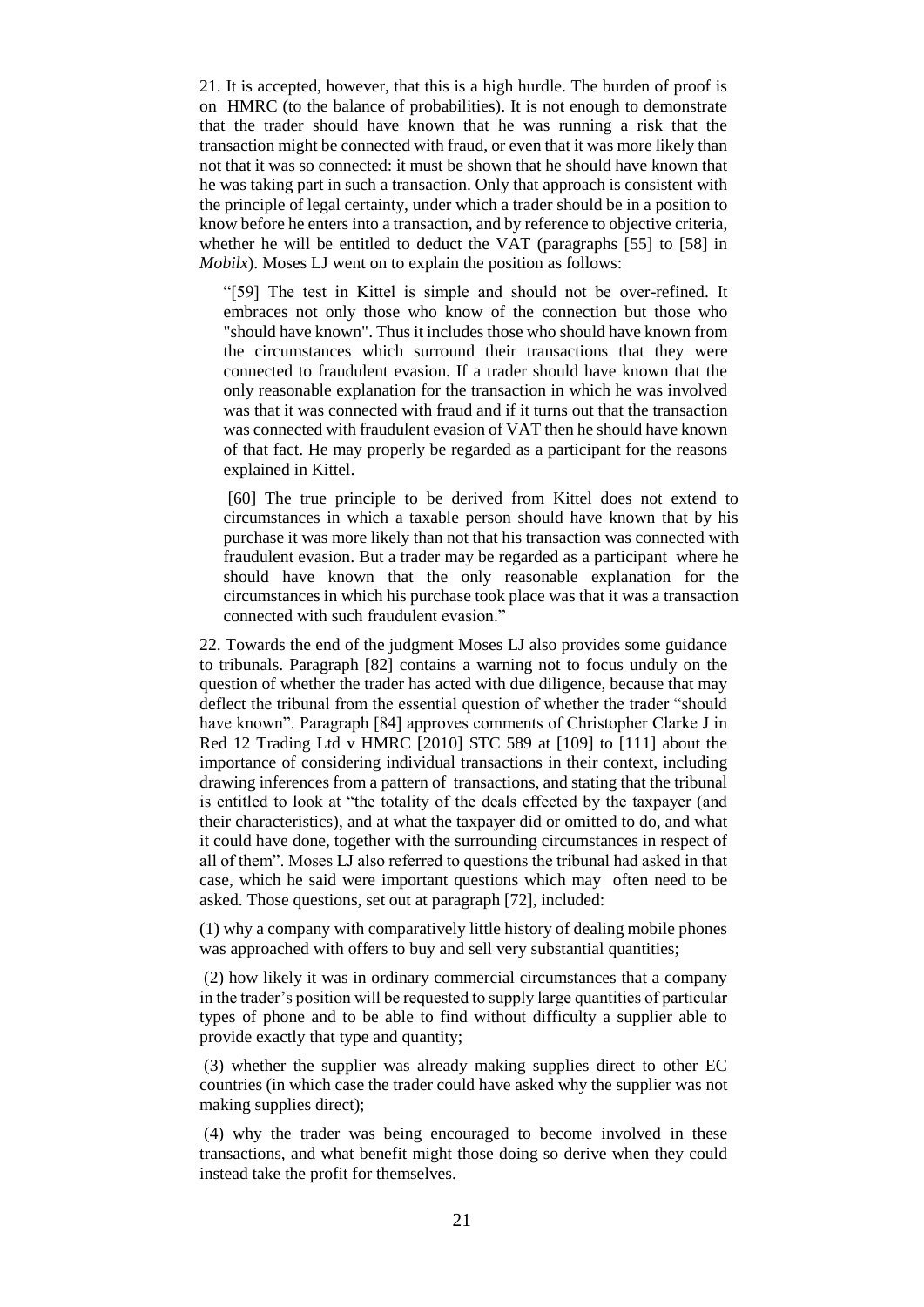21. It is accepted, however, that this is a high hurdle. The burden of proof is on HMRC (to the balance of probabilities). It is not enough to demonstrate that the trader should have known that he was running a risk that the transaction might be connected with fraud, or even that it was more likely than not that it was so connected: it must be shown that he should have known that he was taking part in such a transaction. Only that approach is consistent with the principle of legal certainty, under which a trader should be in a position to know before he enters into a transaction, and by reference to objective criteria, whether he will be entitled to deduct the VAT (paragraphs [55] to [58] in *Mobilx*). Moses LJ went on to explain the position as follows:

"[59] The test in Kittel is simple and should not be over-refined. It embraces not only those who know of the connection but those who "should have known". Thus it includes those who should have known from the circumstances which surround their transactions that they were connected to fraudulent evasion. If a trader should have known that the only reasonable explanation for the transaction in which he was involved was that it was connected with fraud and if it turns out that the transaction was connected with fraudulent evasion of VAT then he should have known of that fact. He may properly be regarded as a participant for the reasons explained in Kittel.

[60] The true principle to be derived from Kittel does not extend to circumstances in which a taxable person should have known that by his purchase it was more likely than not that his transaction was connected with fraudulent evasion. But a trader may be regarded as a participant where he should have known that the only reasonable explanation for the circumstances in which his purchase took place was that it was a transaction connected with such fraudulent evasion."

22. Towards the end of the judgment Moses LJ also provides some guidance to tribunals. Paragraph [82] contains a warning not to focus unduly on the question of whether the trader has acted with due diligence, because that may deflect the tribunal from the essential question of whether the trader "should have known". Paragraph [84] approves comments of Christopher Clarke J in Red 12 Trading Ltd v HMRC [2010] STC 589 at [109] to [111] about the importance of considering individual transactions in their context, including drawing inferences from a pattern of transactions, and stating that the tribunal is entitled to look at "the totality of the deals effected by the taxpayer (and their characteristics), and at what the taxpayer did or omitted to do, and what it could have done, together with the surrounding circumstances in respect of all of them". Moses LJ also referred to questions the tribunal had asked in that case, which he said were important questions which may often need to be asked. Those questions, set out at paragraph [72], included:

(1) why a company with comparatively little history of dealing mobile phones was approached with offers to buy and sell very substantial quantities;

(2) how likely it was in ordinary commercial circumstances that a company in the trader's position will be requested to supply large quantities of particular types of phone and to be able to find without difficulty a supplier able to provide exactly that type and quantity;

(3) whether the supplier was already making supplies direct to other EC countries (in which case the trader could have asked why the supplier was not making supplies direct);

(4) why the trader was being encouraged to become involved in these transactions, and what benefit might those doing so derive when they could instead take the profit for themselves.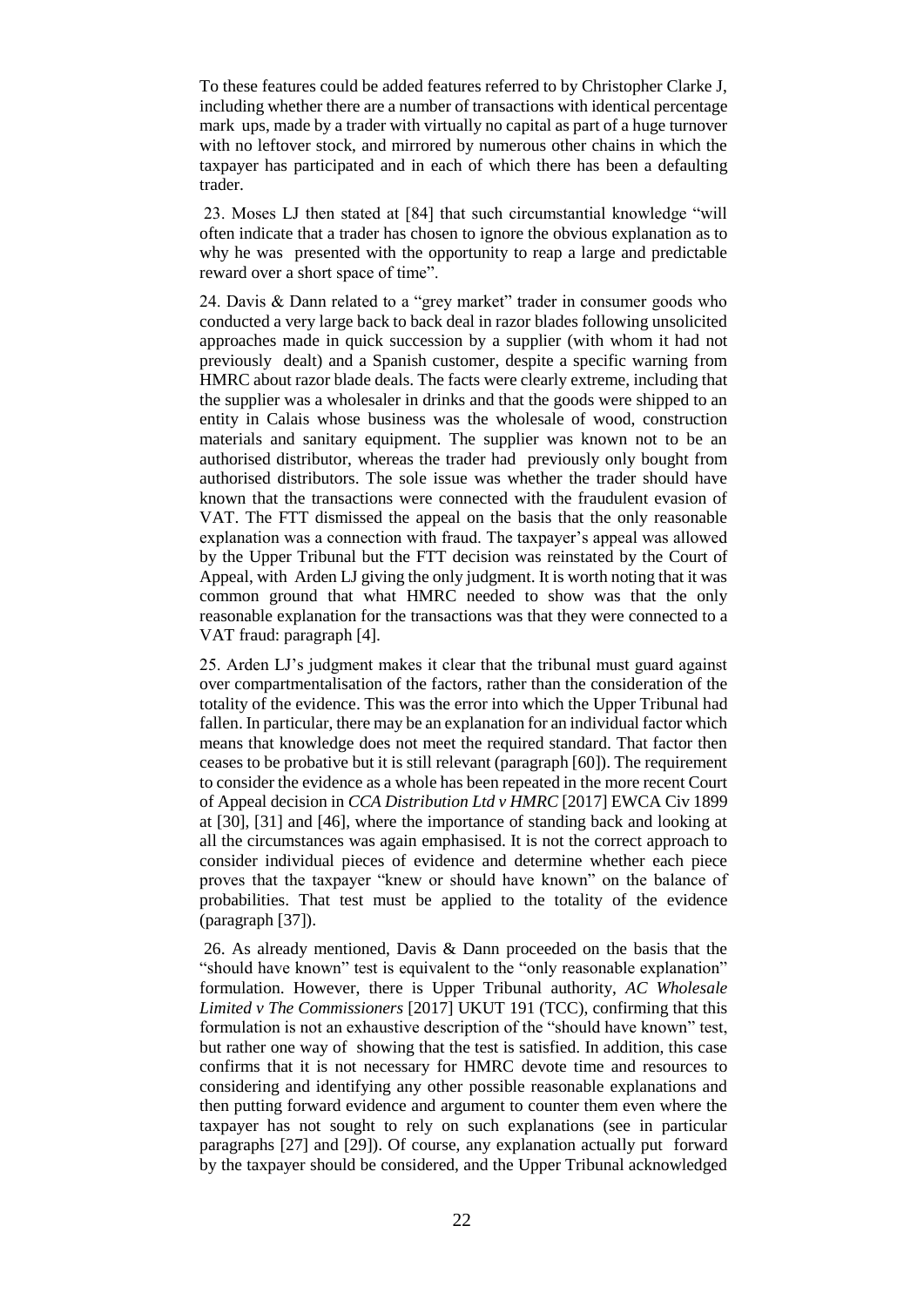To these features could be added features referred to by Christopher Clarke J, including whether there are a number of transactions with identical percentage mark ups, made by a trader with virtually no capital as part of a huge turnover with no leftover stock, and mirrored by numerous other chains in which the taxpayer has participated and in each of which there has been a defaulting trader.

23. Moses LJ then stated at [84] that such circumstantial knowledge "will often indicate that a trader has chosen to ignore the obvious explanation as to why he was presented with the opportunity to reap a large and predictable reward over a short space of time".

24. Davis & Dann related to a "grey market" trader in consumer goods who conducted a very large back to back deal in razor blades following unsolicited approaches made in quick succession by a supplier (with whom it had not previously dealt) and a Spanish customer, despite a specific warning from HMRC about razor blade deals. The facts were clearly extreme, including that the supplier was a wholesaler in drinks and that the goods were shipped to an entity in Calais whose business was the wholesale of wood, construction materials and sanitary equipment. The supplier was known not to be an authorised distributor, whereas the trader had previously only bought from authorised distributors. The sole issue was whether the trader should have known that the transactions were connected with the fraudulent evasion of VAT. The FTT dismissed the appeal on the basis that the only reasonable explanation was a connection with fraud. The taxpayer's appeal was allowed by the Upper Tribunal but the FTT decision was reinstated by the Court of Appeal, with Arden LJ giving the only judgment. It is worth noting that it was common ground that what HMRC needed to show was that the only reasonable explanation for the transactions was that they were connected to a VAT fraud: paragraph [4].

25. Arden LJ's judgment makes it clear that the tribunal must guard against over compartmentalisation of the factors, rather than the consideration of the totality of the evidence. This was the error into which the Upper Tribunal had fallen. In particular, there may be an explanation for an individual factor which means that knowledge does not meet the required standard. That factor then ceases to be probative but it is still relevant (paragraph [60]). The requirement to consider the evidence as a whole has been repeated in the more recent Court of Appeal decision in *CCA Distribution Ltd v HMRC* [2017] EWCA Civ 1899 at [30], [31] and [46], where the importance of standing back and looking at all the circumstances was again emphasised. It is not the correct approach to consider individual pieces of evidence and determine whether each piece proves that the taxpayer "knew or should have known" on the balance of probabilities. That test must be applied to the totality of the evidence (paragraph [37]).

26. As already mentioned, Davis & Dann proceeded on the basis that the "should have known" test is equivalent to the "only reasonable explanation" formulation. However, there is Upper Tribunal authority, *AC Wholesale Limited v The Commissioners* [2017] UKUT 191 (TCC), confirming that this formulation is not an exhaustive description of the "should have known" test, but rather one way of showing that the test is satisfied. In addition, this case confirms that it is not necessary for HMRC devote time and resources to considering and identifying any other possible reasonable explanations and then putting forward evidence and argument to counter them even where the taxpayer has not sought to rely on such explanations (see in particular paragraphs [27] and [29]). Of course, any explanation actually put forward by the taxpayer should be considered, and the Upper Tribunal acknowledged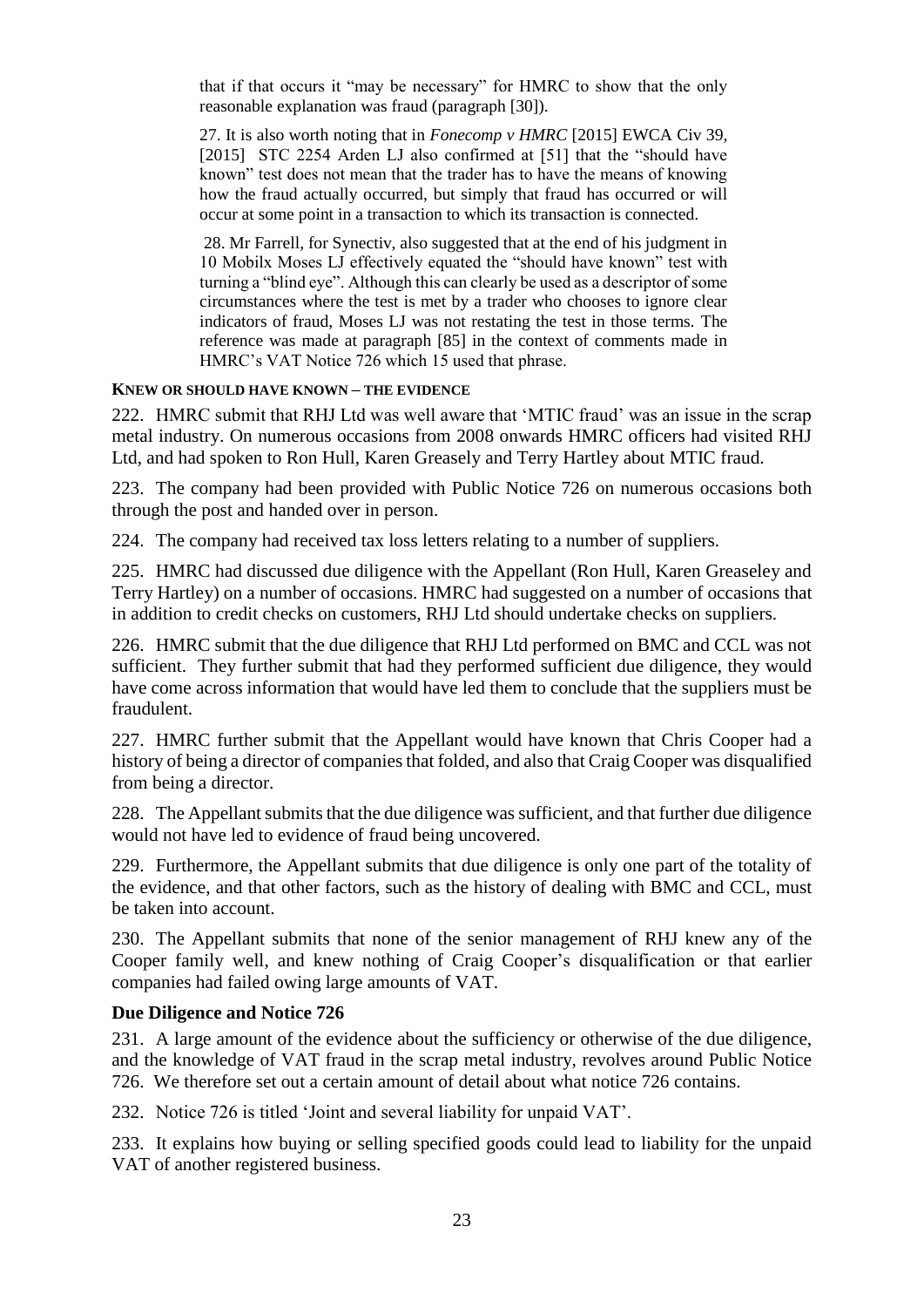that if that occurs it "may be necessary" for HMRC to show that the only reasonable explanation was fraud (paragraph [30]).

27. It is also worth noting that in *Fonecomp v HMRC* [2015] EWCA Civ 39, [2015] STC 2254 Arden LJ also confirmed at [51] that the "should have known" test does not mean that the trader has to have the means of knowing how the fraud actually occurred, but simply that fraud has occurred or will occur at some point in a transaction to which its transaction is connected.

28. Mr Farrell, for Synectiv, also suggested that at the end of his judgment in 10 Mobilx Moses LJ effectively equated the "should have known" test with turning a "blind eye". Although this can clearly be used as a descriptor of some circumstances where the test is met by a trader who chooses to ignore clear indicators of fraud, Moses LJ was not restating the test in those terms. The reference was made at paragraph [85] in the context of comments made in HMRC's VAT Notice 726 which 15 used that phrase.

### **KNEW OR SHOULD HAVE KNOWN – THE EVIDENCE**

222. HMRC submit that RHJ Ltd was well aware that 'MTIC fraud' was an issue in the scrap metal industry. On numerous occasions from 2008 onwards HMRC officers had visited RHJ Ltd, and had spoken to Ron Hull, Karen Greasely and Terry Hartley about MTIC fraud.

223. The company had been provided with Public Notice 726 on numerous occasions both through the post and handed over in person.

224. The company had received tax loss letters relating to a number of suppliers.

225. HMRC had discussed due diligence with the Appellant (Ron Hull, Karen Greaseley and Terry Hartley) on a number of occasions. HMRC had suggested on a number of occasions that in addition to credit checks on customers, RHJ Ltd should undertake checks on suppliers.

226. HMRC submit that the due diligence that RHJ Ltd performed on BMC and CCL was not sufficient. They further submit that had they performed sufficient due diligence, they would have come across information that would have led them to conclude that the suppliers must be fraudulent.

227. HMRC further submit that the Appellant would have known that Chris Cooper had a history of being a director of companies that folded, and also that Craig Cooper was disqualified from being a director.

228. The Appellant submits that the due diligence was sufficient, and that further due diligence would not have led to evidence of fraud being uncovered.

229. Furthermore, the Appellant submits that due diligence is only one part of the totality of the evidence, and that other factors, such as the history of dealing with BMC and CCL, must be taken into account.

230. The Appellant submits that none of the senior management of RHJ knew any of the Cooper family well, and knew nothing of Craig Cooper's disqualification or that earlier companies had failed owing large amounts of VAT.

# **Due Diligence and Notice 726**

231. A large amount of the evidence about the sufficiency or otherwise of the due diligence, and the knowledge of VAT fraud in the scrap metal industry, revolves around Public Notice 726. We therefore set out a certain amount of detail about what notice 726 contains.

232. Notice 726 is titled 'Joint and several liability for unpaid VAT'.

233. It explains how buying or selling specified goods could lead to liability for the unpaid VAT of another registered business.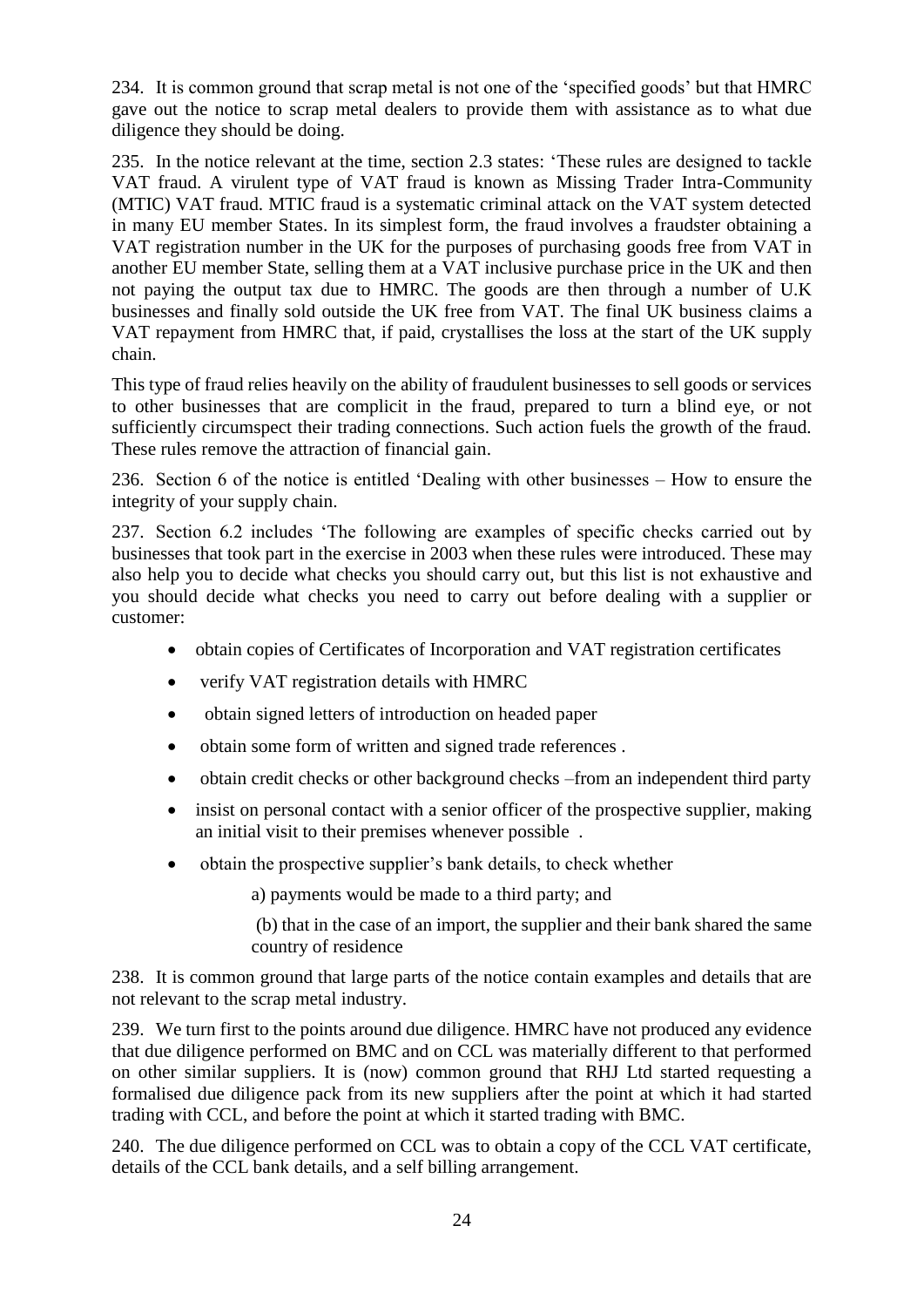234. It is common ground that scrap metal is not one of the 'specified goods' but that HMRC gave out the notice to scrap metal dealers to provide them with assistance as to what due diligence they should be doing.

235. In the notice relevant at the time, section 2.3 states: 'These rules are designed to tackle VAT fraud. A virulent type of VAT fraud is known as Missing Trader Intra-Community (MTIC) VAT fraud. MTIC fraud is a systematic criminal attack on the VAT system detected in many EU member States. In its simplest form, the fraud involves a fraudster obtaining a VAT registration number in the UK for the purposes of purchasing goods free from VAT in another EU member State, selling them at a VAT inclusive purchase price in the UK and then not paying the output tax due to HMRC. The goods are then through a number of U.K businesses and finally sold outside the UK free from VAT. The final UK business claims a VAT repayment from HMRC that, if paid, crystallises the loss at the start of the UK supply chain.

This type of fraud relies heavily on the ability of fraudulent businesses to sell goods or services to other businesses that are complicit in the fraud, prepared to turn a blind eye, or not sufficiently circumspect their trading connections. Such action fuels the growth of the fraud. These rules remove the attraction of financial gain.

236. Section 6 of the notice is entitled 'Dealing with other businesses – How to ensure the integrity of your supply chain.

237. Section 6.2 includes 'The following are examples of specific checks carried out by businesses that took part in the exercise in 2003 when these rules were introduced. These may also help you to decide what checks you should carry out, but this list is not exhaustive and you should decide what checks you need to carry out before dealing with a supplier or customer:

- obtain copies of Certificates of Incorporation and VAT registration certificates
- verify VAT registration details with HMRC
- obtain signed letters of introduction on headed paper
- obtain some form of written and signed trade references .
- obtain credit checks or other background checks –from an independent third party
- insist on personal contact with a senior officer of the prospective supplier, making an initial visit to their premises whenever possible .
- obtain the prospective supplier's bank details, to check whether

a) payments would be made to a third party; and

(b) that in the case of an import, the supplier and their bank shared the same country of residence

238. It is common ground that large parts of the notice contain examples and details that are not relevant to the scrap metal industry.

239. We turn first to the points around due diligence. HMRC have not produced any evidence that due diligence performed on BMC and on CCL was materially different to that performed on other similar suppliers. It is (now) common ground that RHJ Ltd started requesting a formalised due diligence pack from its new suppliers after the point at which it had started trading with CCL, and before the point at which it started trading with BMC.

240. The due diligence performed on CCL was to obtain a copy of the CCL VAT certificate, details of the CCL bank details, and a self billing arrangement.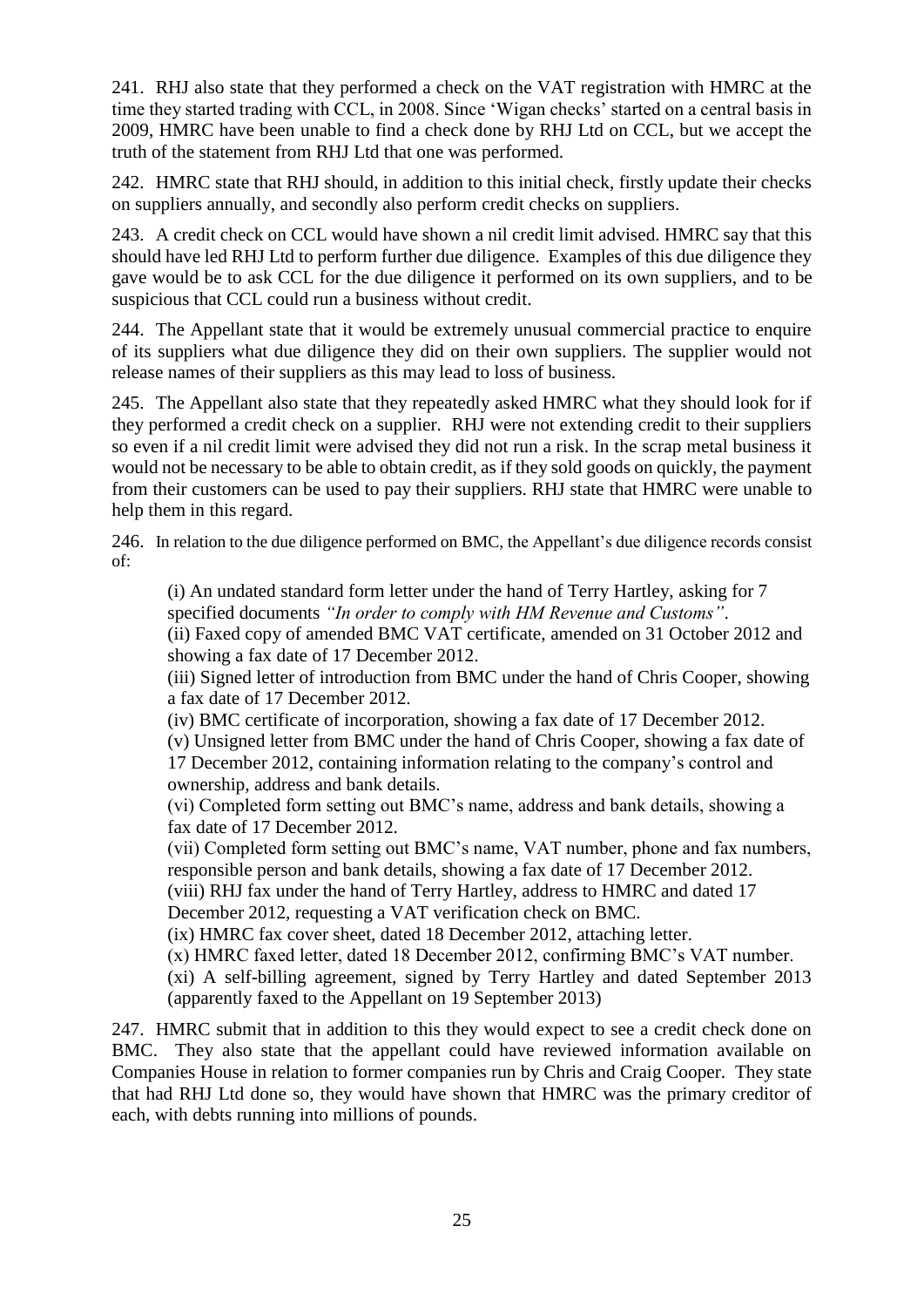241. RHJ also state that they performed a check on the VAT registration with HMRC at the time they started trading with CCL, in 2008. Since 'Wigan checks' started on a central basis in 2009, HMRC have been unable to find a check done by RHJ Ltd on CCL, but we accept the truth of the statement from RHJ Ltd that one was performed.

242. HMRC state that RHJ should, in addition to this initial check, firstly update their checks on suppliers annually, and secondly also perform credit checks on suppliers.

243. A credit check on CCL would have shown a nil credit limit advised. HMRC say that this should have led RHJ Ltd to perform further due diligence. Examples of this due diligence they gave would be to ask CCL for the due diligence it performed on its own suppliers, and to be suspicious that CCL could run a business without credit.

244. The Appellant state that it would be extremely unusual commercial practice to enquire of its suppliers what due diligence they did on their own suppliers. The supplier would not release names of their suppliers as this may lead to loss of business.

245. The Appellant also state that they repeatedly asked HMRC what they should look for if they performed a credit check on a supplier. RHJ were not extending credit to their suppliers so even if a nil credit limit were advised they did not run a risk. In the scrap metal business it would not be necessary to be able to obtain credit, as if they sold goods on quickly, the payment from their customers can be used to pay their suppliers. RHJ state that HMRC were unable to help them in this regard.

246. In relation to the due diligence performed on BMC, the Appellant's due diligence records consist of:

(i) An undated standard form letter under the hand of Terry Hartley, asking for 7 specified documents *"In order to comply with HM Revenue and Customs"*. (ii) Faxed copy of amended BMC VAT certificate, amended on 31 October 2012 and showing a fax date of 17 December 2012.

(iii) Signed letter of introduction from BMC under the hand of Chris Cooper, showing a fax date of 17 December 2012.

(iv) BMC certificate of incorporation, showing a fax date of 17 December 2012. (v) Unsigned letter from BMC under the hand of Chris Cooper, showing a fax date of 17 December 2012, containing information relating to the company's control and

ownership, address and bank details.

(vi) Completed form setting out BMC's name, address and bank details, showing a fax date of 17 December 2012.

(vii) Completed form setting out BMC's name, VAT number, phone and fax numbers, responsible person and bank details, showing a fax date of 17 December 2012. (viii) RHJ fax under the hand of Terry Hartley, address to HMRC and dated 17

December 2012, requesting a VAT verification check on BMC.

(ix) HMRC fax cover sheet, dated 18 December 2012, attaching letter.

(x) HMRC faxed letter, dated 18 December 2012, confirming BMC's VAT number.

(xi) A self-billing agreement, signed by Terry Hartley and dated September 2013 (apparently faxed to the Appellant on 19 September 2013)

247. HMRC submit that in addition to this they would expect to see a credit check done on BMC. They also state that the appellant could have reviewed information available on Companies House in relation to former companies run by Chris and Craig Cooper. They state that had RHJ Ltd done so, they would have shown that HMRC was the primary creditor of each, with debts running into millions of pounds.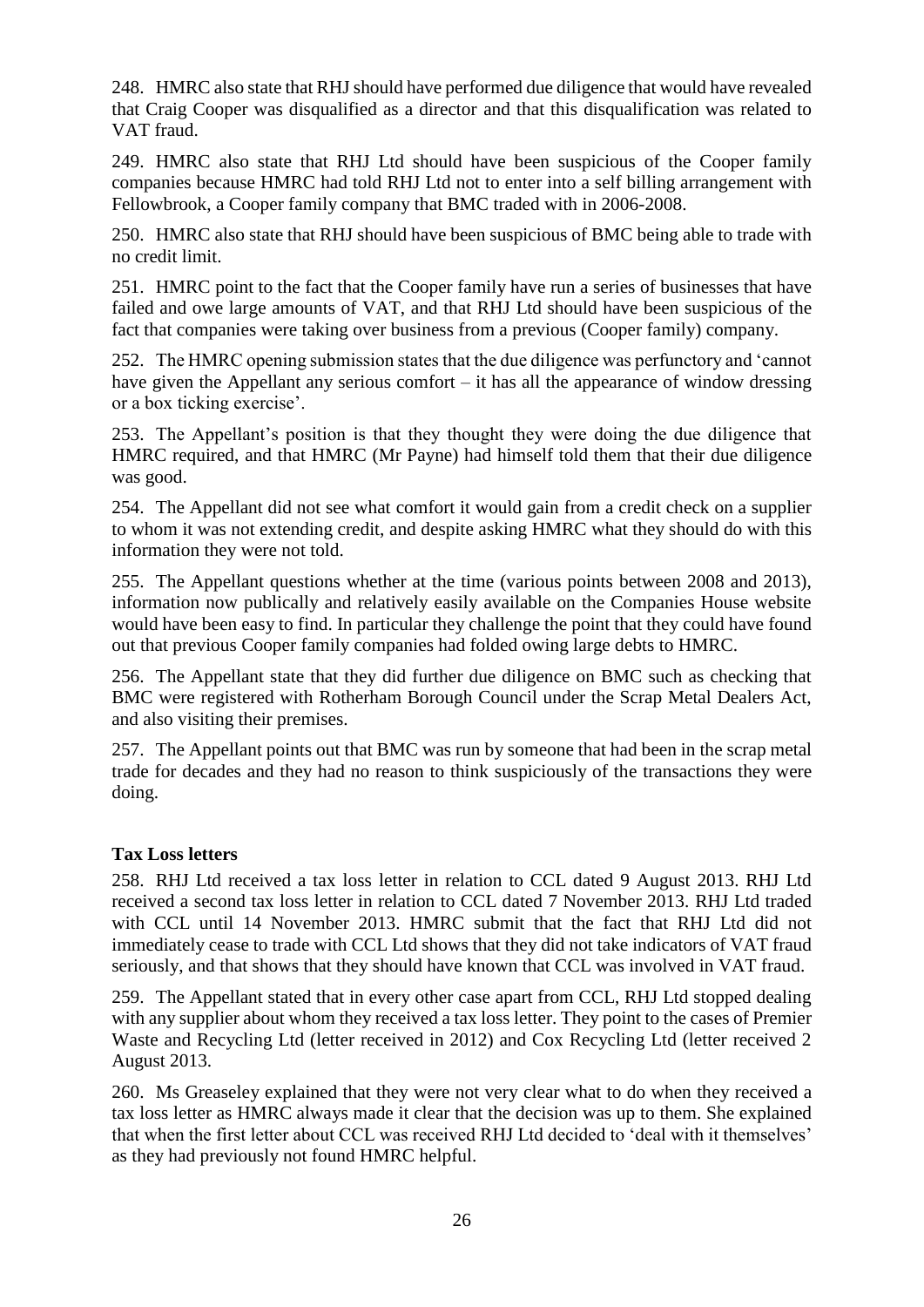248. HMRC also state that RHJ should have performed due diligence that would have revealed that Craig Cooper was disqualified as a director and that this disqualification was related to VAT fraud.

249. HMRC also state that RHJ Ltd should have been suspicious of the Cooper family companies because HMRC had told RHJ Ltd not to enter into a self billing arrangement with Fellowbrook, a Cooper family company that BMC traded with in 2006-2008.

250. HMRC also state that RHJ should have been suspicious of BMC being able to trade with no credit limit.

251. HMRC point to the fact that the Cooper family have run a series of businesses that have failed and owe large amounts of VAT, and that RHJ Ltd should have been suspicious of the fact that companies were taking over business from a previous (Cooper family) company.

252. The HMRC opening submission states that the due diligence was perfunctory and 'cannot have given the Appellant any serious comfort – it has all the appearance of window dressing or a box ticking exercise'.

253. The Appellant's position is that they thought they were doing the due diligence that HMRC required, and that HMRC (Mr Payne) had himself told them that their due diligence was good.

254. The Appellant did not see what comfort it would gain from a credit check on a supplier to whom it was not extending credit, and despite asking HMRC what they should do with this information they were not told.

255. The Appellant questions whether at the time (various points between 2008 and 2013), information now publically and relatively easily available on the Companies House website would have been easy to find. In particular they challenge the point that they could have found out that previous Cooper family companies had folded owing large debts to HMRC.

256. The Appellant state that they did further due diligence on BMC such as checking that BMC were registered with Rotherham Borough Council under the Scrap Metal Dealers Act, and also visiting their premises.

257. The Appellant points out that BMC was run by someone that had been in the scrap metal trade for decades and they had no reason to think suspiciously of the transactions they were doing.

# **Tax Loss letters**

258. RHJ Ltd received a tax loss letter in relation to CCL dated 9 August 2013. RHJ Ltd received a second tax loss letter in relation to CCL dated 7 November 2013. RHJ Ltd traded with CCL until 14 November 2013. HMRC submit that the fact that RHJ Ltd did not immediately cease to trade with CCL Ltd shows that they did not take indicators of VAT fraud seriously, and that shows that they should have known that CCL was involved in VAT fraud.

259. The Appellant stated that in every other case apart from CCL, RHJ Ltd stopped dealing with any supplier about whom they received a tax loss letter. They point to the cases of Premier Waste and Recycling Ltd (letter received in 2012) and Cox Recycling Ltd (letter received 2 August 2013.

260. Ms Greaseley explained that they were not very clear what to do when they received a tax loss letter as HMRC always made it clear that the decision was up to them. She explained that when the first letter about CCL was received RHJ Ltd decided to 'deal with it themselves' as they had previously not found HMRC helpful.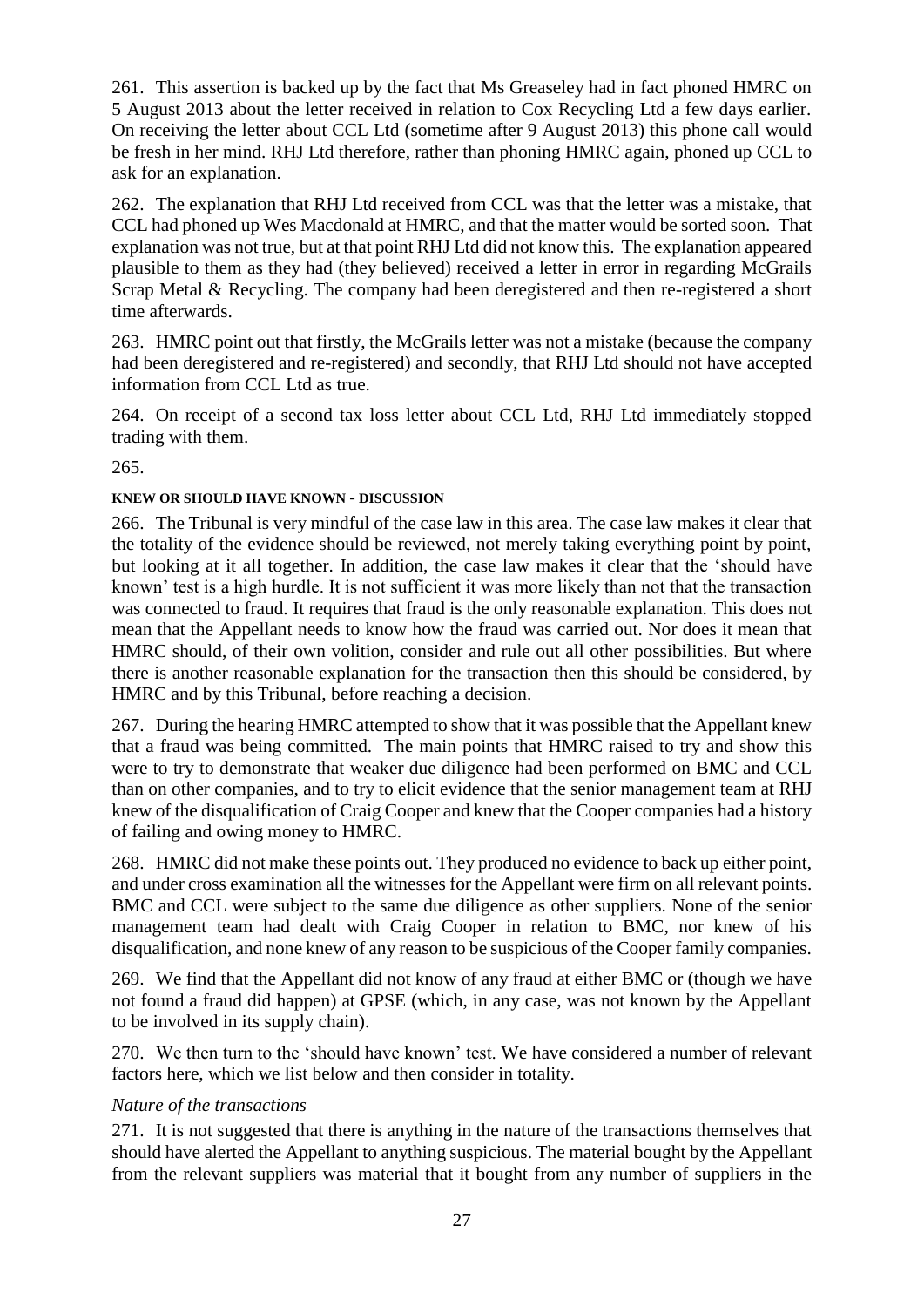261. This assertion is backed up by the fact that Ms Greaseley had in fact phoned HMRC on 5 August 2013 about the letter received in relation to Cox Recycling Ltd a few days earlier. On receiving the letter about CCL Ltd (sometime after 9 August 2013) this phone call would be fresh in her mind. RHJ Ltd therefore, rather than phoning HMRC again, phoned up CCL to ask for an explanation.

262. The explanation that RHJ Ltd received from CCL was that the letter was a mistake, that CCL had phoned up Wes Macdonald at HMRC, and that the matter would be sorted soon. That explanation was not true, but at that point RHJ Ltd did not know this. The explanation appeared plausible to them as they had (they believed) received a letter in error in regarding McGrails Scrap Metal & Recycling. The company had been deregistered and then re-registered a short time afterwards.

263. HMRC point out that firstly, the McGrails letter was not a mistake (because the company had been deregistered and re-registered) and secondly, that RHJ Ltd should not have accepted information from CCL Ltd as true.

264. On receipt of a second tax loss letter about CCL Ltd, RHJ Ltd immediately stopped trading with them.

265.

# **KNEW OR SHOULD HAVE KNOWN - DISCUSSION**

266. The Tribunal is very mindful of the case law in this area. The case law makes it clear that the totality of the evidence should be reviewed, not merely taking everything point by point, but looking at it all together. In addition, the case law makes it clear that the 'should have known' test is a high hurdle. It is not sufficient it was more likely than not that the transaction was connected to fraud. It requires that fraud is the only reasonable explanation. This does not mean that the Appellant needs to know how the fraud was carried out. Nor does it mean that HMRC should, of their own volition, consider and rule out all other possibilities. But where there is another reasonable explanation for the transaction then this should be considered, by HMRC and by this Tribunal, before reaching a decision.

267. During the hearing HMRC attempted to show that it was possible that the Appellant knew that a fraud was being committed. The main points that HMRC raised to try and show this were to try to demonstrate that weaker due diligence had been performed on BMC and CCL than on other companies, and to try to elicit evidence that the senior management team at RHJ knew of the disqualification of Craig Cooper and knew that the Cooper companies had a history of failing and owing money to HMRC.

268. HMRC did not make these points out. They produced no evidence to back up either point, and under cross examination all the witnesses for the Appellant were firm on all relevant points. BMC and CCL were subject to the same due diligence as other suppliers. None of the senior management team had dealt with Craig Cooper in relation to BMC, nor knew of his disqualification, and none knew of any reason to be suspicious of the Cooper family companies.

269. We find that the Appellant did not know of any fraud at either BMC or (though we have not found a fraud did happen) at GPSE (which, in any case, was not known by the Appellant to be involved in its supply chain).

270. We then turn to the 'should have known' test. We have considered a number of relevant factors here, which we list below and then consider in totality.

# *Nature of the transactions*

271. It is not suggested that there is anything in the nature of the transactions themselves that should have alerted the Appellant to anything suspicious. The material bought by the Appellant from the relevant suppliers was material that it bought from any number of suppliers in the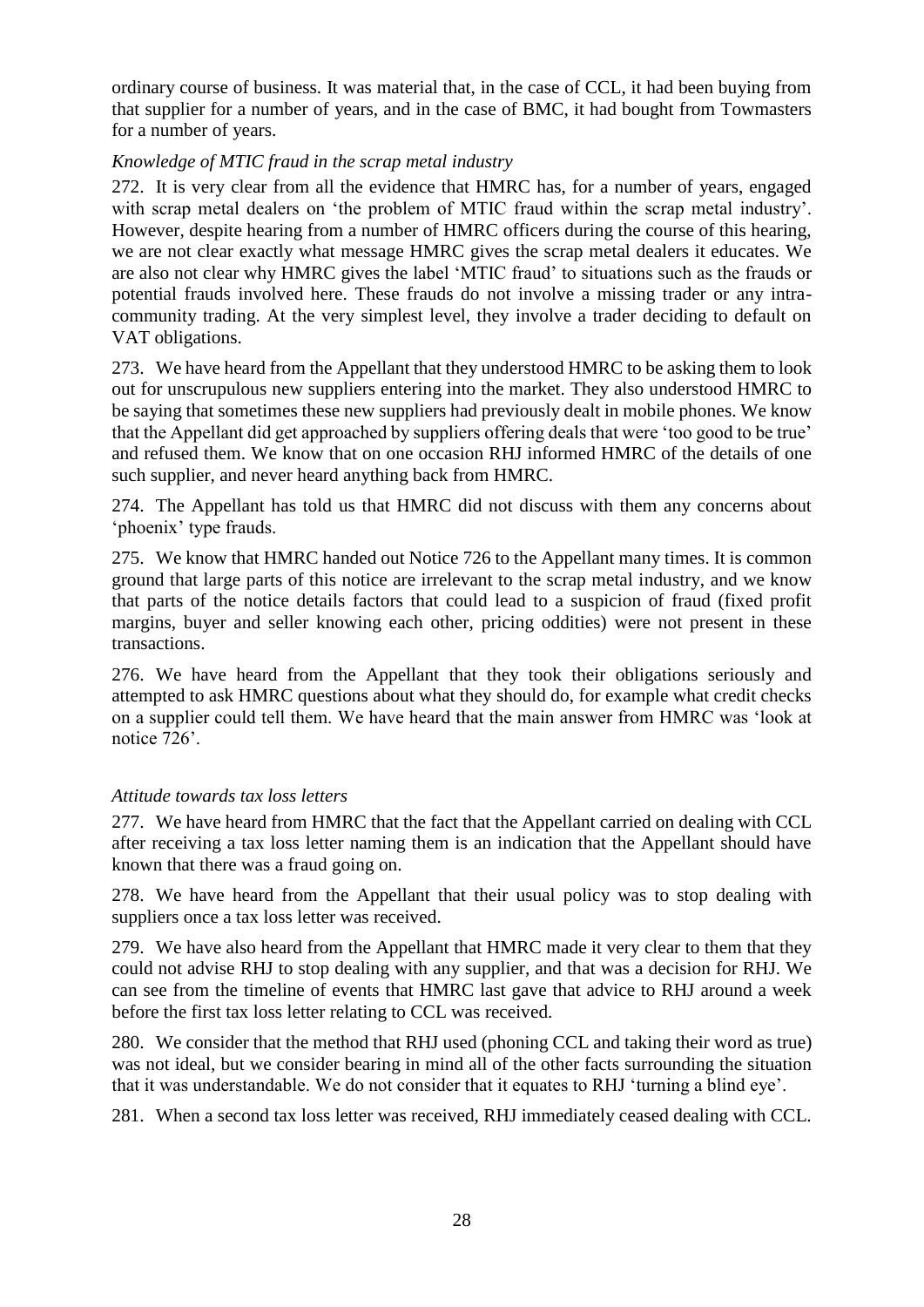ordinary course of business. It was material that, in the case of CCL, it had been buying from that supplier for a number of years, and in the case of BMC, it had bought from Towmasters for a number of years.

### *Knowledge of MTIC fraud in the scrap metal industry*

272. It is very clear from all the evidence that HMRC has, for a number of years, engaged with scrap metal dealers on 'the problem of MTIC fraud within the scrap metal industry'. However, despite hearing from a number of HMRC officers during the course of this hearing, we are not clear exactly what message HMRC gives the scrap metal dealers it educates. We are also not clear why HMRC gives the label 'MTIC fraud' to situations such as the frauds or potential frauds involved here. These frauds do not involve a missing trader or any intracommunity trading. At the very simplest level, they involve a trader deciding to default on VAT obligations.

273. We have heard from the Appellant that they understood HMRC to be asking them to look out for unscrupulous new suppliers entering into the market. They also understood HMRC to be saying that sometimes these new suppliers had previously dealt in mobile phones. We know that the Appellant did get approached by suppliers offering deals that were 'too good to be true' and refused them. We know that on one occasion RHJ informed HMRC of the details of one such supplier, and never heard anything back from HMRC.

274. The Appellant has told us that HMRC did not discuss with them any concerns about 'phoenix' type frauds.

275. We know that HMRC handed out Notice 726 to the Appellant many times. It is common ground that large parts of this notice are irrelevant to the scrap metal industry, and we know that parts of the notice details factors that could lead to a suspicion of fraud (fixed profit margins, buyer and seller knowing each other, pricing oddities) were not present in these transactions.

276. We have heard from the Appellant that they took their obligations seriously and attempted to ask HMRC questions about what they should do, for example what credit checks on a supplier could tell them. We have heard that the main answer from HMRC was 'look at notice 726'.

### *Attitude towards tax loss letters*

277. We have heard from HMRC that the fact that the Appellant carried on dealing with CCL after receiving a tax loss letter naming them is an indication that the Appellant should have known that there was a fraud going on.

278. We have heard from the Appellant that their usual policy was to stop dealing with suppliers once a tax loss letter was received.

279. We have also heard from the Appellant that HMRC made it very clear to them that they could not advise RHJ to stop dealing with any supplier, and that was a decision for RHJ. We can see from the timeline of events that HMRC last gave that advice to RHJ around a week before the first tax loss letter relating to CCL was received.

280. We consider that the method that RHJ used (phoning CCL and taking their word as true) was not ideal, but we consider bearing in mind all of the other facts surrounding the situation that it was understandable. We do not consider that it equates to RHJ 'turning a blind eye'.

281. When a second tax loss letter was received, RHJ immediately ceased dealing with CCL.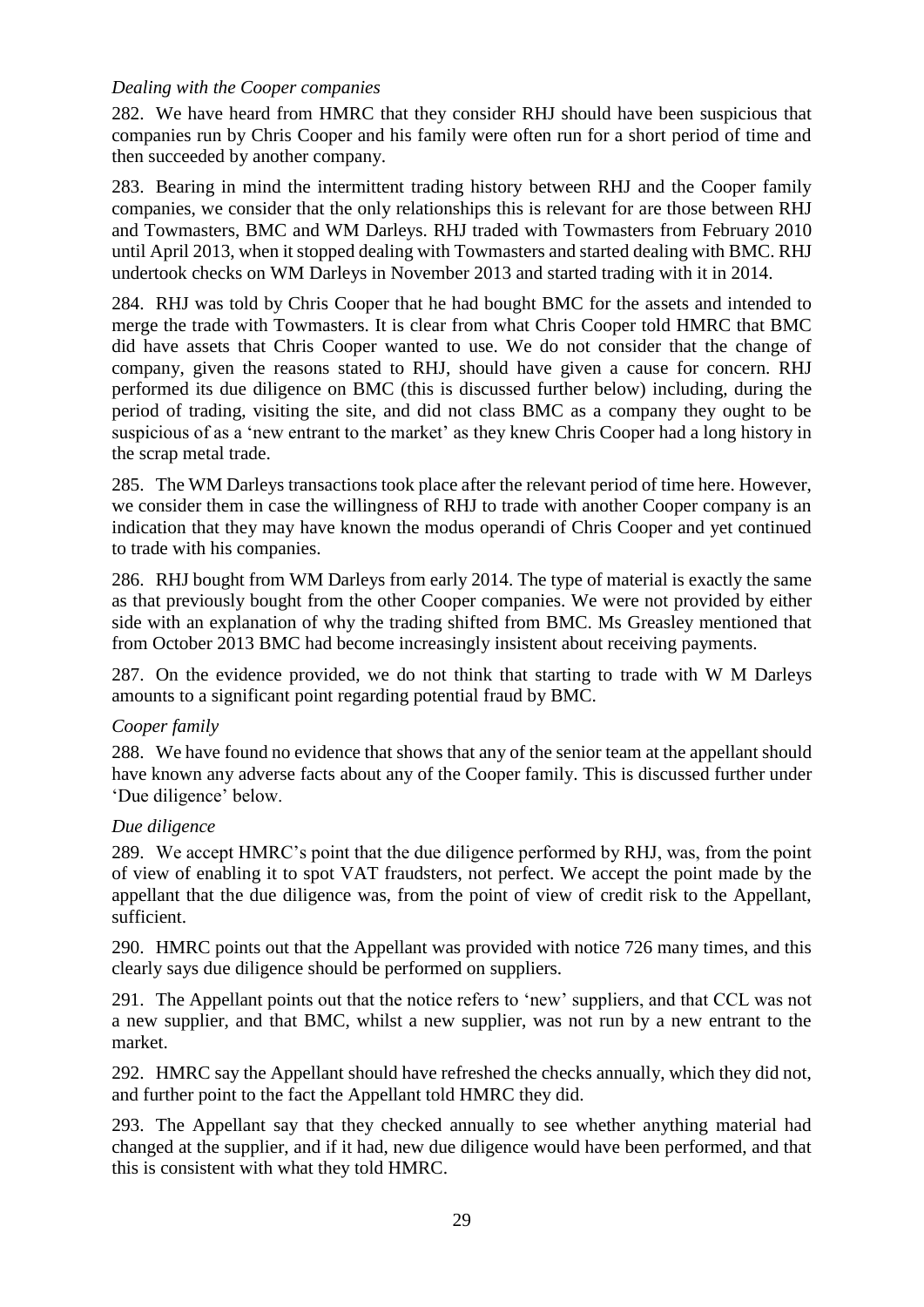### *Dealing with the Cooper companies*

282. We have heard from HMRC that they consider RHJ should have been suspicious that companies run by Chris Cooper and his family were often run for a short period of time and then succeeded by another company.

283. Bearing in mind the intermittent trading history between RHJ and the Cooper family companies, we consider that the only relationships this is relevant for are those between RHJ and Towmasters, BMC and WM Darleys. RHJ traded with Towmasters from February 2010 until April 2013, when it stopped dealing with Towmasters and started dealing with BMC. RHJ undertook checks on WM Darleys in November 2013 and started trading with it in 2014.

284. RHJ was told by Chris Cooper that he had bought BMC for the assets and intended to merge the trade with Towmasters. It is clear from what Chris Cooper told HMRC that BMC did have assets that Chris Cooper wanted to use. We do not consider that the change of company, given the reasons stated to RHJ, should have given a cause for concern. RHJ performed its due diligence on BMC (this is discussed further below) including, during the period of trading, visiting the site, and did not class BMC as a company they ought to be suspicious of as a 'new entrant to the market' as they knew Chris Cooper had a long history in the scrap metal trade.

285. The WM Darleys transactions took place after the relevant period of time here. However, we consider them in case the willingness of RHJ to trade with another Cooper company is an indication that they may have known the modus operandi of Chris Cooper and yet continued to trade with his companies.

286. RHJ bought from WM Darleys from early 2014. The type of material is exactly the same as that previously bought from the other Cooper companies. We were not provided by either side with an explanation of why the trading shifted from BMC. Ms Greasley mentioned that from October 2013 BMC had become increasingly insistent about receiving payments.

287. On the evidence provided, we do not think that starting to trade with W M Darleys amounts to a significant point regarding potential fraud by BMC.

# *Cooper family*

288. We have found no evidence that shows that any of the senior team at the appellant should have known any adverse facts about any of the Cooper family. This is discussed further under 'Due diligence' below.

### *Due diligence*

289. We accept HMRC's point that the due diligence performed by RHJ, was, from the point of view of enabling it to spot VAT fraudsters, not perfect. We accept the point made by the appellant that the due diligence was, from the point of view of credit risk to the Appellant, sufficient.

290. HMRC points out that the Appellant was provided with notice 726 many times, and this clearly says due diligence should be performed on suppliers.

291. The Appellant points out that the notice refers to 'new' suppliers, and that CCL was not a new supplier, and that BMC, whilst a new supplier, was not run by a new entrant to the market.

292. HMRC say the Appellant should have refreshed the checks annually, which they did not, and further point to the fact the Appellant told HMRC they did.

293. The Appellant say that they checked annually to see whether anything material had changed at the supplier, and if it had, new due diligence would have been performed, and that this is consistent with what they told HMRC.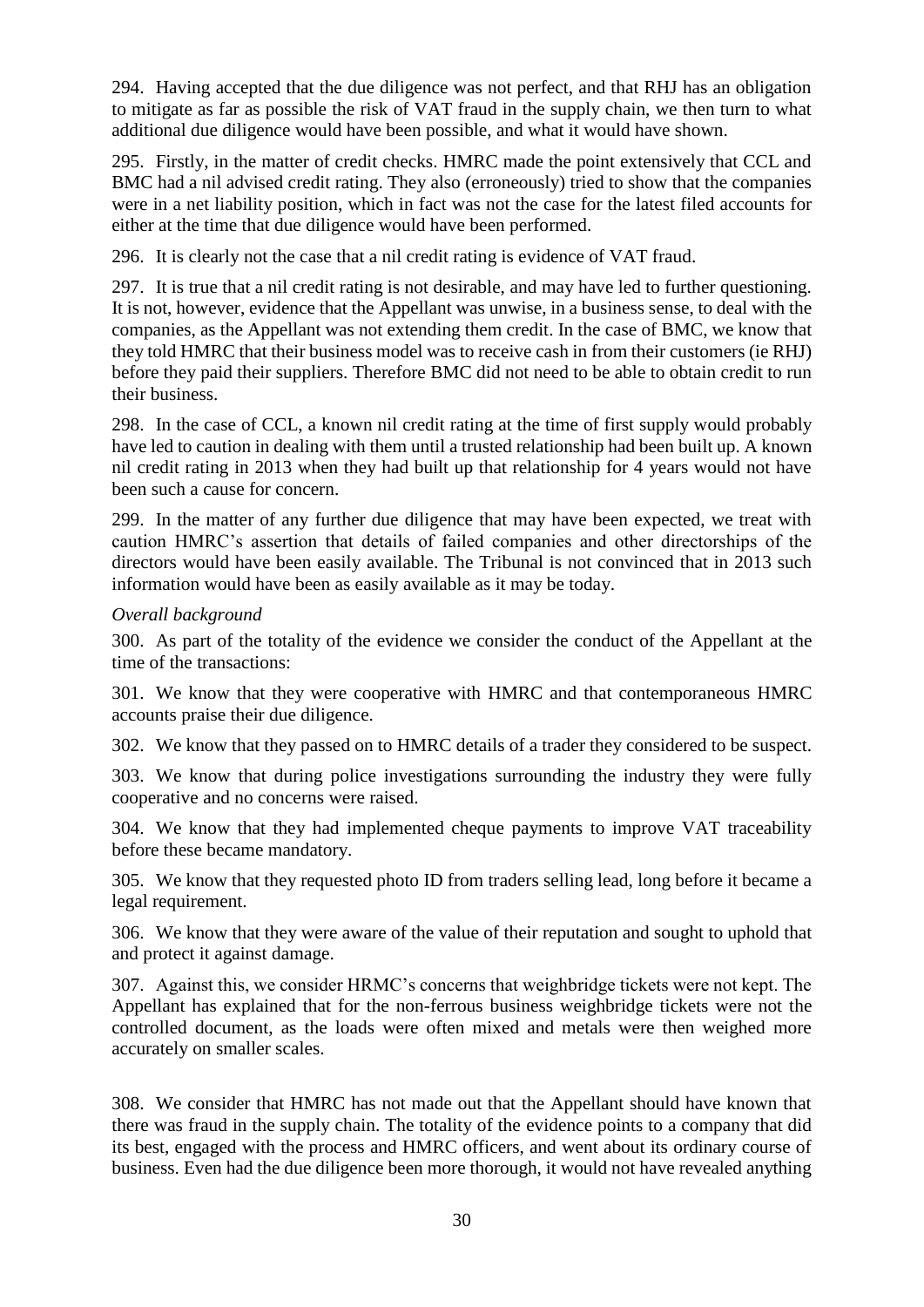294. Having accepted that the due diligence was not perfect, and that RHJ has an obligation to mitigate as far as possible the risk of VAT fraud in the supply chain, we then turn to what additional due diligence would have been possible, and what it would have shown.

295. Firstly, in the matter of credit checks. HMRC made the point extensively that CCL and BMC had a nil advised credit rating. They also (erroneously) tried to show that the companies were in a net liability position, which in fact was not the case for the latest filed accounts for either at the time that due diligence would have been performed.

296. It is clearly not the case that a nil credit rating is evidence of VAT fraud.

297. It is true that a nil credit rating is not desirable, and may have led to further questioning. It is not, however, evidence that the Appellant was unwise, in a business sense, to deal with the companies, as the Appellant was not extending them credit. In the case of BMC, we know that they told HMRC that their business model was to receive cash in from their customers (ie RHJ) before they paid their suppliers. Therefore BMC did not need to be able to obtain credit to run their business.

298. In the case of CCL, a known nil credit rating at the time of first supply would probably have led to caution in dealing with them until a trusted relationship had been built up. A known nil credit rating in 2013 when they had built up that relationship for 4 years would not have been such a cause for concern.

299. In the matter of any further due diligence that may have been expected, we treat with caution HMRC's assertion that details of failed companies and other directorships of the directors would have been easily available. The Tribunal is not convinced that in 2013 such information would have been as easily available as it may be today.

### *Overall background*

300. As part of the totality of the evidence we consider the conduct of the Appellant at the time of the transactions:

301. We know that they were cooperative with HMRC and that contemporaneous HMRC accounts praise their due diligence.

302. We know that they passed on to HMRC details of a trader they considered to be suspect.

303. We know that during police investigations surrounding the industry they were fully cooperative and no concerns were raised.

304. We know that they had implemented cheque payments to improve VAT traceability before these became mandatory.

305. We know that they requested photo ID from traders selling lead, long before it became a legal requirement.

306. We know that they were aware of the value of their reputation and sought to uphold that and protect it against damage.

307. Against this, we consider HRMC's concerns that weighbridge tickets were not kept. The Appellant has explained that for the non-ferrous business weighbridge tickets were not the controlled document, as the loads were often mixed and metals were then weighed more accurately on smaller scales.

308. We consider that HMRC has not made out that the Appellant should have known that there was fraud in the supply chain. The totality of the evidence points to a company that did its best, engaged with the process and HMRC officers, and went about its ordinary course of business. Even had the due diligence been more thorough, it would not have revealed anything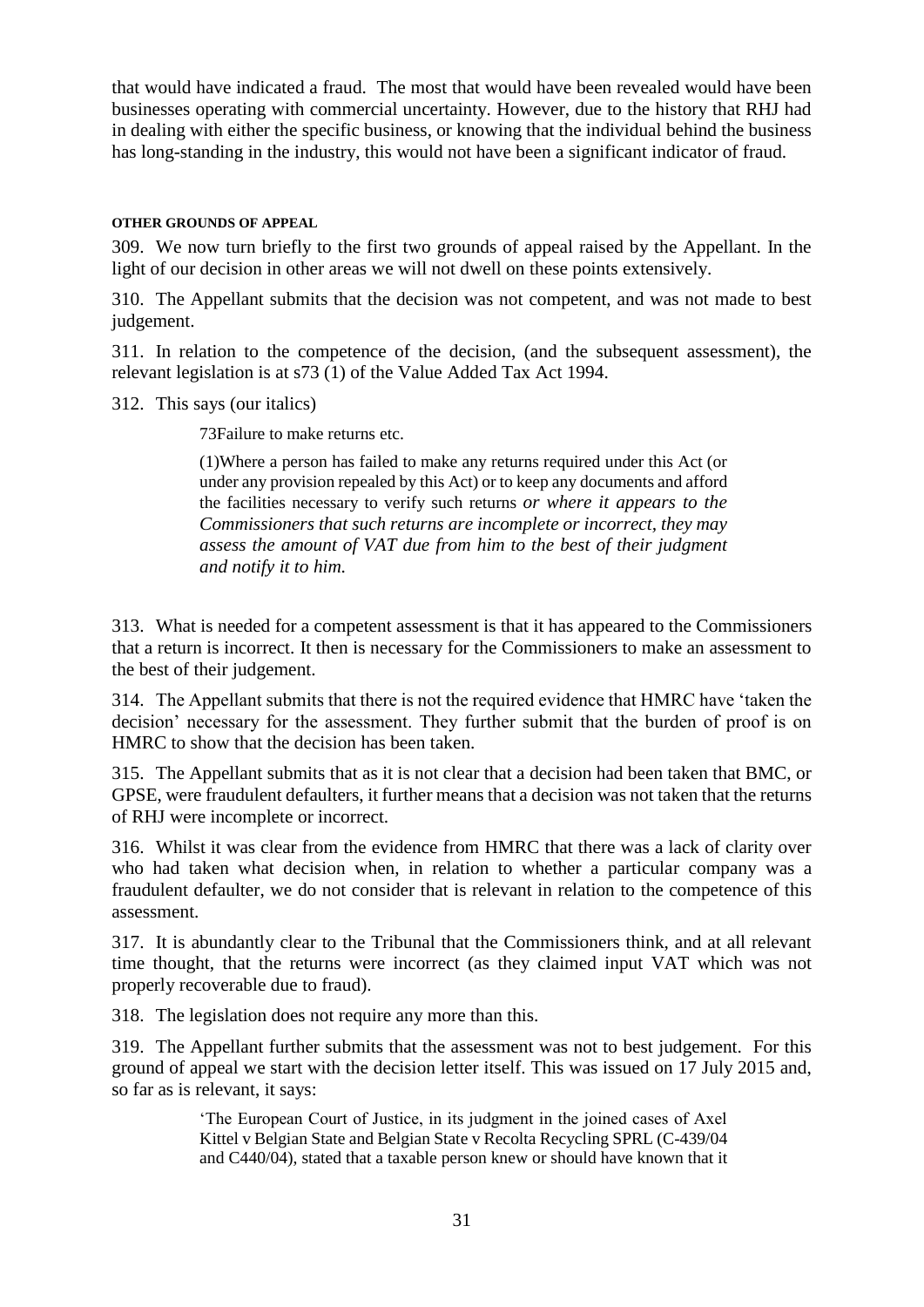that would have indicated a fraud. The most that would have been revealed would have been businesses operating with commercial uncertainty. However, due to the history that RHJ had in dealing with either the specific business, or knowing that the individual behind the business has long-standing in the industry, this would not have been a significant indicator of fraud.

### **OTHER GROUNDS OF APPEAL**

309. We now turn briefly to the first two grounds of appeal raised by the Appellant. In the light of our decision in other areas we will not dwell on these points extensively.

310. The Appellant submits that the decision was not competent, and was not made to best judgement.

311. In relation to the competence of the decision, (and the subsequent assessment), the relevant legislation is at s73 (1) of the Value Added Tax Act 1994.

312. This says (our italics)

73Failure to make returns etc.

(1)Where a person has failed to make any returns required under this Act (or under any provision repealed by this Act) or to keep any documents and afford the facilities necessary to verify such returns *or where it appears to the Commissioners that such returns are incomplete or incorrect, they may assess the amount of VAT due from him to the best of their judgment and notify it to him.*

313. What is needed for a competent assessment is that it has appeared to the Commissioners that a return is incorrect. It then is necessary for the Commissioners to make an assessment to the best of their judgement.

314. The Appellant submits that there is not the required evidence that HMRC have 'taken the decision' necessary for the assessment. They further submit that the burden of proof is on HMRC to show that the decision has been taken.

315. The Appellant submits that as it is not clear that a decision had been taken that BMC, or GPSE, were fraudulent defaulters, it further means that a decision was not taken that the returns of RHJ were incomplete or incorrect.

316. Whilst it was clear from the evidence from HMRC that there was a lack of clarity over who had taken what decision when, in relation to whether a particular company was a fraudulent defaulter, we do not consider that is relevant in relation to the competence of this assessment.

317. It is abundantly clear to the Tribunal that the Commissioners think, and at all relevant time thought, that the returns were incorrect (as they claimed input VAT which was not properly recoverable due to fraud).

318. The legislation does not require any more than this.

319. The Appellant further submits that the assessment was not to best judgement. For this ground of appeal we start with the decision letter itself. This was issued on 17 July 2015 and, so far as is relevant, it says:

> 'The European Court of Justice, in its judgment in the joined cases of Axel Kittel v Belgian State and Belgian State v Recolta Recycling SPRL (C-439/04 and C440/04), stated that a taxable person knew or should have known that it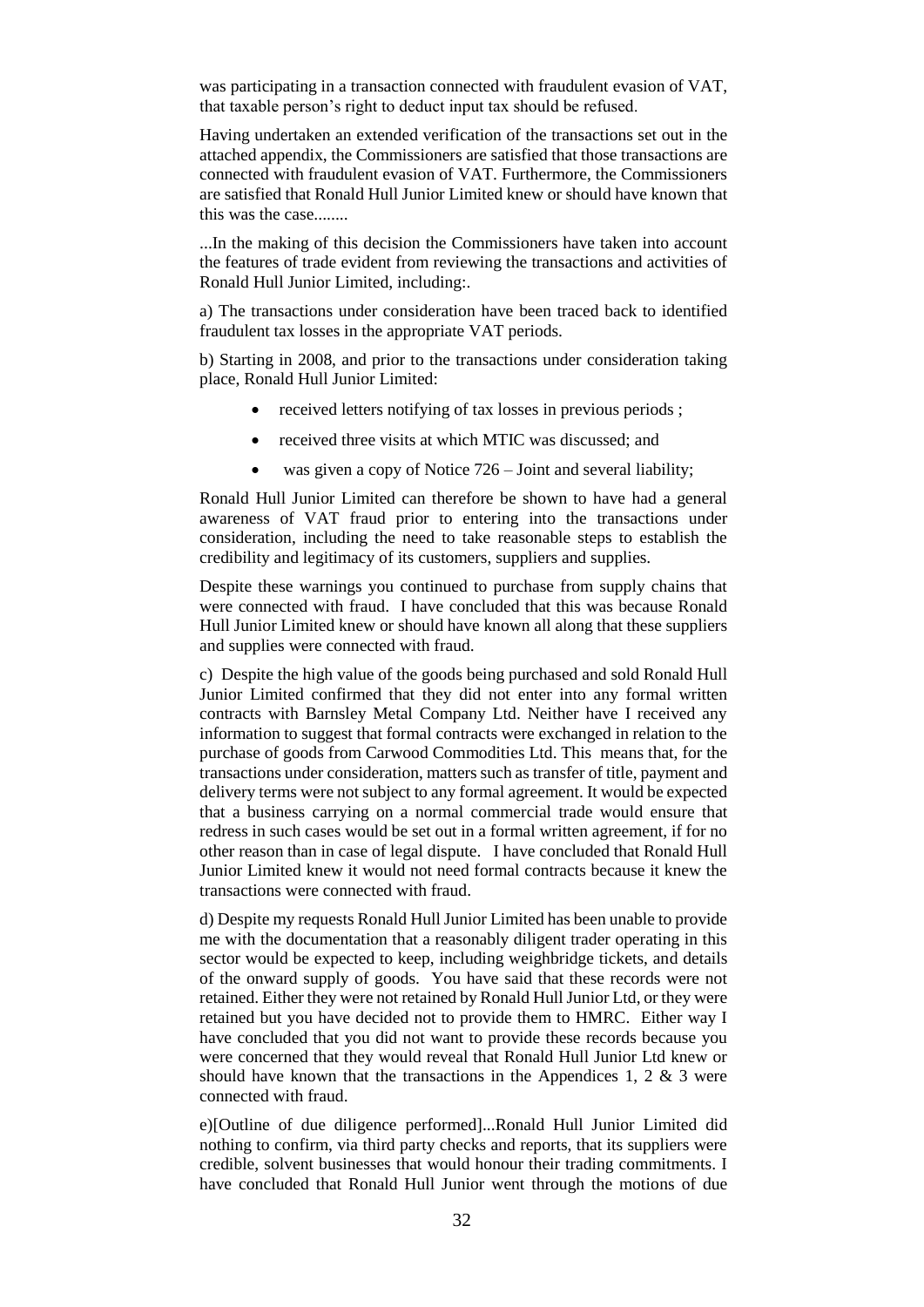was participating in a transaction connected with fraudulent evasion of VAT, that taxable person's right to deduct input tax should be refused.

Having undertaken an extended verification of the transactions set out in the attached appendix, the Commissioners are satisfied that those transactions are connected with fraudulent evasion of VAT. Furthermore, the Commissioners are satisfied that Ronald Hull Junior Limited knew or should have known that this was the case........

...In the making of this decision the Commissioners have taken into account the features of trade evident from reviewing the transactions and activities of Ronald Hull Junior Limited, including:.

a) The transactions under consideration have been traced back to identified fraudulent tax losses in the appropriate VAT periods.

b) Starting in 2008, and prior to the transactions under consideration taking place, Ronald Hull Junior Limited:

- received letters notifying of tax losses in previous periods;
- received three visits at which MTIC was discussed; and
- was given a copy of Notice  $726 -$  Joint and several liability;

Ronald Hull Junior Limited can therefore be shown to have had a general awareness of VAT fraud prior to entering into the transactions under consideration, including the need to take reasonable steps to establish the credibility and legitimacy of its customers, suppliers and supplies.

Despite these warnings you continued to purchase from supply chains that were connected with fraud. I have concluded that this was because Ronald Hull Junior Limited knew or should have known all along that these suppliers and supplies were connected with fraud.

c) Despite the high value of the goods being purchased and sold Ronald Hull Junior Limited confirmed that they did not enter into any formal written contracts with Barnsley Metal Company Ltd. Neither have I received any information to suggest that formal contracts were exchanged in relation to the purchase of goods from Carwood Commodities Ltd. This means that, for the transactions under consideration, matters such as transfer of title, payment and delivery terms were not subject to any formal agreement. It would be expected that a business carrying on a normal commercial trade would ensure that redress in such cases would be set out in a formal written agreement, if for no other reason than in case of legal dispute. I have concluded that Ronald Hull Junior Limited knew it would not need formal contracts because it knew the transactions were connected with fraud.

d) Despite my requests Ronald Hull Junior Limited has been unable to provide me with the documentation that a reasonably diligent trader operating in this sector would be expected to keep, including weighbridge tickets, and details of the onward supply of goods. You have said that these records were not retained. Either they were not retained by Ronald Hull Junior Ltd, or they were retained but you have decided not to provide them to HMRC. Either way I have concluded that you did not want to provide these records because you were concerned that they would reveal that Ronald Hull Junior Ltd knew or should have known that the transactions in the Appendices 1, 2  $\&$  3 were connected with fraud.

e)[Outline of due diligence performed]...Ronald Hull Junior Limited did nothing to confirm, via third party checks and reports, that its suppliers were credible, solvent businesses that would honour their trading commitments. I have concluded that Ronald Hull Junior went through the motions of due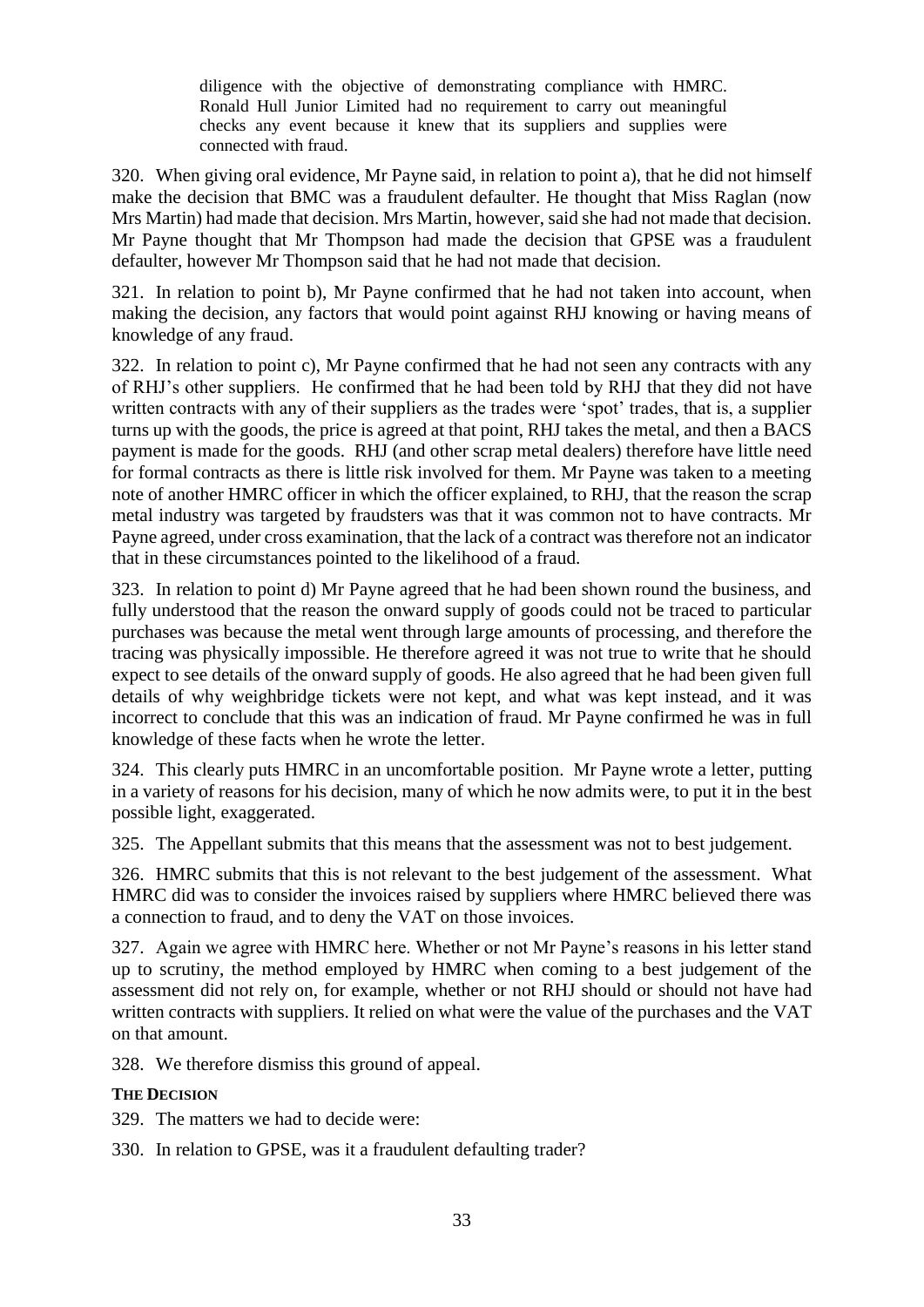diligence with the objective of demonstrating compliance with HMRC. Ronald Hull Junior Limited had no requirement to carry out meaningful checks any event because it knew that its suppliers and supplies were connected with fraud.

320. When giving oral evidence, Mr Payne said, in relation to point a), that he did not himself make the decision that BMC was a fraudulent defaulter. He thought that Miss Raglan (now Mrs Martin) had made that decision. Mrs Martin, however, said she had not made that decision. Mr Payne thought that Mr Thompson had made the decision that GPSE was a fraudulent defaulter, however Mr Thompson said that he had not made that decision.

321. In relation to point b), Mr Payne confirmed that he had not taken into account, when making the decision, any factors that would point against RHJ knowing or having means of knowledge of any fraud.

322. In relation to point c), Mr Payne confirmed that he had not seen any contracts with any of RHJ's other suppliers. He confirmed that he had been told by RHJ that they did not have written contracts with any of their suppliers as the trades were 'spot' trades, that is, a supplier turns up with the goods, the price is agreed at that point, RHJ takes the metal, and then a BACS payment is made for the goods. RHJ (and other scrap metal dealers) therefore have little need for formal contracts as there is little risk involved for them. Mr Payne was taken to a meeting note of another HMRC officer in which the officer explained, to RHJ, that the reason the scrap metal industry was targeted by fraudsters was that it was common not to have contracts. Mr Payne agreed, under cross examination, that the lack of a contract was therefore not an indicator that in these circumstances pointed to the likelihood of a fraud.

323. In relation to point d) Mr Payne agreed that he had been shown round the business, and fully understood that the reason the onward supply of goods could not be traced to particular purchases was because the metal went through large amounts of processing, and therefore the tracing was physically impossible. He therefore agreed it was not true to write that he should expect to see details of the onward supply of goods. He also agreed that he had been given full details of why weighbridge tickets were not kept, and what was kept instead, and it was incorrect to conclude that this was an indication of fraud. Mr Payne confirmed he was in full knowledge of these facts when he wrote the letter.

324. This clearly puts HMRC in an uncomfortable position. Mr Payne wrote a letter, putting in a variety of reasons for his decision, many of which he now admits were, to put it in the best possible light, exaggerated.

325. The Appellant submits that this means that the assessment was not to best judgement.

326. HMRC submits that this is not relevant to the best judgement of the assessment. What HMRC did was to consider the invoices raised by suppliers where HMRC believed there was a connection to fraud, and to deny the VAT on those invoices.

327. Again we agree with HMRC here. Whether or not Mr Payne's reasons in his letter stand up to scrutiny, the method employed by HMRC when coming to a best judgement of the assessment did not rely on, for example, whether or not RHJ should or should not have had written contracts with suppliers. It relied on what were the value of the purchases and the VAT on that amount.

328. We therefore dismiss this ground of appeal.

# **THE DECISION**

329. The matters we had to decide were:

330. In relation to GPSE, was it a fraudulent defaulting trader?